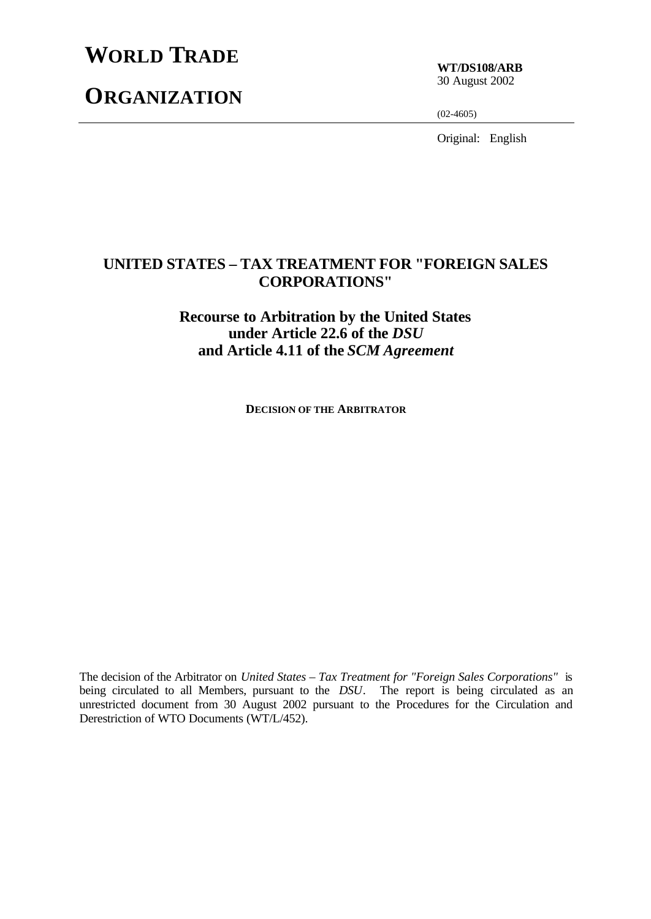# **WORLD TRADE**

## **ORGANIZATION**

**WT/DS108/ARB** 30 August 2002

(02-4605)

Original: English

## **UNITED STATES – TAX TREATMENT FOR "FOREIGN SALES CORPORATIONS"**

## **Recourse to Arbitration by the United States under Article 22.6 of the** *DSU* **and Article 4.11 of the** *SCM Agreement*

**DECISION OF THE ARBITRATOR**

The decision of the Arbitrator on *United States – Tax Treatment for "Foreign Sales Corporations"* is being circulated to all Members, pursuant to the *DSU*. The report is being circulated as an unrestricted document from 30 August 2002 pursuant to the Procedures for the Circulation and Derestriction of WTO Documents (WT/L/452).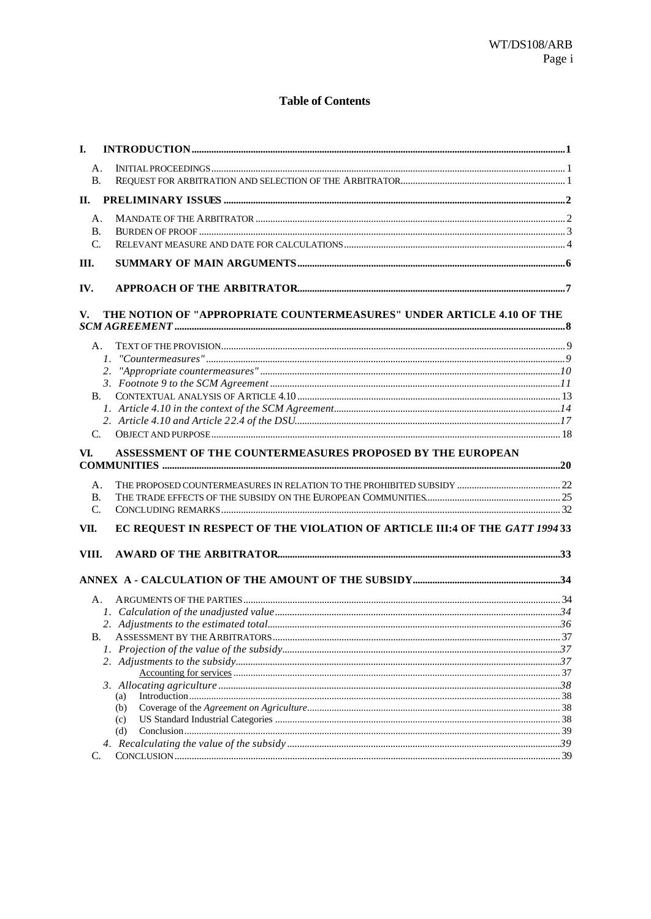#### **Table of Contents**

| I.          |                                                                            |  |
|-------------|----------------------------------------------------------------------------|--|
| A.          |                                                                            |  |
| <b>B.</b>   |                                                                            |  |
| П.          |                                                                            |  |
| Α.          |                                                                            |  |
| В.          |                                                                            |  |
| $C_{\cdot}$ |                                                                            |  |
| Ш.          |                                                                            |  |
| IV.         |                                                                            |  |
| V.          | THE NOTION OF "APPROPRIATE COUNTERMEASURES" UNDER ARTICLE 4.10 OF THE      |  |
|             |                                                                            |  |
| A.          |                                                                            |  |
|             | $l_{\rm{r}}$                                                               |  |
|             |                                                                            |  |
| <b>B.</b>   |                                                                            |  |
|             |                                                                            |  |
|             |                                                                            |  |
| C.          |                                                                            |  |
| VI.<br>А.   | ASSESSMENT OF THE COUNTERMEASURES PROPOSED BY THE EUROPEAN                 |  |
| <b>B.</b>   |                                                                            |  |
| C.          |                                                                            |  |
| VII.        | EC REQUEST IN RESPECT OF THE VIOLATION OF ARTICLE III:4 OF THE GATT 199433 |  |
| VIII.       |                                                                            |  |
|             |                                                                            |  |
| A.          |                                                                            |  |
|             |                                                                            |  |
|             |                                                                            |  |
| B.          |                                                                            |  |
|             |                                                                            |  |
|             |                                                                            |  |
|             |                                                                            |  |
|             | (a)                                                                        |  |
|             | (b)                                                                        |  |
|             | (c)                                                                        |  |
|             | (d)                                                                        |  |
|             |                                                                            |  |
| C.          |                                                                            |  |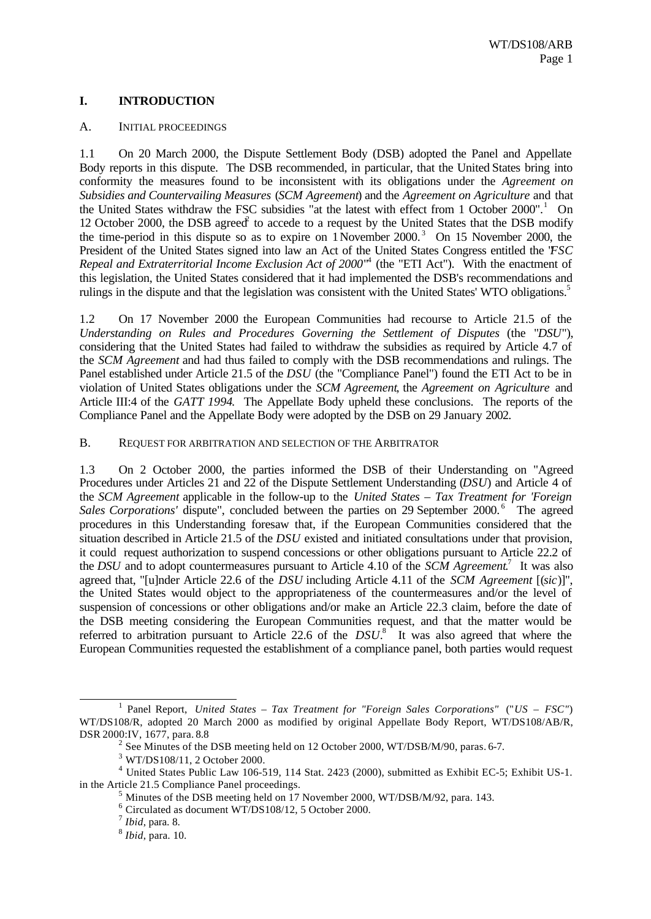#### **I. INTRODUCTION**

#### A. INITIAL PROCEEDINGS

1.1 On 20 March 2000, the Dispute Settlement Body (DSB) adopted the Panel and Appellate Body reports in this dispute. The DSB recommended, in particular, that the United States bring into conformity the measures found to be inconsistent with its obligations under the *Agreement on Subsidies and Countervailing Measures* (*SCM Agreement*) and the *Agreement on Agriculture* and that the United States withdraw the FSC subsidies "at the latest with effect from 1 October 2000".<sup>1</sup> On 12 October 2000, the DSB agreed to accede to a request by the United States that the DSB modify the time-period in this dispute so as to expire on  $1$  November 2000.<sup>3</sup> On 15 November 2000, the President of the United States signed into law an Act of the United States Congress entitled the "*FSC* Repeal and *Extraterritorial Income Exclusion Act of 2000*<sup>\*4</sup> (the "ETI Act"). With the enactment of this legislation, the United States considered that it had implemented the DSB's recommendations and rulings in the dispute and that the legislation was consistent with the United States' WTO obligations.<sup>5</sup>

1.2 On 17 November 2000 the European Communities had recourse to Article 21.5 of the *Understanding on Rules and Procedures Governing the Settlement of Disputes* (the "*DSU*"), considering that the United States had failed to withdraw the subsidies as required by Article 4.7 of the *SCM Agreement* and had thus failed to comply with the DSB recommendations and rulings. The Panel established under Article 21.5 of the *DSU* (the "Compliance Panel") found the ETI Act to be in violation of United States obligations under the *SCM Agreement*, the *Agreement on Agriculture* and Article III:4 of the *GATT 1994*. The Appellate Body upheld these conclusions. The reports of the Compliance Panel and the Appellate Body were adopted by the DSB on 29 January 2002.

B. REQUEST FOR ARBITRATION AND SELECTION OF THE ARBITRATOR

1.3 On 2 October 2000, the parties informed the DSB of their Understanding on "Agreed Procedures under Articles 21 and 22 of the Dispute Settlement Understanding (*DSU*) and Article 4 of the *SCM Agreement* applicable in the follow-up to the *United States – Tax Treatment for 'Foreign* Sales Corporations' dispute", concluded between the parties on 29 September 2000.<sup>6</sup> The agreed procedures in this Understanding foresaw that, if the European Communities considered that the situation described in Article 21.5 of the *DSU* existed and initiated consultations under that provision, it could request authorization to suspend concessions or other obligations pursuant to Article 22.2 of the *DSU* and to adopt countermeasures pursuant to Article 4.10 of the *SCM Agreement*. 7 It was also agreed that, "[u]nder Article 22.6 of the *DSU* including Article 4.11 of the *SCM Agreement* [(*sic*)]", the United States would object to the appropriateness of the countermeasures and/or the level of suspension of concessions or other obligations and/or make an Article 22.3 claim, before the date of the DSB meeting considering the European Communities request, and that the matter would be referred to arbitration pursuant to Article 22.6 of the *DSU*.<sup>8</sup> It was also agreed that where the European Communities requested the establishment of a compliance panel, both parties would request

l 1 Panel Report, *United States – Tax Treatment for "Foreign Sales Corporations"* ("*US – FSC"*) WT/DS108/R, adopted 20 March 2000 as modified by original Appellate Body Report, WT/DS108/AB/R, DSR 2000:IV, 1677, para. 8.8

<sup>&</sup>lt;sup>2</sup> See Minutes of the DSB meeting held on 12 October 2000, WT/DSB/M/90, paras. 6-7.

<sup>3</sup> WT/DS108/11, 2 October 2000.

<sup>&</sup>lt;sup>4</sup> United States Public Law 106-519, 114 Stat. 2423 (2000), submitted as Exhibit EC-5; Exhibit US-1. in the Article 21.5 Compliance Panel proceedings.

<sup>&</sup>lt;sup>5</sup> Minutes of the DSB meeting held on 17 November 2000, WT/DSB/M/92, para. 143.

<sup>6</sup> Circulated as document WT/DS108/12, 5 October 2000.

<sup>7</sup> *Ibid*, para. 8.

<sup>8</sup> *Ibid*, para. 10.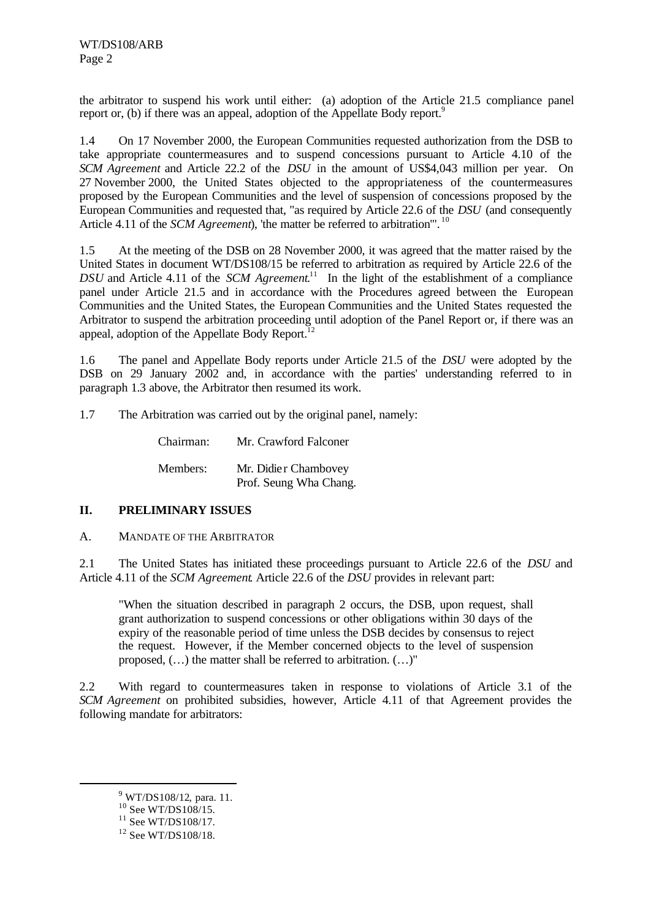the arbitrator to suspend his work until either: (a) adoption of the Article 21.5 compliance panel report or, (b) if there was an appeal, adoption of the Appellate Body report.<sup>9</sup>

1.4 On 17 November 2000, the European Communities requested authorization from the DSB to take appropriate countermeasures and to suspend concessions pursuant to Article 4.10 of the *SCM Agreement* and Article 22.2 of the *DSU* in the amount of US\$4,043 million per year. On 27 November 2000, the United States objected to the appropriateness of the countermeasures proposed by the European Communities and the level of suspension of concessions proposed by the European Communities and requested that, "as required by Article 22.6 of the *DSU* (and consequently Article 4.11 of the *SCM Agreement*), 'the matter be referred to arbitration'".<sup>10</sup>

1.5 At the meeting of the DSB on 28 November 2000, it was agreed that the matter raised by the United States in document WT/DS108/15 be referred to arbitration as required by Article 22.6 of the DSU and Article 4.11 of the *SCM Agreement*.<sup>11</sup> In the light of the establishment of a compliance panel under Article 21.5 and in accordance with the Procedures agreed between the European Communities and the United States, the European Communities and the United States requested the Arbitrator to suspend the arbitration proceeding until adoption of the Panel Report or, if there was an appeal, adoption of the Appellate Body Report.<sup>12</sup>

1.6 The panel and Appellate Body reports under Article 21.5 of the *DSU* were adopted by the DSB on 29 January 2002 and, in accordance with the parties' understanding referred to in paragraph 1.3 above, the Arbitrator then resumed its work.

1.7 The Arbitration was carried out by the original panel, namely:

Chairman: Mr. Crawford Falconer Members: Mr. Didier Chambovey Prof. Seung Wha Chang.

#### **II. PRELIMINARY ISSUES**

A. MANDATE OF THE ARBITRATOR

2.1 The United States has initiated these proceedings pursuant to Article 22.6 of the *DSU* and Article 4.11 of the *SCM Agreement*. Article 22.6 of the *DSU* provides in relevant part:

"When the situation described in paragraph 2 occurs, the DSB, upon request, shall grant authorization to suspend concessions or other obligations within 30 days of the expiry of the reasonable period of time unless the DSB decides by consensus to reject the request. However, if the Member concerned objects to the level of suspension proposed, (…) the matter shall be referred to arbitration. (…)"

2.2 With regard to countermeasures taken in response to violations of Article 3.1 of the *SCM Agreement* on prohibited subsidies, however, Article 4.11 of that Agreement provides the following mandate for arbitrators:

<sup>9</sup> WT/DS108/12*,* para. 11.

<sup>&</sup>lt;sup>10</sup> See WT/DS108/15.

 $11$  See WT/DS108/17.

<sup>12</sup> See WT/DS108/18.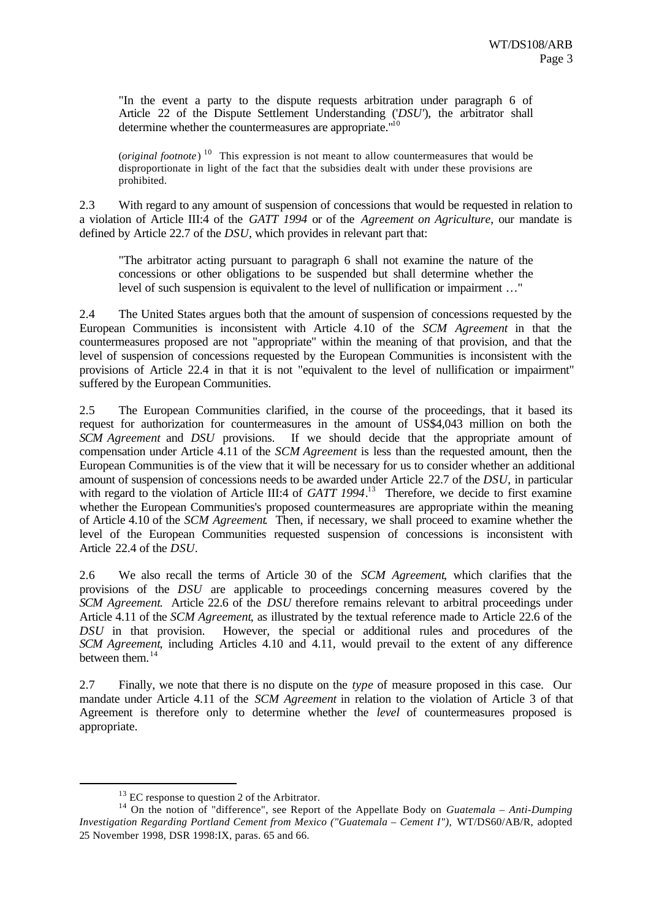"In the event a party to the dispute requests arbitration under paragraph 6 of Article 22 of the Dispute Settlement Understanding ('*DSU'*), the arbitrator shall determine whether the countermeasures are appropriate."<sup>10</sup>

(*original footnote*) <sup>10</sup> This expression is not meant to allow countermeasures that would be disproportionate in light of the fact that the subsidies dealt with under these provisions are prohibited.

2.3 With regard to any amount of suspension of concessions that would be requested in relation to a violation of Article III:4 of the *GATT 1994* or of the *Agreement on Agriculture*, our mandate is defined by Article 22.7 of the *DSU*, which provides in relevant part that:

"The arbitrator acting pursuant to paragraph 6 shall not examine the nature of the concessions or other obligations to be suspended but shall determine whether the level of such suspension is equivalent to the level of nullification or impairment …"

2.4 The United States argues both that the amount of suspension of concessions requested by the European Communities is inconsistent with Article 4.10 of the *SCM Agreement* in that the countermeasures proposed are not "appropriate" within the meaning of that provision, and that the level of suspension of concessions requested by the European Communities is inconsistent with the provisions of Article 22.4 in that it is not "equivalent to the level of nullification or impairment" suffered by the European Communities.

2.5 The European Communities clarified, in the course of the proceedings, that it based its request for authorization for countermeasures in the amount of US\$4,043 million on both the *SCM Agreement* and *DSU* provisions. If we should decide that the appropriate amount of compensation under Article 4.11 of the *SCM Agreement* is less than the requested amount, then the European Communities is of the view that it will be necessary for us to consider whether an additional amount of suspension of concessions needs to be awarded under Article 22.7 of the *DSU*, in particular with regard to the violation of Article III:4 of *GATT 1994*.<sup>13</sup> Therefore, we decide to first examine whether the European Communities's proposed countermeasures are appropriate within the meaning of Article 4.10 of the *SCM Agreement*. Then, if necessary, we shall proceed to examine whether the level of the European Communities requested suspension of concessions is inconsistent with Article 22.4 of the *DSU*.

2.6 We also recall the terms of Article 30 of the *SCM Agreement*, which clarifies that the provisions of the *DSU* are applicable to proceedings concerning measures covered by the *SCM Agreement*. Article 22.6 of the *DSU* therefore remains relevant to arbitral proceedings under Article 4.11 of the *SCM Agreement*, as illustrated by the textual reference made to Article 22.6 of the *DSU* in that provision. However, the special or additional rules and procedures of the *SCM Agreement*, including Articles 4.10 and 4.11, would prevail to the extent of any difference between them. $14$ 

2.7 Finally, we note that there is no dispute on the *type* of measure proposed in this case. Our mandate under Article 4.11 of the *SCM Agreement* in relation to the violation of Article 3 of that Agreement is therefore only to determine whether the *level* of countermeasures proposed is appropriate.

<sup>&</sup>lt;sup>13</sup> EC response to question 2 of the Arbitrator.

<sup>&</sup>lt;sup>14</sup> On the notion of "difference", see Report of the Appellate Body on *Guatemala – Anti-Dumping Investigation Regarding Portland Cement from Mexico ("Guatemala – Cement I"),* WT/DS60/AB/R, adopted 25 November 1998, DSR 1998:IX, paras. 65 and 66.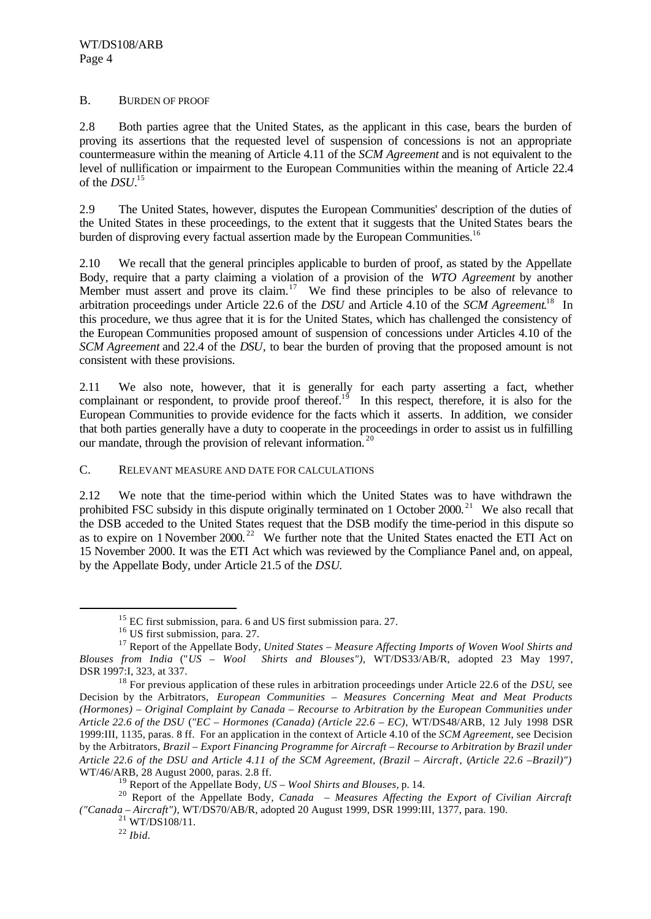#### B. BURDEN OF PROOF

2.8 Both parties agree that the United States, as the applicant in this case, bears the burden of proving its assertions that the requested level of suspension of concessions is not an appropriate countermeasure within the meaning of Article 4.11 of the *SCM Agreement* and is not equivalent to the level of nullification or impairment to the European Communities within the meaning of Article 22.4 of the *DSU*. 15

2.9 The United States, however, disputes the European Communities' description of the duties of the United States in these proceedings, to the extent that it suggests that the United States bears the burden of disproving every factual assertion made by the European Communities.<sup>16</sup>

2.10 We recall that the general principles applicable to burden of proof, as stated by the Appellate Body, require that a party claiming a violation of a provision of the *WTO Agreement* by another Member must assert and prove its claim.<sup>17</sup> We find these principles to be also of relevance to arbitration proceedings under Article 22.6 of the *DSU* and Article 4.10 of the *SCM Agreement*. <sup>18</sup> In this procedure, we thus agree that it is for the United States, which has challenged the consistency of the European Communities proposed amount of suspension of concessions under Articles 4.10 of the *SCM Agreement* and 22.4 of the *DSU*, to bear the burden of proving that the proposed amount is not consistent with these provisions.

2.11 We also note, however, that it is generally for each party asserting a fact, whether complainant or respondent, to provide proof thereof.<sup>19</sup> In this respect, therefore, it is also for the European Communities to provide evidence for the facts which it asserts. In addition, we consider that both parties generally have a duty to cooperate in the proceedings in order to assist us in fulfilling our mandate, through the provision of relevant information.<sup>20</sup>

#### C. RELEVANT MEASURE AND DATE FOR CALCULATIONS

2.12 We note that the time-period within which the United States was to have withdrawn the prohibited FSC subsidy in this dispute originally terminated on 1 October 2000.<sup>21</sup> We also recall that the DSB acceded to the United States request that the DSB modify the time-period in this dispute so as to expire on 1 November 2000.<sup>22</sup> We further note that the United States enacted the ETI Act on 15 November 2000. It was the ETI Act which was reviewed by the Compliance Panel and, on appeal, by the Appellate Body, under Article 21.5 of the *DSU*.

 $15$  EC first submission, para. 6 and US first submission para. 27.

<sup>&</sup>lt;sup>16</sup> US first submission, para. 27.

<sup>17</sup> Report of the Appellate Body, *United States – Measure Affecting Imports of Woven Wool Shirts and Blouses from India* ("*US – Wool Shirts and Blouses")*, WT/DS33/AB/R, adopted 23 May 1997, DSR 1997:I, 323, at 337.

<sup>18</sup> For previous application of these rules in arbitration proceedings under Article 22.6 of the *DSU*, see Decision by the Arbitrators, *European Communities – Measures Concerning Meat and Meat Products (Hormones) – Original Complaint by Canada – Recourse to Arbitration by the European Communities under Article 22.6 of the DSU* (*"EC – Hormones (Canada) (Article 22.6 – EC)*, WT/DS48/ARB, 12 July 1998 DSR 1999:III, 1135, paras. 8 ff. For an application in the context of Article 4.10 of the *SCM Agreement*, see Decision by the Arbitrators, *Brazil – Export Financing Programme for Aircraft – Recourse to Arbitration by Brazil under Article 22.6 of the DSU and Article 4.11 of the SCM Agreement, (Brazil – Aircraft*, (*Article 22.6 –Brazil)")* WT/46/ARB, 28 August 2000, paras. 2.8 ff.

<sup>19</sup> Report of the Appellate Body, *US – Wool Shirts and Blouses*, p. 14.

<sup>&</sup>lt;sup>20</sup> Report of the Appellate Body, *Canada – Measures Affecting the Export of Civilian Aircraft ("Canada – Aircraft")*, WT/DS70/AB/R, adopted 20 August 1999, DSR 1999:III, 1377, para. 190.

 $^{21}$  WT/DS108/11.

<sup>22</sup> *Ibid.*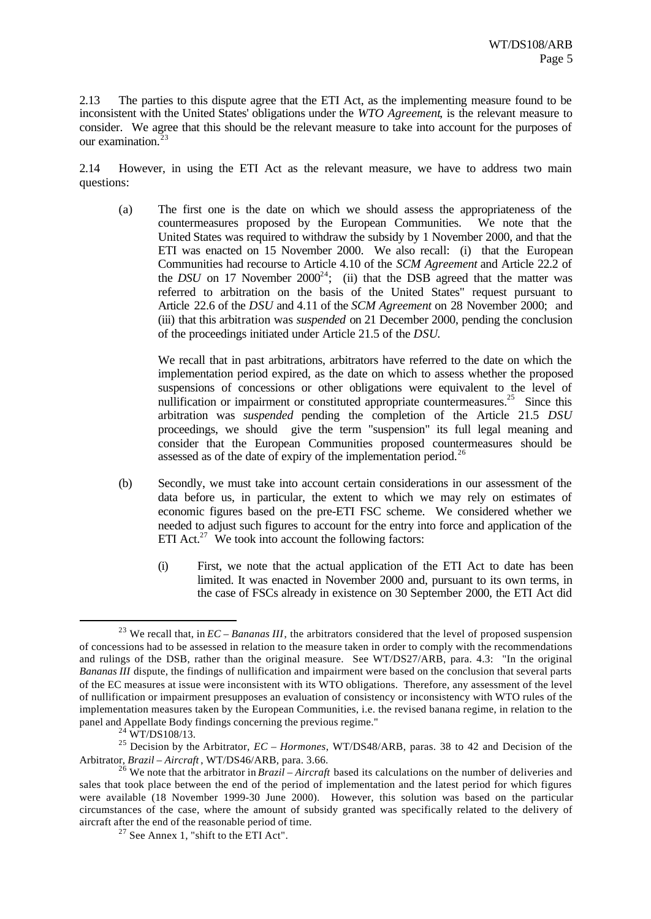2.13 The parties to this dispute agree that the ETI Act, as the implementing measure found to be inconsistent with the United States' obligations under the *WTO Agreement*, is the relevant measure to consider. We agree that this should be the relevant measure to take into account for the purposes of our examination. $23$ 

2.14 However, in using the ETI Act as the relevant measure, we have to address two main questions:

(a) The first one is the date on which we should assess the appropriateness of the countermeasures proposed by the European Communities. We note that the United States was required to withdraw the subsidy by 1 November 2000, and that the ETI was enacted on 15 November 2000. We also recall: (i) that the European Communities had recourse to Article 4.10 of the *SCM Agreement* and Article 22.2 of the *DSU* on 17 November  $2000^{24}$ ; (ii) that the DSB agreed that the matter was referred to arbitration on the basis of the United States" request pursuant to Article 22.6 of the *DSU* and 4.11 of the *SCM Agreement* on 28 November 2000; and (iii) that this arbitration was *suspended* on 21 December 2000, pending the conclusion of the proceedings initiated under Article 21.5 of the *DSU*.

We recall that in past arbitrations, arbitrators have referred to the date on which the implementation period expired, as the date on which to assess whether the proposed suspensions of concessions or other obligations were equivalent to the level of nullification or impairment or constituted appropriate countermeasures.<sup>25</sup> Since this arbitration was *suspended* pending the completion of the Article 21.5 *DSU* proceedings, we should give the term "suspension" its full legal meaning and consider that the European Communities proposed countermeasures should be assessed as of the date of expiry of the implementation period.<sup>26</sup>

- (b) Secondly, we must take into account certain considerations in our assessment of the data before us, in particular, the extent to which we may rely on estimates of economic figures based on the pre-ETI FSC scheme. We considered whether we needed to adjust such figures to account for the entry into force and application of the ETI Act.<sup>27</sup> We took into account the following factors:
	- (i) First, we note that the actual application of the ETI Act to date has been limited. It was enacted in November 2000 and, pursuant to its own terms, in the case of FSCs already in existence on 30 September 2000, the ETI Act did

<sup>&</sup>lt;sup>23</sup> We recall that, in  $EC - Bananas III$ , the arbitrators considered that the level of proposed suspension of concessions had to be assessed in relation to the measure taken in order to comply with the recommendations and rulings of the DSB, rather than the original measure. See WT/DS27/ARB, para. 4.3: "In the original *Bananas III* dispute, the findings of nullification and impairment were based on the conclusion that several parts of the EC measures at issue were inconsistent with its WTO obligations. Therefore, any assessment of the level of nullification or impairment presupposes an evaluation of consistency or inconsistency with WTO rules of the implementation measures taken by the European Communities, i.e. the revised banana regime, in relation to the panel and Appellate Body findings concerning the previous regime."

 $^{24}$  WT/DS108/13.

<sup>25</sup> Decision by the Arbitrator, *EC – Hormones*, WT/DS48/ARB, paras. 38 to 42 and Decision of the Arbitrator, *Brazil – Aircraft* , WT/DS46/ARB, para. 3.66.

<sup>26</sup> We note that the arbitrator in *Brazil – Aircraft* based its calculations on the number of deliveries and sales that took place between the end of the period of implementation and the latest period for which figures were available (18 November 1999-30 June 2000). However, this solution was based on the particular circumstances of the case, where the amount of subsidy granted was specifically related to the delivery of aircraft after the end of the reasonable period of time.

 $27$  See Annex 1, "shift to the ETI Act".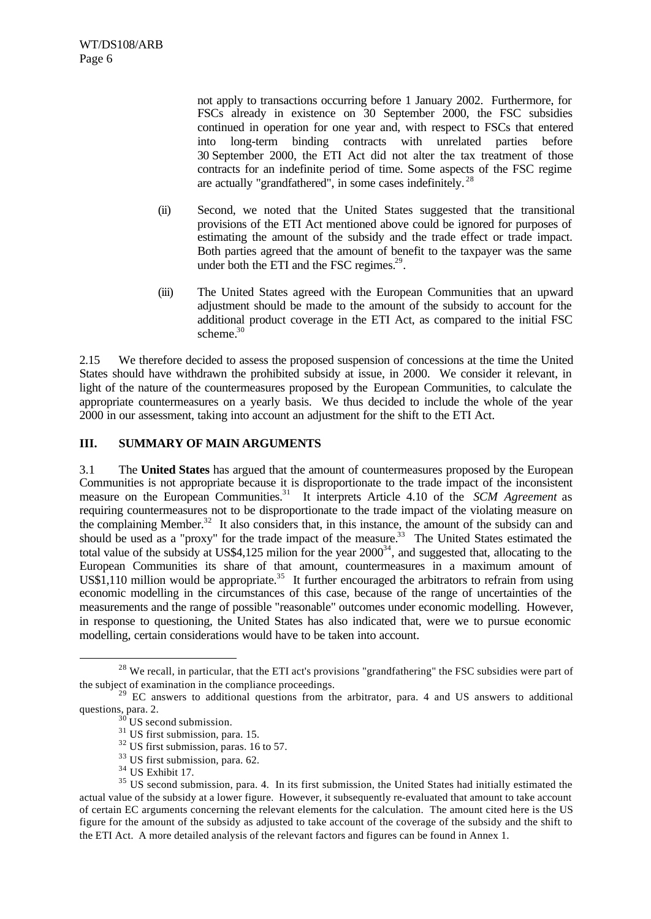not apply to transactions occurring before 1 January 2002. Furthermore, for FSCs already in existence on 30 September 2000, the FSC subsidies continued in operation for one year and, with respect to FSCs that entered into long-term binding contracts with unrelated parties before 30 September 2000, the ETI Act did not alter the tax treatment of those contracts for an indefinite period of time. Some aspects of the FSC regime are actually "grandfathered", in some cases indefinitely. <sup>28</sup>

- (ii) Second, we noted that the United States suggested that the transitional provisions of the ETI Act mentioned above could be ignored for purposes of estimating the amount of the subsidy and the trade effect or trade impact. Both parties agreed that the amount of benefit to the taxpayer was the same under both the ETI and the FSC regimes.<sup>29</sup>.
- (iii) The United States agreed with the European Communities that an upward adjustment should be made to the amount of the subsidy to account for the additional product coverage in the ETI Act, as compared to the initial FSC scheme $^{30}$

2.15 We therefore decided to assess the proposed suspension of concessions at the time the United States should have withdrawn the prohibited subsidy at issue, in 2000. We consider it relevant, in light of the nature of the countermeasures proposed by the European Communities, to calculate the appropriate countermeasures on a yearly basis. We thus decided to include the whole of the year 2000 in our assessment, taking into account an adjustment for the shift to the ETI Act.

#### **III. SUMMARY OF MAIN ARGUMENTS**

3.1 The **United States** has argued that the amount of countermeasures proposed by the European Communities is not appropriate because it is disproportionate to the trade impact of the inconsistent measure on the European Communities.<sup>31</sup> It interprets Article 4.10 of the *SCM Agreement* as requiring countermeasures not to be disproportionate to the trade impact of the violating measure on the complaining Member.<sup>32</sup> It also considers that, in this instance, the amount of the subsidy can and should be used as a "proxy" for the trade impact of the measure.<sup>33</sup> The United States estimated the total value of the subsidy at US\$4,125 milion for the year  $2000^{34}$ , and suggested that, allocating to the European Communities its share of that amount, countermeasures in a maximum amount of US\$1,110 million would be appropriate.<sup>35</sup> It further encouraged the arbitrators to refrain from using economic modelling in the circumstances of this case, because of the range of uncertainties of the measurements and the range of possible "reasonable" outcomes under economic modelling. However, in response to questioning, the United States has also indicated that, were we to pursue economic modelling, certain considerations would have to be taken into account.

<sup>&</sup>lt;sup>28</sup> We recall, in particular, that the ETI act's provisions "grandfathering" the FSC subsidies were part of the subject of examination in the compliance proceedings.

 $29$  EC answers to additional questions from the arbitrator, para. 4 and US answers to additional questions, para. 2.

 $30^{\circ}$ US second submission.

<sup>&</sup>lt;sup>31</sup> US first submission, para. 15.

<sup>&</sup>lt;sup>32</sup> US first submission, paras. 16 to 57.

<sup>&</sup>lt;sup>33</sup> US first submission, para. 62.

 $34$  US Exhibit 17.

<sup>&</sup>lt;sup>35</sup> US second submission, para. 4. In its first submission, the United States had initially estimated the actual value of the subsidy at a lower figure. However, it subsequently re-evaluated that amount to take account of certain EC arguments concerning the relevant elements for the calculation. The amount cited here is the US figure for the amount of the subsidy as adjusted to take account of the coverage of the subsidy and the shift to the ETI Act. A more detailed analysis of the relevant factors and figures can be found in Annex 1.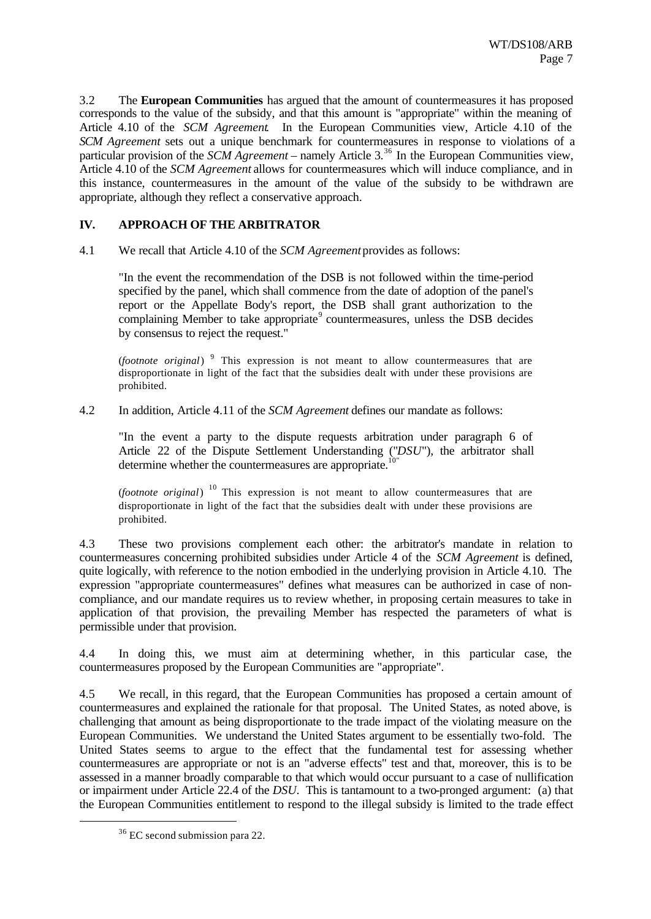3.2 The **European Communities** has argued that the amount of countermeasures it has proposed corresponds to the value of the subsidy, and that this amount is "appropriate" within the meaning of Article 4.10 of the *SCM Agreement*. In the European Communities view, Article 4.10 of the *SCM Agreement* sets out a unique benchmark for countermeasures in response to violations of a particular provision of the *SCM Agreement* – namely Article 3.<sup>36</sup> In the European Communities view, Article 4.10 of the *SCM Agreement* allows for countermeasures which will induce compliance, and in this instance, countermeasures in the amount of the value of the subsidy to be withdrawn are appropriate, although they reflect a conservative approach.

#### **IV. APPROACH OF THE ARBITRATOR**

4.1 We recall that Article 4.10 of the *SCM Agreement* provides as follows:

"In the event the recommendation of the DSB is not followed within the time-period specified by the panel, which shall commence from the date of adoption of the panel's report or the Appellate Body's report, the DSB shall grant authorization to the complaining Member to take appropriate<sup>9</sup> countermeasures, unless the DSB decides by consensus to reject the request."

(*footnote original*)<sup>9</sup> This expression is not meant to allow countermeasures that are disproportionate in light of the fact that the subsidies dealt with under these provisions are prohibited.

4.2 In addition, Article 4.11 of the *SCM Agreement* defines our mandate as follows:

"In the event a party to the dispute requests arbitration under paragraph 6 of Article 22 of the Dispute Settlement Understanding ("*DSU*"), the arbitrator shall determine whether the countermeasures are appropriate.<sup>10"</sup>

(*footnote original*)  $^{10}$  This expression is not meant to allow countermeasures that are disproportionate in light of the fact that the subsidies dealt with under these provisions are prohibited.

4.3 These two provisions complement each other: the arbitrator's mandate in relation to countermeasures concerning prohibited subsidies under Article 4 of the *SCM Agreement* is defined, quite logically, with reference to the notion embodied in the underlying provision in Article 4.10. The expression "appropriate countermeasures" defines what measures can be authorized in case of noncompliance, and our mandate requires us to review whether, in proposing certain measures to take in application of that provision, the prevailing Member has respected the parameters of what is permissible under that provision.

4.4 In doing this, we must aim at determining whether, in this particular case, the countermeasures proposed by the European Communities are "appropriate".

4.5 We recall, in this regard, that the European Communities has proposed a certain amount of countermeasures and explained the rationale for that proposal. The United States, as noted above, is challenging that amount as being disproportionate to the trade impact of the violating measure on the European Communities. We understand the United States argument to be essentially two-fold. The United States seems to argue to the effect that the fundamental test for assessing whether countermeasures are appropriate or not is an "adverse effects" test and that, moreover, this is to be assessed in a manner broadly comparable to that which would occur pursuant to a case of nullification or impairment under Article 22.4 of the *DSU*. This is tantamount to a two-pronged argument: (a) that the European Communities entitlement to respond to the illegal subsidy is limited to the trade effect

<sup>&</sup>lt;sup>36</sup> EC second submission para 22.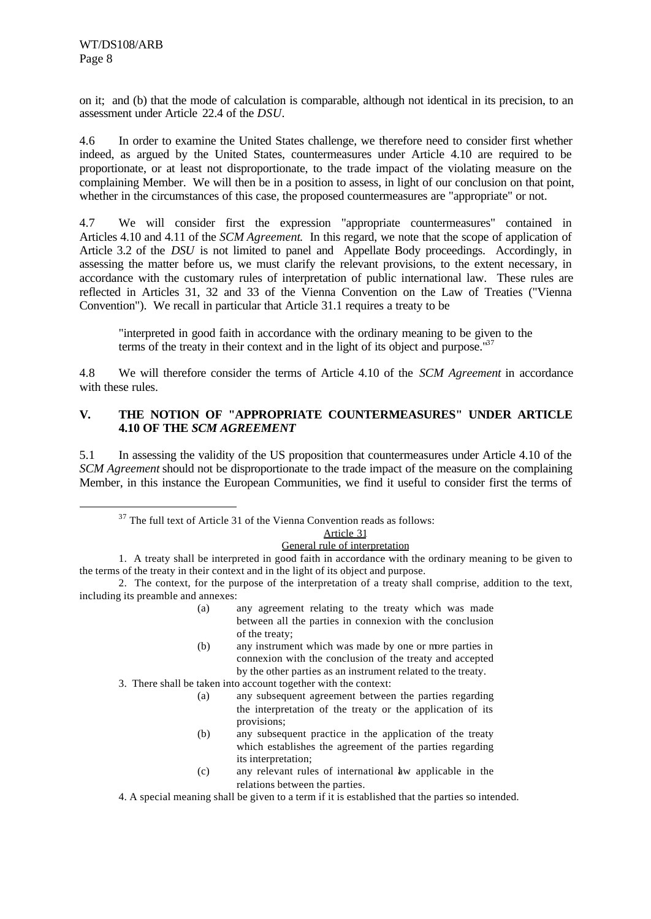l

on it; and (b) that the mode of calculation is comparable, although not identical in its precision, to an assessment under Article 22.4 of the *DSU*.

4.6 In order to examine the United States challenge, we therefore need to consider first whether indeed, as argued by the United States, countermeasures under Article 4.10 are required to be proportionate, or at least not disproportionate, to the trade impact of the violating measure on the complaining Member. We will then be in a position to assess, in light of our conclusion on that point, whether in the circumstances of this case, the proposed countermeasures are "appropriate" or not.

4.7 We will consider first the expression "appropriate countermeasures" contained in Articles 4.10 and 4.11 of the *SCM Agreement*. In this regard, we note that the scope of application of Article 3.2 of the *DSU* is not limited to panel and Appellate Body proceedings. Accordingly, in assessing the matter before us, we must clarify the relevant provisions, to the extent necessary, in accordance with the customary rules of interpretation of public international law. These rules are reflected in Articles 31, 32 and 33 of the Vienna Convention on the Law of Treaties ("Vienna Convention"). We recall in particular that Article 31.1 requires a treaty to be

"interpreted in good faith in accordance with the ordinary meaning to be given to the terms of the treaty in their context and in the light of its object and purpose. $137$ 

4.8 We will therefore consider the terms of Article 4.10 of the *SCM Agreement* in accordance with these rules.

#### **V. THE NOTION OF "APPROPRIATE COUNTERMEASURES" UNDER ARTICLE 4.10 OF THE** *SCM AGREEMENT*

5.1 In assessing the validity of the US proposition that countermeasures under Article 4.10 of the *SCM Agreement* should not be disproportionate to the trade impact of the measure on the complaining Member, in this instance the European Communities, we find it useful to consider first the terms of

<sup>37</sup> The full text of Article 31 of the Vienna Convention reads as follows:

## Article 31

#### General rule of interpretation

1. A treaty shall be interpreted in good faith in accordance with the ordinary meaning to be given to the terms of the treaty in their context and in the light of its object and purpose.

2. The context, for the purpose of the interpretation of a treaty shall comprise, addition to the text, including its preamble and annexes:

- (a) any agreement relating to the treaty which was made between all the parties in connexion with the conclusion of the treaty;
- (b) any instrument which was made by one or more parties in connexion with the conclusion of the treaty and accepted by the other parties as an instrument related to the treaty.

3. There shall be taken into account together with the context:

- (a) any subsequent agreement between the parties regarding the interpretation of the treaty or the application of its provisions;
- (b) any subsequent practice in the application of the treaty which establishes the agreement of the parties regarding its interpretation;
- (c) any relevant rules of international law applicable in the relations between the parties.

4. A special meaning shall be given to a term if it is established that the parties so intended.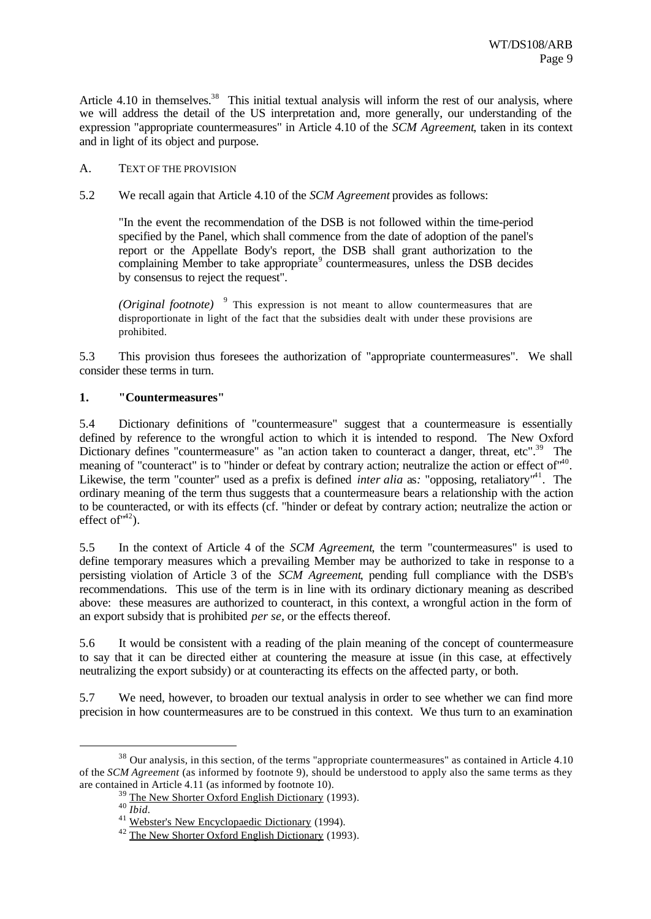Article 4.10 in themselves.<sup>38</sup> This initial textual analysis will inform the rest of our analysis, where we will address the detail of the US interpretation and, more generally, our understanding of the expression "appropriate countermeasures" in Article 4.10 of the *SCM Agreement*, taken in its context and in light of its object and purpose.

- A. TEXT OF THE PROVISION
- 5.2 We recall again that Article 4.10 of the *SCM Agreement* provides as follows:

"In the event the recommendation of the DSB is not followed within the time-period specified by the Panel, which shall commence from the date of adoption of the panel's report or the Appellate Body's report, the DSB shall grant authorization to the complaining Member to take appropriate<sup>9</sup> countermeasures, unless the DSB decides by consensus to reject the request".

*(Original footnote)*<sup>9</sup> This expression is not meant to allow countermeasures that are disproportionate in light of the fact that the subsidies dealt with under these provisions are prohibited.

5.3 This provision thus foresees the authorization of "appropriate countermeasures". We shall consider these terms in turn.

#### **1. "Countermeasures"**

5.4 Dictionary definitions of "countermeasure" suggest that a countermeasure is essentially defined by reference to the wrongful action to which it is intended to respond. The New Oxford Dictionary defines "countermeasure" as "an action taken to counteract a danger, threat, etc".<sup>39</sup> The meaning of "counteract" is to "hinder or defeat by contrary action; neutralize the action or effect of"<sup>40</sup>. Likewise, the term "counter" used as a prefix is defined *inter alia* as: "opposing, retaliatory"<sup>41</sup>. The ordinary meaning of the term thus suggests that a countermeasure bears a relationship with the action to be counteracted, or with its effects (cf. "hinder or defeat by contrary action; neutralize the action or effect of  $n^{42}$ ).

5.5 In the context of Article 4 of the *SCM Agreement*, the term "countermeasures" is used to define temporary measures which a prevailing Member may be authorized to take in response to a persisting violation of Article 3 of the *SCM Agreement*, pending full compliance with the DSB's recommendations. This use of the term is in line with its ordinary dictionary meaning as described above: these measures are authorized to counteract, in this context, a wrongful action in the form of an export subsidy that is prohibited *per se,* or the effects thereof.

5.6 It would be consistent with a reading of the plain meaning of the concept of countermeasure to say that it can be directed either at countering the measure at issue (in this case, at effectively neutralizing the export subsidy) or at counteracting its effects on the affected party, or both.

5.7 We need, however, to broaden our textual analysis in order to see whether we can find more precision in how countermeasures are to be construed in this context. We thus turn to an examination

<sup>&</sup>lt;sup>38</sup> Our analysis, in this section, of the terms "appropriate countermeasures" as contained in Article 4.10 of the *SCM Agreement* (as informed by footnote 9), should be understood to apply also the same terms as they are contained in Article 4.11 (as informed by footnote 10).

<sup>&</sup>lt;sup>39</sup> The New Shorter Oxford English Dictionary (1993).

<sup>40</sup> *Ibid.*

<sup>&</sup>lt;sup>41</sup> Webster's New Encyclopaedic Dictionary (1994).

<sup>&</sup>lt;sup>42</sup> The New Shorter Oxford English Dictionary (1993).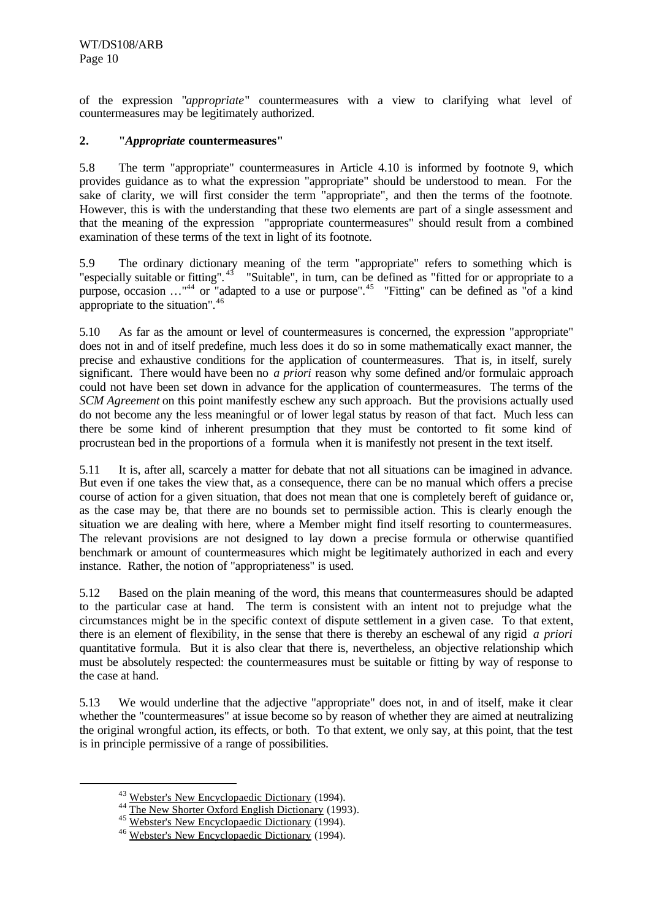of the expression "*appropriate*" countermeasures with a view to clarifying what level of countermeasures may be legitimately authorized.

#### **2. "***Appropriate* **countermeasures"**

5.8 The term "appropriate" countermeasures in Article 4.10 is informed by footnote 9, which provides guidance as to what the expression "appropriate" should be understood to mean. For the sake of clarity, we will first consider the term "appropriate", and then the terms of the footnote. However, this is with the understanding that these two elements are part of a single assessment and that the meaning of the expression "appropriate countermeasures" should result from a combined examination of these terms of the text in light of its footnote.

5.9 The ordinary dictionary meaning of the term "appropriate" refers to something which is "especially suitable or fitting".<sup>43</sup> "Suitable", in turn, can be defined as "fitted for or appropriate to a purpose, occasion ..."<sup>44</sup> or "adapted to a use or purpose".<sup>45</sup> "Fitting" can be defined as "of a kind appropriate to the situation".<sup>46</sup>

5.10 As far as the amount or level of countermeasures is concerned, the expression "appropriate" does not in and of itself predefine, much less does it do so in some mathematically exact manner, the precise and exhaustive conditions for the application of countermeasures. That is, in itself, surely significant. There would have been no *a priori* reason why some defined and/or formulaic approach could not have been set down in advance for the application of countermeasures. The terms of the *SCM Agreement* on this point manifestly eschew any such approach. But the provisions actually used do not become any the less meaningful or of lower legal status by reason of that fact. Much less can there be some kind of inherent presumption that they must be contorted to fit some kind of procrustean bed in the proportions of a formula when it is manifestly not present in the text itself.

5.11 It is, after all, scarcely a matter for debate that not all situations can be imagined in advance. But even if one takes the view that, as a consequence, there can be no manual which offers a precise course of action for a given situation, that does not mean that one is completely bereft of guidance or, as the case may be, that there are no bounds set to permissible action. This is clearly enough the situation we are dealing with here, where a Member might find itself resorting to countermeasures. The relevant provisions are not designed to lay down a precise formula or otherwise quantified benchmark or amount of countermeasures which might be legitimately authorized in each and every instance. Rather, the notion of "appropriateness" is used.

5.12 Based on the plain meaning of the word, this means that countermeasures should be adapted to the particular case at hand. The term is consistent with an intent not to prejudge what the circumstances might be in the specific context of dispute settlement in a given case. To that extent, there is an element of flexibility, in the sense that there is thereby an eschewal of any rigid *a priori* quantitative formula. But it is also clear that there is, nevertheless, an objective relationship which must be absolutely respected: the countermeasures must be suitable or fitting by way of response to the case at hand.

5.13 We would underline that the adjective "appropriate" does not, in and of itself, make it clear whether the "countermeasures" at issue become so by reason of whether they are aimed at neutralizing the original wrongful action, its effects, or both. To that extent, we only say, at this point, that the test is in principle permissive of a range of possibilities.

<sup>&</sup>lt;sup>43</sup> Webster's New Encyclopaedic Dictionary (1994).

<sup>&</sup>lt;sup>44</sup> The New Shorter Oxford English Dictionary (1993).

<sup>45</sup> Webster's New Encyclopaedic Dictionary (1994).

<sup>&</sup>lt;sup>46</sup> Webster's New Encyclopaedic Dictionary (1994).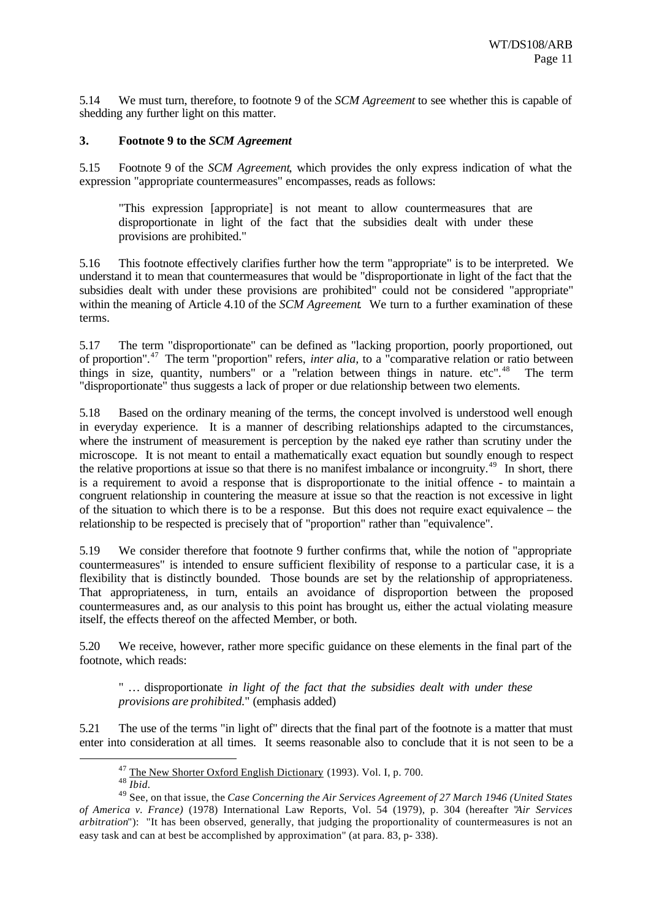5.14 We must turn, therefore, to footnote 9 of the *SCM Agreement* to see whether this is capable of shedding any further light on this matter.

#### **3. Footnote 9 to the** *SCM Agreement*

5.15 Footnote 9 of the *SCM Agreement*, which provides the only express indication of what the expression "appropriate countermeasures" encompasses, reads as follows:

"This expression [appropriate] is not meant to allow countermeasures that are disproportionate in light of the fact that the subsidies dealt with under these provisions are prohibited."

5.16 This footnote effectively clarifies further how the term "appropriate" is to be interpreted. We understand it to mean that countermeasures that would be "disproportionate in light of the fact that the subsidies dealt with under these provisions are prohibited" could not be considered "appropriate" within the meaning of Article 4.10 of the *SCM Agreement*. We turn to a further examination of these terms.

5.17 The term "disproportionate" can be defined as "lacking proportion, poorly proportioned, out of proportion".<sup>47</sup> The term "proportion" refers, *inter alia,* to a "comparative relation or ratio between things in size, quantity, numbers" or a "relation between things in nature. etc".<sup>48</sup> The term "disproportionate" thus suggests a lack of proper or due relationship between two elements.

5.18 Based on the ordinary meaning of the terms, the concept involved is understood well enough in everyday experience. It is a manner of describing relationships adapted to the circumstances, where the instrument of measurement is perception by the naked eye rather than scrutiny under the microscope. It is not meant to entail a mathematically exact equation but soundly enough to respect the relative proportions at issue so that there is no manifest imbalance or incongruity.<sup>49</sup> In short, there is a requirement to avoid a response that is disproportionate to the initial offence - to maintain a congruent relationship in countering the measure at issue so that the reaction is not excessive in light of the situation to which there is to be a response. But this does not require exact equivalence – the relationship to be respected is precisely that of "proportion" rather than "equivalence".

5.19 We consider therefore that footnote 9 further confirms that, while the notion of "appropriate countermeasures" is intended to ensure sufficient flexibility of response to a particular case, it is a flexibility that is distinctly bounded. Those bounds are set by the relationship of appropriateness. That appropriateness, in turn, entails an avoidance of disproportion between the proposed countermeasures and, as our analysis to this point has brought us, either the actual violating measure itself, the effects thereof on the affected Member, or both.

5.20 We receive, however, rather more specific guidance on these elements in the final part of the footnote, which reads:

" … disproportionate *in light of the fact that the subsidies dealt with under these provisions are prohibited.*" (emphasis added)

5.21 The use of the terms "in light of" directs that the final part of the footnote is a matter that must enter into consideration at all times. It seems reasonable also to conclude that it is not seen to be a

<sup>&</sup>lt;sup>47</sup> The New Shorter Oxford English Dictionary (1993). Vol. I, p. 700.

<sup>48</sup> *Ibid.*

<sup>49</sup> See, on that issue, the *Case Concerning the Air Services Agreement of 27 March 1946 (United States of America v. France)* (1978) International Law Reports, Vol. 54 (1979), p. 304 (hereafter "*Air Services arbitration*"): "It has been observed, generally, that judging the proportionality of countermeasures is not an easy task and can at best be accomplished by approximation" (at para. 83, p- 338).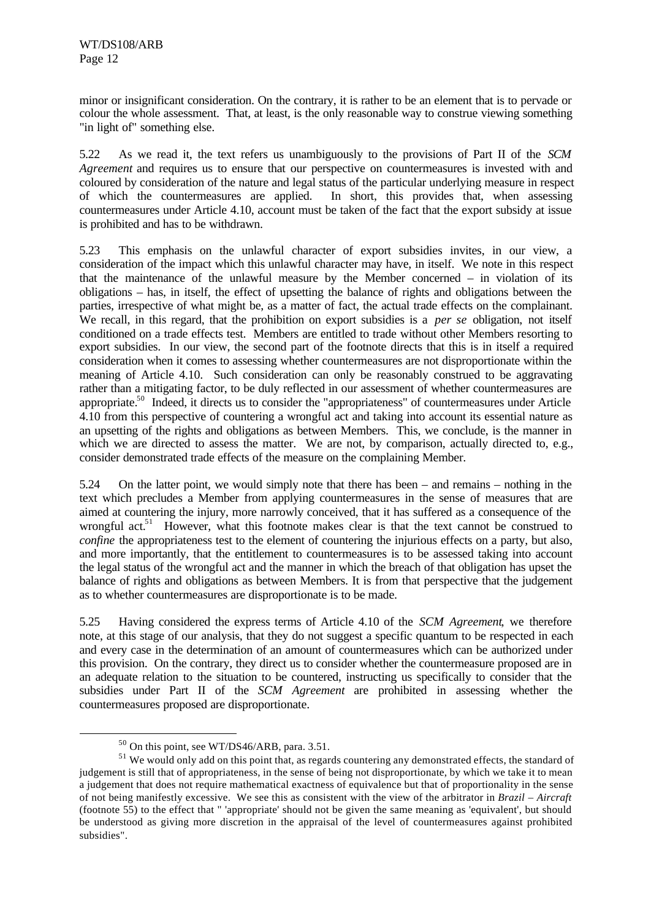minor or insignificant consideration. On the contrary, it is rather to be an element that is to pervade or colour the whole assessment. That, at least, is the only reasonable way to construe viewing something "in light of" something else.

5.22 As we read it, the text refers us unambiguously to the provisions of Part II of the *SCM Agreement* and requires us to ensure that our perspective on countermeasures is invested with and coloured by consideration of the nature and legal status of the particular underlying measure in respect of which the countermeasures are applied. In short, this provides that, when assessing countermeasures under Article 4.10, account must be taken of the fact that the export subsidy at issue is prohibited and has to be withdrawn.

5.23 This emphasis on the unlawful character of export subsidies invites, in our view, a consideration of the impact which this unlawful character may have, in itself. We note in this respect that the maintenance of the unlawful measure by the Member concerned – in violation of its obligations – has, in itself, the effect of upsetting the balance of rights and obligations between the parties, irrespective of what might be, as a matter of fact, the actual trade effects on the complainant. We recall, in this regard, that the prohibition on export subsidies is a *per se* obligation, not itself conditioned on a trade effects test. Members are entitled to trade without other Members resorting to export subsidies. In our view, the second part of the footnote directs that this is in itself a required consideration when it comes to assessing whether countermeasures are not disproportionate within the meaning of Article 4.10. Such consideration can only be reasonably construed to be aggravating rather than a mitigating factor, to be duly reflected in our assessment of whether countermeasures are appropriate.<sup>50</sup> Indeed, it directs us to consider the "appropriateness" of countermeasures under Article 4.10 from this perspective of countering a wrongful act and taking into account its essential nature as an upsetting of the rights and obligations as between Members. This, we conclude, is the manner in which we are directed to assess the matter. We are not, by comparison, actually directed to, e.g., consider demonstrated trade effects of the measure on the complaining Member.

5.24 On the latter point, we would simply note that there has been – and remains – nothing in the text which precludes a Member from applying countermeasures in the sense of measures that are aimed at countering the injury, more narrowly conceived, that it has suffered as a consequence of the wrongful act.<sup>51</sup> However, what this footnote makes clear is that the text cannot be construed to *confine* the appropriateness test to the element of countering the injurious effects on a party, but also, and more importantly, that the entitlement to countermeasures is to be assessed taking into account the legal status of the wrongful act and the manner in which the breach of that obligation has upset the balance of rights and obligations as between Members. It is from that perspective that the judgement as to whether countermeasures are disproportionate is to be made.

5.25 Having considered the express terms of Article 4.10 of the *SCM Agreement*, we therefore note, at this stage of our analysis, that they do not suggest a specific quantum to be respected in each and every case in the determination of an amount of countermeasures which can be authorized under this provision. On the contrary, they direct us to consider whether the countermeasure proposed are in an adequate relation to the situation to be countered, instructing us specifically to consider that the subsidies under Part II of the *SCM Agreement* are prohibited in assessing whether the countermeasures proposed are disproportionate.

 $50$  On this point, see WT/DS46/ARB, para. 3.51.

<sup>&</sup>lt;sup>51</sup> We would only add on this point that, as regards countering any demonstrated effects, the standard of judgement is still that of appropriateness, in the sense of being not disproportionate, by which we take it to mean a judgement that does not require mathematical exactness of equivalence but that of proportionality in the sense of not being manifestly excessive. We see this as consistent with the view of the arbitrator in *Brazil – Aircraft* (footnote 55) to the effect that " 'appropriate' should not be given the same meaning as 'equivalent', but should be understood as giving more discretion in the appraisal of the level of countermeasures against prohibited subsidies".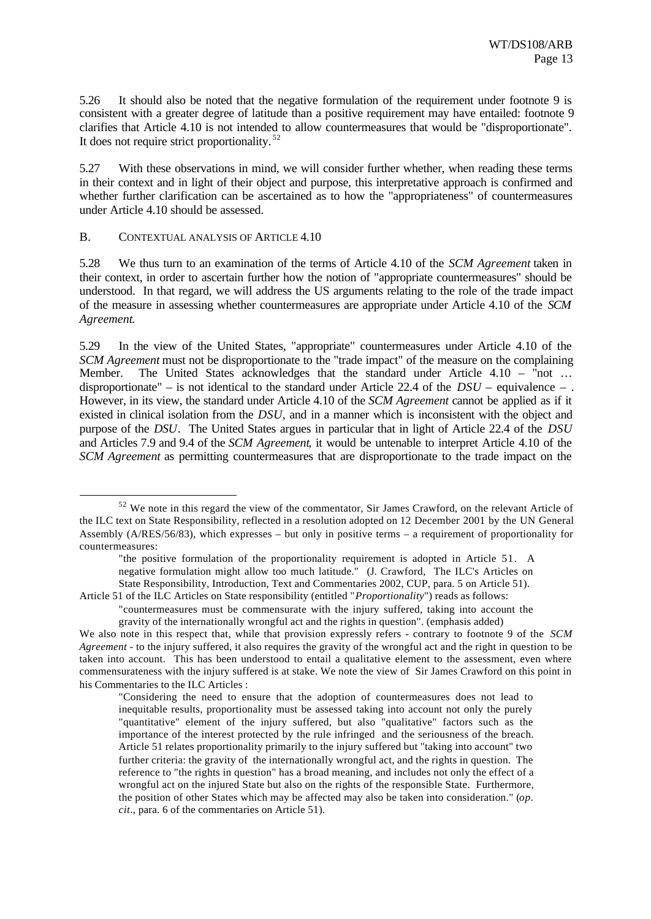5.26 It should also be noted that the negative formulation of the requirement under footnote 9 is consistent with a greater degree of latitude than a positive requirement may have entailed: footnote 9 clarifies that Article 4.10 is not intended to allow countermeasures that would be "disproportionate". It does not require strict proportionality. <sup>52</sup>

5.27 With these observations in mind, we will consider further whether, when reading these terms in their context and in light of their object and purpose, this interpretative approach is confirmed and whether further clarification can be ascertained as to how the "appropriateness" of countermeasures under Article 4.10 should be assessed.

#### B. CONTEXTUAL ANALYSIS OF ARTICLE 4.10

l

5.28 We thus turn to an examination of the terms of Article 4.10 of the *SCM Agreement* taken in their context, in order to ascertain further how the notion of "appropriate countermeasures" should be understood. In that regard, we will address the US arguments relating to the role of the trade impact of the measure in assessing whether countermeasures are appropriate under Article 4.10 of the *SCM Agreement*.

5.29 In the view of the United States, "appropriate" countermeasures under Article 4.10 of the *SCM Agreement* must not be disproportionate to the "trade impact" of the measure on the complaining Member. The United States acknowledges that the standard under Article 4.10 – "not ... disproportionate" – is not identical to the standard under Article 22.4 of the *DSU* – equivalence – . However, in its view, the standard under Article 4.10 of the *SCM Agreement* cannot be applied as if it existed in clinical isolation from the *DSU*, and in a manner which is inconsistent with the object and purpose of the *DSU*. The United States argues in particular that in light of Article 22.4 of the *DSU* and Articles 7.9 and 9.4 of the *SCM Agreement*, it would be untenable to interpret Article 4.10 of the *SCM Agreement* as permitting countermeasures that are disproportionate to the trade impact on the

<sup>&</sup>lt;sup>52</sup> We note in this regard the view of the commentator, Sir James Crawford, on the relevant Article of the ILC text on State Responsibility, reflected in a resolution adopted on 12 December 2001 by the UN General Assembly (A/RES/56/83), which expresses – but only in positive terms – a requirement of proportionality for countermeasures:

<sup>&</sup>quot;the positive formulation of the proportionality requirement is adopted in Article 51. A negative formulation might allow too much latitude." (J. Crawford, The ILC's Articles on

State Responsibility, Introduction, Text and Commentaries 2002, CUP, para. 5 on Article 51). Article 51 of the ILC Articles on State responsibility (entitled "*Proportionality*") reads as follows:

<sup>&</sup>quot;countermeasures must be commensurate with the injury suffered, taking into account the gravity of the internationally wrongful act and the rights in question". (emphasis added)

We also note in this respect that, while that provision expressly refers - contrary to footnote 9 of the *SCM Agreement* - to the injury suffered, it also requires the gravity of the wrongful act and the right in question to be taken into account. This has been understood to entail a qualitative element to the assessment, even where commensurateness with the injury suffered is at stake. We note the view of Sir James Crawford on this point in his Commentaries to the ILC Articles :

<sup>&</sup>quot;Considering the need to ensure that the adoption of countermeasures does not lead to inequitable results, proportionality must be assessed taking into account not only the purely "quantitative" element of the injury suffered, but also "qualitative" factors such as the importance of the interest protected by the rule infringed and the seriousness of the breach. Article 51 relates proportionality primarily to the injury suffered but "taking into account" two further criteria: the gravity of the internationally wrongful act, and the rights in question. The reference to "the rights in question" has a broad meaning, and includes not only the effect of a wrongful act on the injured State but also on the rights of the responsible State. Furthermore, the position of other States which may be affected may also be taken into consideration." (*op. cit*., para. 6 of the commentaries on Article 51).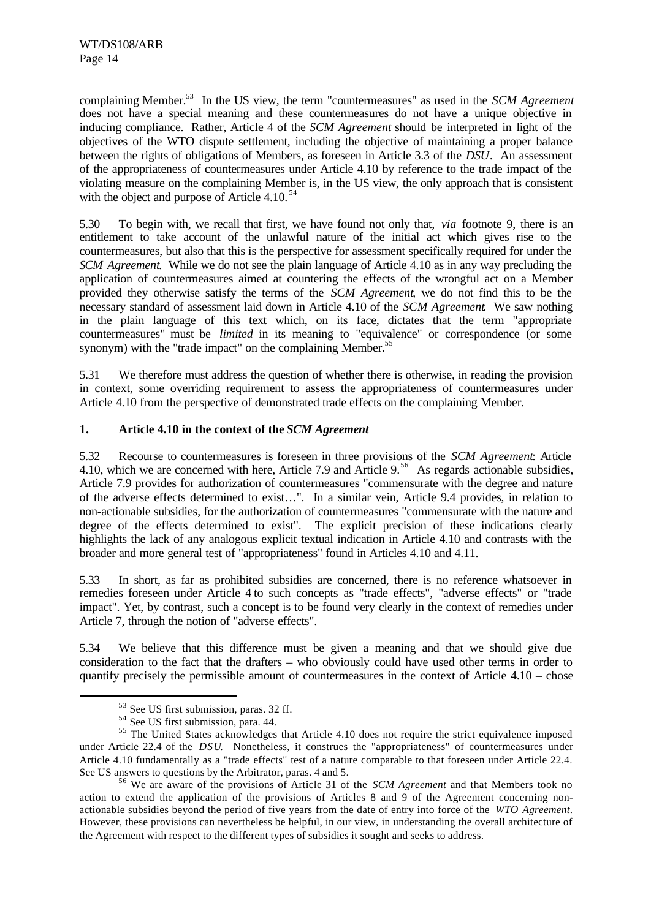complaining Member.<sup>53</sup> In the US view, the term "countermeasures" as used in the *SCM Agreement* does not have a special meaning and these countermeasures do not have a unique objective in inducing compliance. Rather, Article 4 of the *SCM Agreement* should be interpreted in light of the objectives of the WTO dispute settlement, including the objective of maintaining a proper balance between the rights of obligations of Members, as foreseen in Article 3.3 of the *DSU*. An assessment of the appropriateness of countermeasures under Article 4.10 by reference to the trade impact of the violating measure on the complaining Member is, in the US view, the only approach that is consistent with the object and purpose of Article 4.10.<sup>54</sup>

5.30 To begin with, we recall that first, we have found not only that, *via* footnote 9, there is an entitlement to take account of the unlawful nature of the initial act which gives rise to the countermeasures, but also that this is the perspective for assessment specifically required for under the *SCM Agreement*. While we do not see the plain language of Article 4.10 as in any way precluding the application of countermeasures aimed at countering the effects of the wrongful act on a Member provided they otherwise satisfy the terms of the *SCM Agreement*, we do not find this to be the necessary standard of assessment laid down in Article 4.10 of the *SCM Agreement*. We saw nothing in the plain language of this text which, on its face, dictates that the term "appropriate countermeasures" must be *limited* in its meaning to "equivalence" or correspondence (or some synonym) with the "trade impact" on the complaining Member.<sup>55</sup>

5.31 We therefore must address the question of whether there is otherwise, in reading the provision in context, some overriding requirement to assess the appropriateness of countermeasures under Article 4.10 from the perspective of demonstrated trade effects on the complaining Member.

#### **1. Article 4.10 in the context of the** *SCM Agreement*

5.32 Recourse to countermeasures is foreseen in three provisions of the *SCM Agreement*: Article 4.10, which we are concerned with here, Article 7.9 and Article  $9<sup>56</sup>$  As regards actionable subsidies, Article 7.9 provides for authorization of countermeasures "commensurate with the degree and nature of the adverse effects determined to exist…". In a similar vein, Article 9.4 provides, in relation to non-actionable subsidies, for the authorization of countermeasures "commensurate with the nature and degree of the effects determined to exist". The explicit precision of these indications clearly highlights the lack of any analogous explicit textual indication in Article 4.10 and contrasts with the broader and more general test of "appropriateness" found in Articles 4.10 and 4.11.

5.33 In short, as far as prohibited subsidies are concerned, there is no reference whatsoever in remedies foreseen under Article 4 to such concepts as "trade effects", "adverse effects" or "trade impact". Yet, by contrast, such a concept is to be found very clearly in the context of remedies under Article 7, through the notion of "adverse effects".

5.34 We believe that this difference must be given a meaning and that we should give due consideration to the fact that the drafters – who obviously could have used other terms in order to quantify precisely the permissible amount of countermeasures in the context of Article  $4.10$  – chose

<sup>53</sup> See US first submission, paras. 32 ff.

<sup>&</sup>lt;sup>54</sup> See US first submission, para. 44.

 $55$  The United States acknowledges that Article 4.10 does not require the strict equivalence imposed under Article 22.4 of the *DSU*. Nonetheless, it construes the "appropriateness" of countermeasures under Article 4.10 fundamentally as a "trade effects" test of a nature comparable to that foreseen under Article 22.4. See US answers to questions by the Arbitrator, paras. 4 and 5.

<sup>56</sup> We are aware of the provisions of Article 31 of the *SCM Agreement* and that Members took no action to extend the application of the provisions of Articles 8 and 9 of the Agreement concerning nonactionable subsidies beyond the period of five years from the date of entry into force of the *WTO Agreement*. However, these provisions can nevertheless be helpful, in our view, in understanding the overall architecture of the Agreement with respect to the different types of subsidies it sought and seeks to address.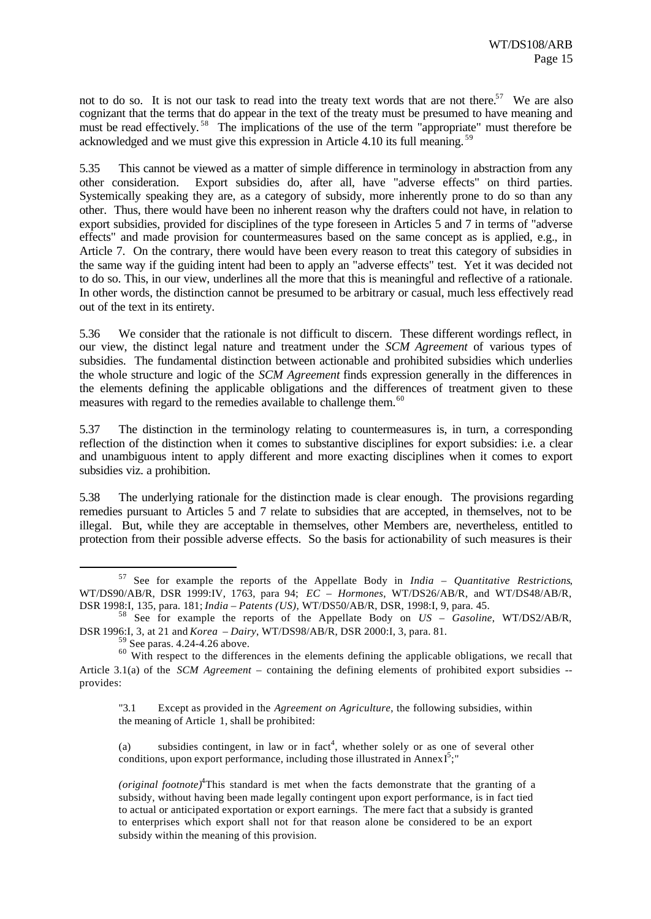not to do so. It is not our task to read into the treaty text words that are not there.<sup>57</sup> We are also cognizant that the terms that do appear in the text of the treaty must be presumed to have meaning and must be read effectively.<sup>58</sup> The implications of the use of the term "appropriate" must therefore be acknowledged and we must give this expression in Article 4.10 its full meaning. <sup>59</sup>

5.35 This cannot be viewed as a matter of simple difference in terminology in abstraction from any other consideration. Export subsidies do, after all, have "adverse effects" on third parties. Systemically speaking they are, as a category of subsidy, more inherently prone to do so than any other. Thus, there would have been no inherent reason why the drafters could not have, in relation to export subsidies, provided for disciplines of the type foreseen in Articles 5 and 7 in terms of "adverse effects" and made provision for countermeasures based on the same concept as is applied, e.g., in Article 7. On the contrary, there would have been every reason to treat this category of subsidies in the same way if the guiding intent had been to apply an "adverse effects" test. Yet it was decided not to do so. This, in our view, underlines all the more that this is meaningful and reflective of a rationale. In other words, the distinction cannot be presumed to be arbitrary or casual, much less effectively read out of the text in its entirety.

5.36 We consider that the rationale is not difficult to discern. These different wordings reflect, in our view, the distinct legal nature and treatment under the *SCM Agreement* of various types of subsidies. The fundamental distinction between actionable and prohibited subsidies which underlies the whole structure and logic of the *SCM Agreement* finds expression generally in the differences in the elements defining the applicable obligations and the differences of treatment given to these measures with regard to the remedies available to challenge them.<sup>60</sup>

5.37 The distinction in the terminology relating to countermeasures is, in turn, a corresponding reflection of the distinction when it comes to substantive disciplines for export subsidies: i.e. a clear and unambiguous intent to apply different and more exacting disciplines when it comes to export subsidies viz. a prohibition.

5.38 The underlying rationale for the distinction made is clear enough. The provisions regarding remedies pursuant to Articles 5 and 7 relate to subsidies that are accepted, in themselves, not to be illegal. But, while they are acceptable in themselves, other Members are, nevertheless, entitled to protection from their possible adverse effects. So the basis for actionability of such measures is their

l

"3.1 Except as provided in the *Agreement on Agriculture*, the following subsidies, within the meaning of Article 1, shall be prohibited:

(a) subsidies contingent, in law or in fact<sup>4</sup>, whether solely or as one of several other conditions, upon export performance, including those illustrated in Annex  $I^5$ ;"

*(original footnote)*<sup>4</sup> This standard is met when the facts demonstrate that the granting of a subsidy, without having been made legally contingent upon export performance, is in fact tied to actual or anticipated exportation or export earnings. The mere fact that a subsidy is granted to enterprises which export shall not for that reason alone be considered to be an export subsidy within the meaning of this provision.

<sup>57</sup> See for example the reports of the Appellate Body in *India – Quantitative Restrictions*, WT/DS90/AB/R, DSR 1999:IV, 1763, para 94; *EC – Hormones*, WT/DS26/AB/R, and WT/DS48/AB/R, DSR 1998:I, 135, para. 181; *India – Patents (US)*, WT/DS50/AB/R, DSR, 1998:I, 9, para. 45.

<sup>58</sup> See for example the reports of the Appellate Body on *US – Gasoline*, WT/DS2/AB/R, DSR 1996:I, 3, at 21 and *Korea – Dairy*, WT/DS98/AB/R, DSR 2000:I, 3, para. 81.

 $59$  See paras. 4.24-4.26 above.

 $60$  With respect to the differences in the elements defining the applicable obligations, we recall that Article 3.1(a) of the *SCM Agreement* – containing the defining elements of prohibited export subsidies - provides: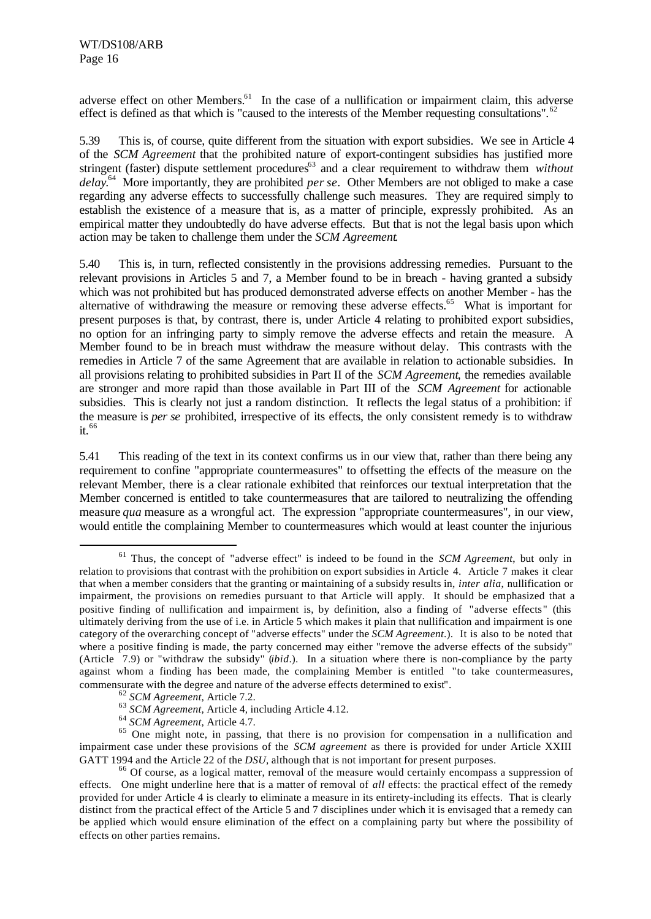adverse effect on other Members.<sup>61</sup> In the case of a nullification or impairment claim, this adverse effect is defined as that which is "caused to the interests of the Member requesting consultations".<sup>62</sup>

5.39 This is, of course, quite different from the situation with export subsidies. We see in Article 4 of the *SCM Agreement* that the prohibited nature of export-contingent subsidies has justified more stringent (faster) dispute settlement procedures<sup>63</sup> and a clear requirement to withdraw them *without delay*. <sup>64</sup> More importantly, they are prohibited *per se*. Other Members are not obliged to make a case regarding any adverse effects to successfully challenge such measures. They are required simply to establish the existence of a measure that is, as a matter of principle, expressly prohibited. As an empirical matter they undoubtedly do have adverse effects. But that is not the legal basis upon which action may be taken to challenge them under the *SCM Agreement*.

5.40 This is, in turn, reflected consistently in the provisions addressing remedies. Pursuant to the relevant provisions in Articles 5 and 7, a Member found to be in breach - having granted a subsidy which was not prohibited but has produced demonstrated adverse effects on another Member - has the alternative of withdrawing the measure or removing these adverse effects.<sup>65</sup> What is important for present purposes is that, by contrast, there is, under Article 4 relating to prohibited export subsidies, no option for an infringing party to simply remove the adverse effects and retain the measure. A Member found to be in breach must withdraw the measure without delay. This contrasts with the remedies in Article 7 of the same Agreement that are available in relation to actionable subsidies. In all provisions relating to prohibited subsidies in Part II of the *SCM Agreement*, the remedies available are stronger and more rapid than those available in Part III of the *SCM Agreement* for actionable subsidies. This is clearly not just a random distinction. It reflects the legal status of a prohibition: if the measure is *per se* prohibited, irrespective of its effects, the only consistent remedy is to withdraw  $it.$ <sup>66</sup>

5.41 This reading of the text in its context confirms us in our view that, rather than there being any requirement to confine "appropriate countermeasures" to offsetting the effects of the measure on the relevant Member, there is a clear rationale exhibited that reinforces our textual interpretation that the Member concerned is entitled to take countermeasures that are tailored to neutralizing the offending measure *qua* measure as a wrongful act. The expression "appropriate countermeasures", in our view, would entitle the complaining Member to countermeasures which would at least counter the injurious

<sup>61</sup> Thus, the concept of "adverse effect" is indeed to be found in the *SCM Agreement*, but only in relation to provisions that contrast with the prohibition on export subsidies in Article 4. Article 7 makes it clear that when a member considers that the granting or maintaining of a subsidy results in, *inter alia*, nullification or impairment, the provisions on remedies pursuant to that Article will apply. It should be emphasized that a positive finding of nullification and impairment is, by definition, also a finding of "adverse effects" (this ultimately deriving from the use of i.e. in Article 5 which makes it plain that nullification and impairment is one category of the overarching concept of "adverse effects" under the *SCM Agreement*.). It is also to be noted that where a positive finding is made, the party concerned may either "remove the adverse effects of the subsidy" (Article 7.9) or "withdraw the subsidy" (*ibid*.). In a situation where there is non-compliance by the party against whom a finding has been made, the complaining Member is entitled "to take countermeasures, commensurate with the degree and nature of the adverse effects determined to exist".

<sup>62</sup> *SCM Agreement*, Article 7.2.

<sup>63</sup> *SCM Agreement*, Article 4, including Article 4.12.

<sup>64</sup> *SCM Agreement*, Article 4.7.

<sup>&</sup>lt;sup>65</sup> One might note, in passing, that there is no provision for compensation in a nullification and impairment case under these provisions of the *SCM agreement* as there is provided for under Article XXIII GATT 1994 and the Article 22 of the *DSU*, although that is not important for present purposes.

<sup>&</sup>lt;sup>66</sup> Of course, as a logical matter, removal of the measure would certainly encompass a suppression of effects. One might underline here that is a matter of removal of *all* effects: the practical effect of the remedy provided for under Article 4 is clearly to eliminate a measure in its entirety-including its effects. That is clearly distinct from the practical effect of the Article 5 and 7 disciplines under which it is envisaged that a remedy can be applied which would ensure elimination of the effect on a complaining party but where the possibility of effects on other parties remains.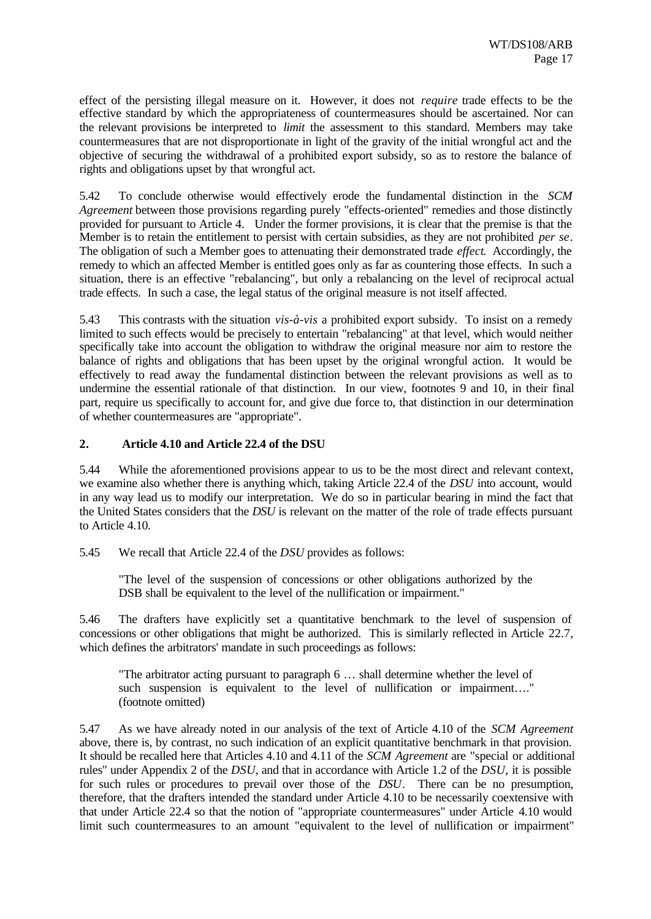effect of the persisting illegal measure on it. However, it does not *require* trade effects to be the effective standard by which the appropriateness of countermeasures should be ascertained. Nor can the relevant provisions be interpreted to *limit* the assessment to this standard. Members may take countermeasures that are not disproportionate in light of the gravity of the initial wrongful act and the objective of securing the withdrawal of a prohibited export subsidy, so as to restore the balance of rights and obligations upset by that wrongful act.

5.42 To conclude otherwise would effectively erode the fundamental distinction in the *SCM Agreement* between those provisions regarding purely "effects-oriented" remedies and those distinctly provided for pursuant to Article 4. Under the former provisions, it is clear that the premise is that the Member is to retain the entitlement to persist with certain subsidies, as they are not prohibited *per se*. The obligation of such a Member goes to attenuating their demonstrated trade *effect*. Accordingly, the remedy to which an affected Member is entitled goes only as far as countering those effects. In such a situation, there is an effective "rebalancing", but only a rebalancing on the level of reciprocal actual trade effects. In such a case, the legal status of the original measure is not itself affected.

5.43 This contrasts with the situation *vis-à-vis* a prohibited export subsidy. To insist on a remedy limited to such effects would be precisely to entertain "rebalancing" at that level, which would neither specifically take into account the obligation to withdraw the original measure nor aim to restore the balance of rights and obligations that has been upset by the original wrongful action. It would be effectively to read away the fundamental distinction between the relevant provisions as well as to undermine the essential rationale of that distinction. In our view, footnotes 9 and 10, in their final part, require us specifically to account for, and give due force to, that distinction in our determination of whether countermeasures are "appropriate".

#### **2. Article 4.10 and Article 22.4 of the DSU**

5.44 While the aforementioned provisions appear to us to be the most direct and relevant context, we examine also whether there is anything which, taking Article 22.4 of the *DSU* into account, would in any way lead us to modify our interpretation. We do so in particular bearing in mind the fact that the United States considers that the *DSU* is relevant on the matter of the role of trade effects pursuant to Article 4.10.

5.45 We recall that Article 22.4 of the *DSU* provides as follows:

"The level of the suspension of concessions or other obligations authorized by the DSB shall be equivalent to the level of the nullification or impairment."

5.46 The drafters have explicitly set a quantitative benchmark to the level of suspension of concessions or other obligations that might be authorized. This is similarly reflected in Article 22.7, which defines the arbitrators' mandate in such proceedings as follows:

"The arbitrator acting pursuant to paragraph 6 … shall determine whether the level of such suspension is equivalent to the level of nullification or impairment…." (footnote omitted)

5.47 As we have already noted in our analysis of the text of Article 4.10 of the *SCM Agreement* above, there is, by contrast, no such indication of an explicit quantitative benchmark in that provision. It should be recalled here that Articles 4.10 and 4.11 of the *SCM Agreement* are "special or additional rules" under Appendix 2 of the *DSU*, and that in accordance with Article 1.2 of the *DSU*, it is possible for such rules or procedures to prevail over those of the *DSU*. There can be no presumption, therefore, that the drafters intended the standard under Article 4.10 to be necessarily coextensive with that under Article 22.4 so that the notion of "appropriate countermeasures" under Article 4.10 would limit such countermeasures to an amount "equivalent to the level of nullification or impairment"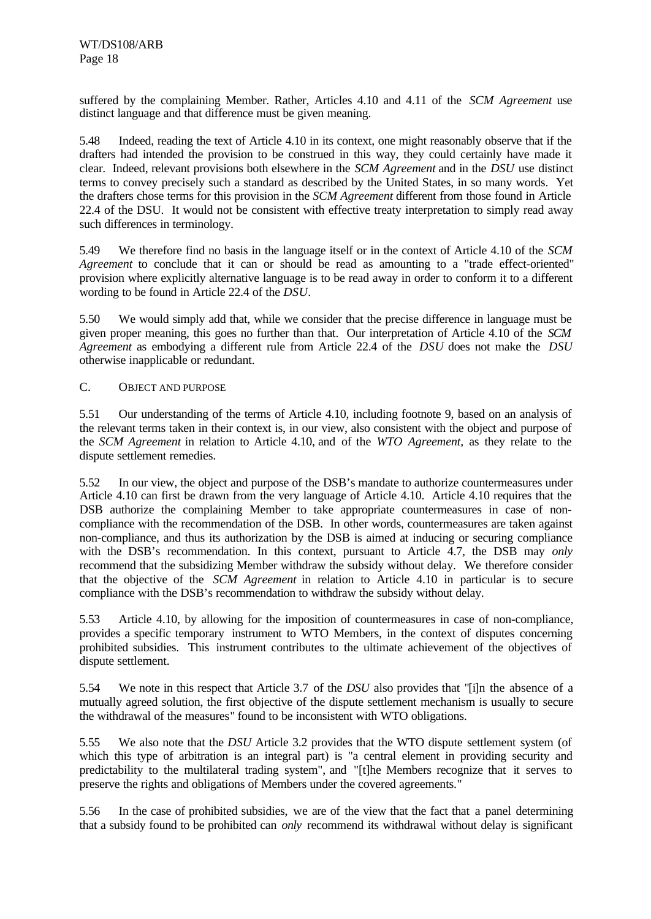suffered by the complaining Member. Rather, Articles 4.10 and 4.11 of the *SCM Agreement* use distinct language and that difference must be given meaning.

5.48 Indeed, reading the text of Article 4.10 in its context, one might reasonably observe that if the drafters had intended the provision to be construed in this way, they could certainly have made it clear. Indeed, relevant provisions both elsewhere in the *SCM Agreement* and in the *DSU* use distinct terms to convey precisely such a standard as described by the United States, in so many words. Yet the drafters chose terms for this provision in the *SCM Agreement* different from those found in Article 22.4 of the DSU. It would not be consistent with effective treaty interpretation to simply read away such differences in terminology.

5.49 We therefore find no basis in the language itself or in the context of Article 4.10 of the *SCM Agreement* to conclude that it can or should be read as amounting to a "trade effect-oriented" provision where explicitly alternative language is to be read away in order to conform it to a different wording to be found in Article 22.4 of the *DSU*.

5.50 We would simply add that, while we consider that the precise difference in language must be given proper meaning, this goes no further than that. Our interpretation of Article 4.10 of the *SCM Agreement* as embodying a different rule from Article 22.4 of the *DSU* does not make the *DSU* otherwise inapplicable or redundant.

#### C. OBJECT AND PURPOSE

5.51 Our understanding of the terms of Article 4.10, including footnote 9, based on an analysis of the relevant terms taken in their context is, in our view, also consistent with the object and purpose of the *SCM Agreement* in relation to Article 4.10, and of the *WTO Agreement,* as they relate to the dispute settlement remedies.

5.52 In our view, the object and purpose of the DSB's mandate to authorize countermeasures under Article 4.10 can first be drawn from the very language of Article 4.10. Article 4.10 requires that the DSB authorize the complaining Member to take appropriate countermeasures in case of noncompliance with the recommendation of the DSB. In other words, countermeasures are taken against non-compliance, and thus its authorization by the DSB is aimed at inducing or securing compliance with the DSB's recommendation. In this context, pursuant to Article 4.7, the DSB may *only* recommend that the subsidizing Member withdraw the subsidy without delay. We therefore consider that the objective of the *SCM Agreement* in relation to Article 4.10 in particular is to secure compliance with the DSB's recommendation to withdraw the subsidy without delay.

5.53 Article 4.10, by allowing for the imposition of countermeasures in case of non-compliance, provides a specific temporary instrument to WTO Members, in the context of disputes concerning prohibited subsidies. This instrument contributes to the ultimate achievement of the objectives of dispute settlement.

5.54 We note in this respect that Article 3.7 of the *DSU* also provides that "[i]n the absence of a mutually agreed solution, the first objective of the dispute settlement mechanism is usually to secure the withdrawal of the measures" found to be inconsistent with WTO obligations.

5.55 We also note that the *DSU* Article 3.2 provides that the WTO dispute settlement system (of which this type of arbitration is an integral part) is "a central element in providing security and predictability to the multilateral trading system", and "[t]he Members recognize that it serves to preserve the rights and obligations of Members under the covered agreements."

5.56 In the case of prohibited subsidies, we are of the view that the fact that a panel determining that a subsidy found to be prohibited can *only* recommend its withdrawal without delay is significant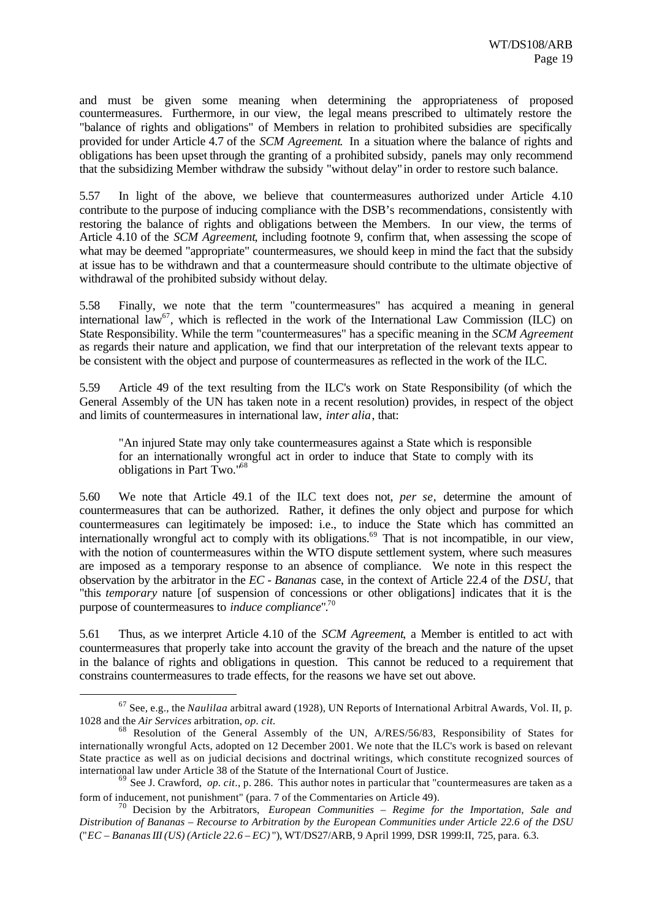and must be given some meaning when determining the appropriateness of proposed countermeasures. Furthermore, in our view, the legal means prescribed to ultimately restore the "balance of rights and obligations" of Members in relation to prohibited subsidies are specifically provided for under Article 4.7 of the *SCM Agreement*. In a situation where the balance of rights and obligations has been upset through the granting of a prohibited subsidy, panels may only recommend that the subsidizing Member withdraw the subsidy "without delay" in order to restore such balance.

5.57 In light of the above, we believe that countermeasures authorized under Article 4.10 contribute to the purpose of inducing compliance with the DSB's recommendations, consistently with restoring the balance of rights and obligations between the Members. In our view, the terms of Article 4.10 of the *SCM Agreement*, including footnote 9, confirm that, when assessing the scope of what may be deemed "appropriate" countermeasures, we should keep in mind the fact that the subsidy at issue has to be withdrawn and that a countermeasure should contribute to the ultimate objective of withdrawal of the prohibited subsidy without delay.

5.58 Finally, we note that the term "countermeasures" has acquired a meaning in general international law<sup>67</sup>, which is reflected in the work of the International Law Commission (ILC) on State Responsibility. While the term "countermeasures" has a specific meaning in the *SCM Agreement* as regards their nature and application, we find that our interpretation of the relevant texts appear to be consistent with the object and purpose of countermeasures as reflected in the work of the ILC.

5.59 Article 49 of the text resulting from the ILC's work on State Responsibility (of which the General Assembly of the UN has taken note in a recent resolution) provides, in respect of the object and limits of countermeasures in international law, *inter alia*, that:

"An injured State may only take countermeasures against a State which is responsible for an internationally wrongful act in order to induce that State to comply with its obligations in Part Two."<sup>68</sup>

5.60 We note that Article 49.1 of the ILC text does not, *per se*, determine the amount of countermeasures that can be authorized. Rather, it defines the only object and purpose for which countermeasures can legitimately be imposed: i.e., to induce the State which has committed an internationally wrongful act to comply with its obligations.<sup>69</sup> That is not incompatible, in our view, with the notion of countermeasures within the WTO dispute settlement system, where such measures are imposed as a temporary response to an absence of compliance. We note in this respect the observation by the arbitrator in the *EC - Bananas* case, in the context of Article 22.4 of the *DSU*, that "this *temporary* nature [of suspension of concessions or other obligations] indicates that it is the purpose of countermeasures to *induce compliance*".<sup>70</sup>

5.61 Thus, as we interpret Article 4.10 of the *SCM Agreement*, a Member is entitled to act with countermeasures that properly take into account the gravity of the breach and the nature of the upset in the balance of rights and obligations in question. This cannot be reduced to a requirement that constrains countermeasures to trade effects, for the reasons we have set out above.

<sup>67</sup> See, e.g., the *Naulilaa* arbitral award (1928), UN Reports of International Arbitral Awards, Vol. II, p. 1028 and the *Air Services* arbitration, *op. cit.*

<sup>&</sup>lt;sup>68</sup> Resolution of the General Assembly of the UN, A/RES/56/83, Responsibility of States for internationally wrongful Acts, adopted on 12 December 2001. We note that the ILC's work is based on relevant State practice as well as on judicial decisions and doctrinal writings, which constitute recognized sources of international law under Article 38 of the Statute of the International Court of Justice.

<sup>69</sup> See J. Crawford, *op. cit*., p. 286. This author notes in particular that "countermeasures are taken as a form of inducement, not punishment" (para. 7 of the Commentaries on Article 49).

<sup>70</sup> Decision by the Arbitrators, *European Communities – Regime for the Importation, Sale and Distribution of Bananas – Recourse to Arbitration by the European Communities under Article 22.6 of the DSU* ("*EC – Bananas III (US) (Article 22.6 – EC)* "), WT/DS27/ARB, 9 April 1999, DSR 1999:II, 725, para. 6.3.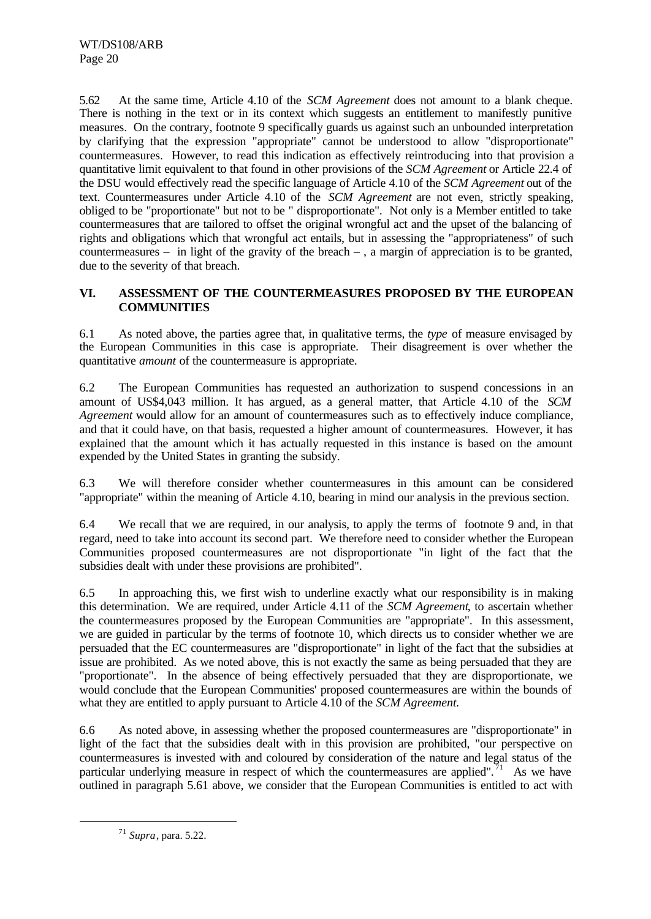5.62 At the same time, Article 4.10 of the *SCM Agreement* does not amount to a blank cheque. There is nothing in the text or in its context which suggests an entitlement to manifestly punitive measures. On the contrary, footnote 9 specifically guards us against such an unbounded interpretation by clarifying that the expression "appropriate" cannot be understood to allow "disproportionate" countermeasures. However, to read this indication as effectively reintroducing into that provision a quantitative limit equivalent to that found in other provisions of the *SCM Agreement* or Article 22.4 of the DSU would effectively read the specific language of Article 4.10 of the *SCM Agreement* out of the text. Countermeasures under Article 4.10 of the *SCM Agreement* are not even, strictly speaking, obliged to be "proportionate" but not to be " disproportionate". Not only is a Member entitled to take countermeasures that are tailored to offset the original wrongful act and the upset of the balancing of rights and obligations which that wrongful act entails, but in assessing the "appropriateness" of such countermeasures – in light of the gravity of the breach – , a margin of appreciation is to be granted, due to the severity of that breach.

#### **VI. ASSESSMENT OF THE COUNTERMEASURES PROPOSED BY THE EUROPEAN COMMUNITIES**

6.1 As noted above, the parties agree that, in qualitative terms, the *type* of measure envisaged by the European Communities in this case is appropriate. Their disagreement is over whether the quantitative *amount* of the countermeasure is appropriate.

6.2 The European Communities has requested an authorization to suspend concessions in an amount of US\$4,043 million. It has argued, as a general matter, that Article 4.10 of the *SCM Agreement* would allow for an amount of countermeasures such as to effectively induce compliance, and that it could have, on that basis, requested a higher amount of countermeasures. However, it has explained that the amount which it has actually requested in this instance is based on the amount expended by the United States in granting the subsidy.

6.3 We will therefore consider whether countermeasures in this amount can be considered "appropriate" within the meaning of Article 4.10, bearing in mind our analysis in the previous section.

6.4 We recall that we are required, in our analysis, to apply the terms of footnote 9 and, in that regard, need to take into account its second part. We therefore need to consider whether the European Communities proposed countermeasures are not disproportionate "in light of the fact that the subsidies dealt with under these provisions are prohibited".

6.5 In approaching this, we first wish to underline exactly what our responsibility is in making this determination. We are required, under Article 4.11 of the *SCM Agreement*, to ascertain whether the countermeasures proposed by the European Communities are "appropriate". In this assessment, we are guided in particular by the terms of footnote 10, which directs us to consider whether we are persuaded that the EC countermeasures are "disproportionate" in light of the fact that the subsidies at issue are prohibited. As we noted above, this is not exactly the same as being persuaded that they are "proportionate". In the absence of being effectively persuaded that they are disproportionate, we would conclude that the European Communities' proposed countermeasures are within the bounds of what they are entitled to apply pursuant to Article 4.10 of the *SCM Agreement.*

6.6 As noted above, in assessing whether the proposed countermeasures are "disproportionate" in light of the fact that the subsidies dealt with in this provision are prohibited, "our perspective on countermeasures is invested with and coloured by consideration of the nature and legal status of the particular underlying measure in respect of which the countermeasures are applied". As we have outlined in paragraph 5.61 above, we consider that the European Communities is entitled to act with

<sup>71</sup> *Supra*, para. 5.22.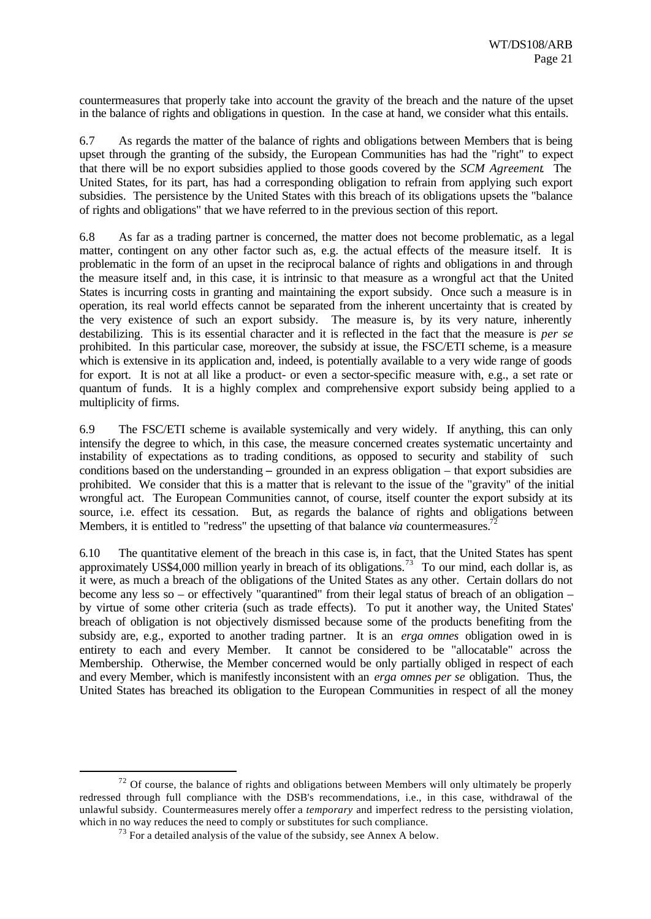countermeasures that properly take into account the gravity of the breach and the nature of the upset in the balance of rights and obligations in question. In the case at hand, we consider what this entails.

6.7 As regards the matter of the balance of rights and obligations between Members that is being upset through the granting of the subsidy, the European Communities has had the "right" to expect that there will be no export subsidies applied to those goods covered by the *SCM Agreement*. The United States, for its part, has had a corresponding obligation to refrain from applying such export subsidies. The persistence by the United States with this breach of its obligations upsets the "balance of rights and obligations" that we have referred to in the previous section of this report.

6.8 As far as a trading partner is concerned, the matter does not become problematic, as a legal matter, contingent on any other factor such as, e.g. the actual effects of the measure itself. It is problematic in the form of an upset in the reciprocal balance of rights and obligations in and through the measure itself and, in this case, it is intrinsic to that measure as a wrongful act that the United States is incurring costs in granting and maintaining the export subsidy. Once such a measure is in operation, its real world effects cannot be separated from the inherent uncertainty that is created by the very existence of such an export subsidy. The measure is, by its very nature, inherently destabilizing. This is its essential character and it is reflected in the fact that the measure is *per se* prohibited. In this particular case, moreover, the subsidy at issue, the FSC/ETI scheme, is a measure which is extensive in its application and, indeed, is potentially available to a very wide range of goods for export. It is not at all like a product- or even a sector-specific measure with, e.g., a set rate or quantum of funds. It is a highly complex and comprehensive export subsidy being applied to a multiplicity of firms.

6.9 The FSC/ETI scheme is available systemically and very widely. If anything, this can only intensify the degree to which, in this case, the measure concerned creates systematic uncertainty and instability of expectations as to trading conditions, as opposed to security and stability of such conditions based on the understanding *–* grounded in an express obligation – that export subsidies are prohibited. We consider that this is a matter that is relevant to the issue of the "gravity" of the initial wrongful act. The European Communities cannot, of course, itself counter the export subsidy at its source, i.e. effect its cessation. But, as regards the balance of rights and obligations between Members, it is entitled to "redress" the upsetting of that balance *via* countermeasures.<sup>7</sup>

6.10 The quantitative element of the breach in this case is, in fact, that the United States has spent approximately US\$4,000 million yearly in breach of its obligations.<sup>73</sup> To our mind, each dollar is, as it were, as much a breach of the obligations of the United States as any other. Certain dollars do not become any less so – or effectively "quarantined" from their legal status of breach of an obligation – by virtue of some other criteria (such as trade effects). To put it another way, the United States' breach of obligation is not objectively dismissed because some of the products benefiting from the subsidy are, e.g., exported to another trading partner. It is an *erga omnes* obligation owed in is entirety to each and every Member. It cannot be considered to be "allocatable" across the Membership. Otherwise, the Member concerned would be only partially obliged in respect of each and every Member, which is manifestly inconsistent with an *erga omnes per se* obligation. Thus, the United States has breached its obligation to the European Communities in respect of all the money

 $72$  Of course, the balance of rights and obligations between Members will only ultimately be properly redressed through full compliance with the DSB's recommendations, i.e., in this case, withdrawal of the unlawful subsidy. Countermeasures merely offer a *temporary* and imperfect redress to the persisting violation, which in no way reduces the need to comply or substitutes for such compliance.

 $^{73}$  For a detailed analysis of the value of the subsidy, see Annex A below.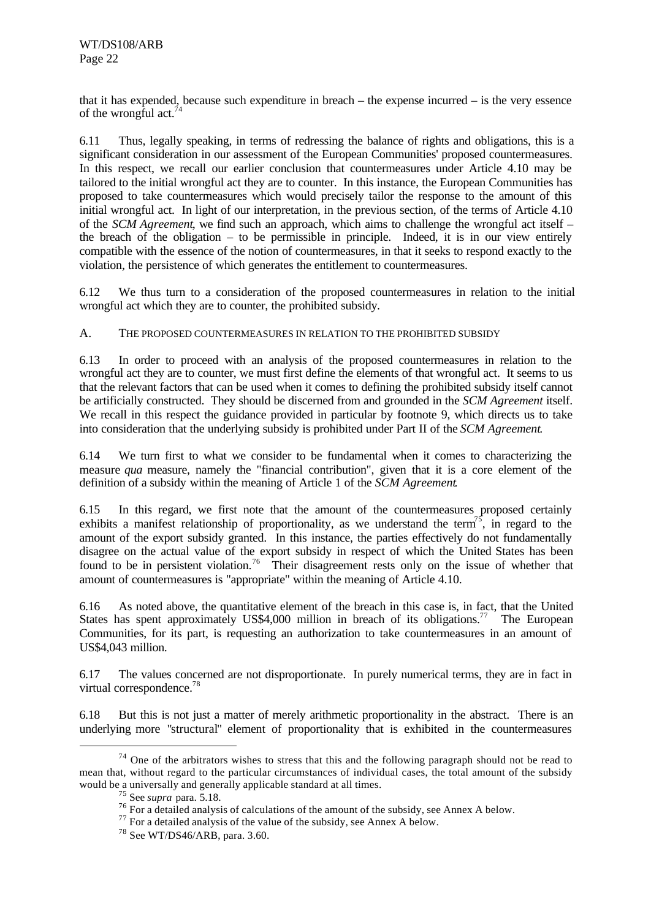that it has expended, because such expenditure in breach – the expense incurred – is the very essence of the wrongful act.<sup>74</sup>

6.11 Thus, legally speaking, in terms of redressing the balance of rights and obligations, this is a significant consideration in our assessment of the European Communities' proposed countermeasures. In this respect, we recall our earlier conclusion that countermeasures under Article 4.10 may be tailored to the initial wrongful act they are to counter. In this instance, the European Communities has proposed to take countermeasures which would precisely tailor the response to the amount of this initial wrongful act. In light of our interpretation, in the previous section, of the terms of Article 4.10 of the *SCM Agreement*, we find such an approach, which aims to challenge the wrongful act itself – the breach of the obligation – to be permissible in principle. Indeed, it is in our view entirely compatible with the essence of the notion of countermeasures, in that it seeks to respond exactly to the violation, the persistence of which generates the entitlement to countermeasures.

6.12 We thus turn to a consideration of the proposed countermeasures in relation to the initial wrongful act which they are to counter, the prohibited subsidy.

#### A. THE PROPOSED COUNTERMEASURES IN RELATION TO THE PROHIBITED SUBSIDY

6.13 In order to proceed with an analysis of the proposed countermeasures in relation to the wrongful act they are to counter, we must first define the elements of that wrongful act. It seems to us that the relevant factors that can be used when it comes to defining the prohibited subsidy itself cannot be artificially constructed. They should be discerned from and grounded in the *SCM Agreement* itself. We recall in this respect the guidance provided in particular by footnote 9, which directs us to take into consideration that the underlying subsidy is prohibited under Part II of the *SCM Agreement*.

6.14 We turn first to what we consider to be fundamental when it comes to characterizing the measure *qua* measure, namely the "financial contribution", given that it is a core element of the definition of a subsidy within the meaning of Article 1 of the *SCM Agreement*.

6.15 In this regard, we first note that the amount of the countermeasures proposed certainly exhibits a manifest relationship of proportionality, as we understand the term<sup>75</sup>, in regard to the amount of the export subsidy granted. In this instance, the parties effectively do not fundamentally disagree on the actual value of the export subsidy in respect of which the United States has been found to be in persistent violation.<sup>76</sup> Their disagreement rests only on the issue of whether that amount of countermeasures is "appropriate" within the meaning of Article 4.10.

6.16 As noted above, the quantitative element of the breach in this case is, in fact, that the United States has spent approximately US\$4,000 million in breach of its obligations.<sup>77</sup> The European Communities, for its part, is requesting an authorization to take countermeasures in an amount of US\$4,043 million.

6.17 The values concerned are not disproportionate. In purely numerical terms, they are in fact in virtual correspondence.<sup>78</sup>

6.18 But this is not just a matter of merely arithmetic proportionality in the abstract. There is an underlying more "structural" element of proportionality that is exhibited in the countermeasures

 $74$  One of the arbitrators wishes to stress that this and the following paragraph should not be read to mean that, without regard to the particular circumstances of individual cases, the total amount of the subsidy would be a universally and generally applicable standard at all times.

<sup>75</sup> See *supra* para. 5.18.

<sup>76</sup> For a detailed analysis of calculations of the amount of the subsidy, see Annex A below.

 $77$  For a detailed analysis of the value of the subsidy, see Annex A below.

<sup>78</sup> See WT/DS46/ARB, para. 3.60.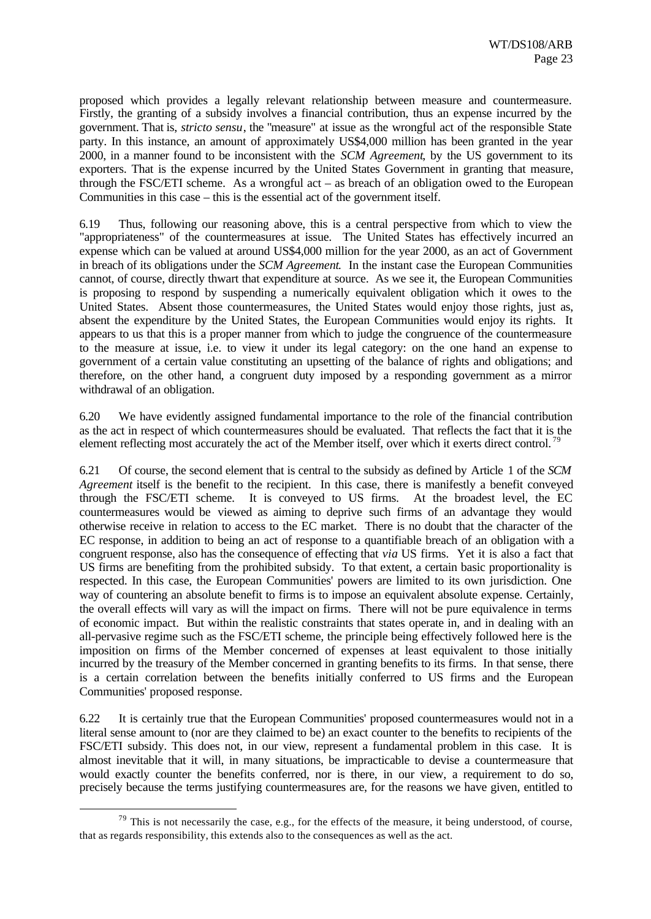proposed which provides a legally relevant relationship between measure and countermeasure. Firstly, the granting of a subsidy involves a financial contribution, thus an expense incurred by the government. That is, *stricto sensu*, the "measure" at issue as the wrongful act of the responsible State party. In this instance, an amount of approximately US\$4,000 million has been granted in the year 2000, in a manner found to be inconsistent with the *SCM Agreement*, by the US government to its exporters. That is the expense incurred by the United States Government in granting that measure, through the FSC/ETI scheme. As a wrongful act  $-$  as breach of an obligation owed to the European Communities in this case – this is the essential act of the government itself.

6.19 Thus, following our reasoning above, this is a central perspective from which to view the "appropriateness" of the countermeasures at issue. The United States has effectively incurred an expense which can be valued at around US\$4,000 million for the year 2000, as an act of Government in breach of its obligations under the *SCM Agreement*. In the instant case the European Communities cannot, of course, directly thwart that expenditure at source. As we see it, the European Communities is proposing to respond by suspending a numerically equivalent obligation which it owes to the United States. Absent those countermeasures, the United States would enjoy those rights, just as, absent the expenditure by the United States, the European Communities would enjoy its rights. It appears to us that this is a proper manner from which to judge the congruence of the countermeasure to the measure at issue, i.e. to view it under its legal category: on the one hand an expense to government of a certain value constituting an upsetting of the balance of rights and obligations; and therefore, on the other hand, a congruent duty imposed by a responding government as a mirror withdrawal of an obligation.

6.20 We have evidently assigned fundamental importance to the role of the financial contribution as the act in respect of which countermeasures should be evaluated. That reflects the fact that it is the element reflecting most accurately the act of the Member itself, over which it exerts direct control.<sup>79</sup>

6.21 Of course, the second element that is central to the subsidy as defined by Article 1 of the *SCM Agreement* itself is the benefit to the recipient. In this case, there is manifestly a benefit conveyed through the FSC/ETI scheme. It is conveyed to US firms. At the broadest level, the EC countermeasures would be viewed as aiming to deprive such firms of an advantage they would otherwise receive in relation to access to the EC market. There is no doubt that the character of the EC response, in addition to being an act of response to a quantifiable breach of an obligation with a congruent response, also has the consequence of effecting that *via* US firms. Yet it is also a fact that US firms are benefiting from the prohibited subsidy. To that extent, a certain basic proportionality is respected. In this case, the European Communities' powers are limited to its own jurisdiction. One way of countering an absolute benefit to firms is to impose an equivalent absolute expense. Certainly, the overall effects will vary as will the impact on firms. There will not be pure equivalence in terms of economic impact. But within the realistic constraints that states operate in, and in dealing with an all-pervasive regime such as the FSC/ETI scheme, the principle being effectively followed here is the imposition on firms of the Member concerned of expenses at least equivalent to those initially incurred by the treasury of the Member concerned in granting benefits to its firms. In that sense, there is a certain correlation between the benefits initially conferred to US firms and the European Communities' proposed response.

6.22 It is certainly true that the European Communities' proposed countermeasures would not in a literal sense amount to (nor are they claimed to be) an exact counter to the benefits to recipients of the FSC/ETI subsidy. This does not, in our view, represent a fundamental problem in this case. It is almost inevitable that it will, in many situations, be impracticable to devise a countermeasure that would exactly counter the benefits conferred, nor is there, in our view, a requirement to do so, precisely because the terms justifying countermeasures are, for the reasons we have given, entitled to

 $79$  This is not necessarily the case, e.g., for the effects of the measure, it being understood, of course, that as regards responsibility, this extends also to the consequences as well as the act.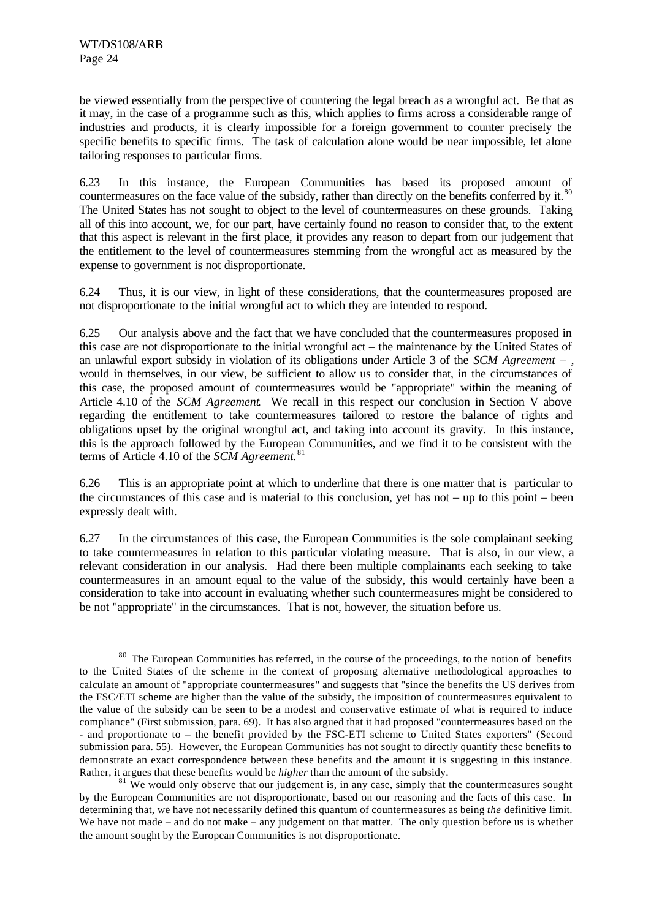l

be viewed essentially from the perspective of countering the legal breach as a wrongful act. Be that as it may, in the case of a programme such as this, which applies to firms across a considerable range of industries and products, it is clearly impossible for a foreign government to counter precisely the specific benefits to specific firms. The task of calculation alone would be near impossible, let alone tailoring responses to particular firms.

6.23 In this instance, the European Communities has based its proposed amount of countermeasures on the face value of the subsidy, rather than directly on the benefits conferred by it.<sup>80</sup> The United States has not sought to object to the level of countermeasures on these grounds. Taking all of this into account, we, for our part, have certainly found no reason to consider that, to the extent that this aspect is relevant in the first place, it provides any reason to depart from our judgement that the entitlement to the level of countermeasures stemming from the wrongful act as measured by the expense to government is not disproportionate.

6.24 Thus, it is our view, in light of these considerations, that the countermeasures proposed are not disproportionate to the initial wrongful act to which they are intended to respond.

6.25 Our analysis above and the fact that we have concluded that the countermeasures proposed in this case are not disproportionate to the initial wrongful act – the maintenance by the United States of an unlawful export subsidy in violation of its obligations under Article 3 of the *SCM Agreement – ,* would in themselves, in our view, be sufficient to allow us to consider that, in the circumstances of this case, the proposed amount of countermeasures would be "appropriate" within the meaning of Article 4.10 of the *SCM Agreement*. We recall in this respect our conclusion in Section V above regarding the entitlement to take countermeasures tailored to restore the balance of rights and obligations upset by the original wrongful act, and taking into account its gravity. In this instance, this is the approach followed by the European Communities, and we find it to be consistent with the terms of Article 4.10 of the *SCM Agreement.*<sup>81</sup>

6.26 This is an appropriate point at which to underline that there is one matter that is particular to the circumstances of this case and is material to this conclusion, yet has not – up to this point – been expressly dealt with.

6.27 In the circumstances of this case, the European Communities is the sole complainant seeking to take countermeasures in relation to this particular violating measure. That is also, in our view, a relevant consideration in our analysis. Had there been multiple complainants each seeking to take countermeasures in an amount equal to the value of the subsidy, this would certainly have been a consideration to take into account in evaluating whether such countermeasures might be considered to be not "appropriate" in the circumstances. That is not, however, the situation before us.

<sup>&</sup>lt;sup>80</sup> The European Communities has referred, in the course of the proceedings, to the notion of benefits to the United States of the scheme in the context of proposing alternative methodological approaches to calculate an amount of "appropriate countermeasures" and suggests that "since the benefits the US derives from the FSC/ETI scheme are higher than the value of the subsidy, the imposition of countermeasures equivalent to the value of the subsidy can be seen to be a modest and conservative estimate of what is required to induce compliance" (First submission, para. 69). It has also argued that it had proposed "countermeasures based on the - and proportionate to – the benefit provided by the FSC-ETI scheme to United States exporters" (Second submission para. 55). However, the European Communities has not sought to directly quantify these benefits to demonstrate an exact correspondence between these benefits and the amount it is suggesting in this instance. Rather, it argues that these benefits would be *higher* than the amount of the subsidy.

 $81\text{ }\text{We would only observe that our judgment is, in any case, simply that the countermeasures sought.}$ by the European Communities are not disproportionate, based on our reasoning and the facts of this case. In determining that, we have not necessarily defined this quantum of countermeasures as being *the* definitive limit. We have not made – and do not make – any judgement on that matter. The only question before us is whether the amount sought by the European Communities is not disproportionate.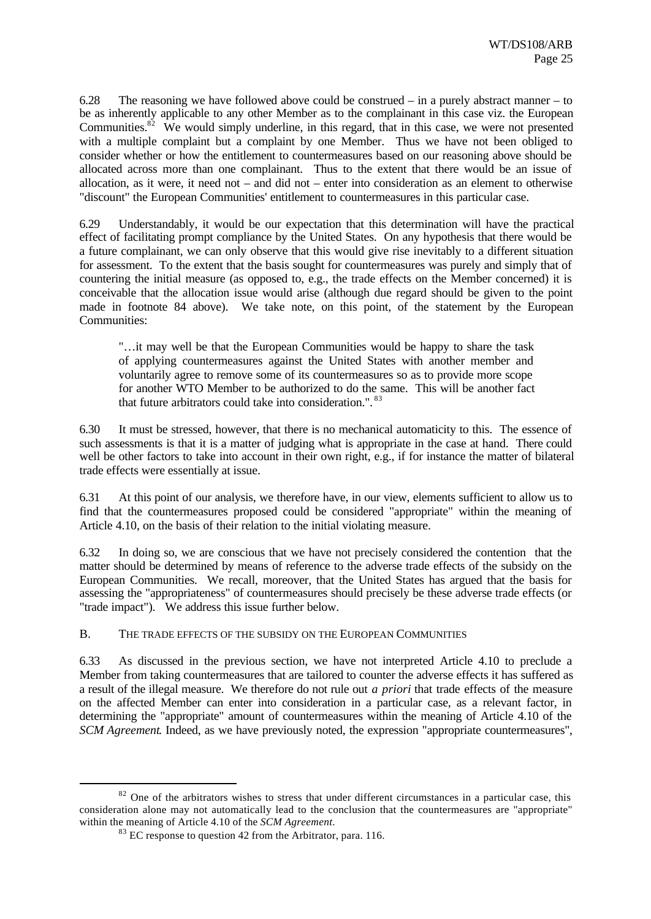6.28 The reasoning we have followed above could be construed  $-$  in a purely abstract manner  $-$  to be as inherently applicable to any other Member as to the complainant in this case viz. the European Communities. $82 \text{ We would simply underline, in this regard, that in this case, we were not presented.}$ with a multiple complaint but a complaint by one Member. Thus we have not been obliged to consider whether or how the entitlement to countermeasures based on our reasoning above should be allocated across more than one complainant. Thus to the extent that there would be an issue of allocation, as it were, it need not – and did not – enter into consideration as an element to otherwise "discount" the European Communities' entitlement to countermeasures in this particular case.

6.29 Understandably, it would be our expectation that this determination will have the practical effect of facilitating prompt compliance by the United States. On any hypothesis that there would be a future complainant, we can only observe that this would give rise inevitably to a different situation for assessment. To the extent that the basis sought for countermeasures was purely and simply that of countering the initial measure (as opposed to, e.g., the trade effects on the Member concerned) it is conceivable that the allocation issue would arise (although due regard should be given to the point made in footnote 84 above). We take note, on this point, of the statement by the European Communities:

"…it may well be that the European Communities would be happy to share the task of applying countermeasures against the United States with another member and voluntarily agree to remove some of its countermeasures so as to provide more scope for another WTO Member to be authorized to do the same. This will be another fact that future arbitrators could take into consideration.".<sup>83</sup>

6.30 It must be stressed, however, that there is no mechanical automaticity to this. The essence of such assessments is that it is a matter of judging what is appropriate in the case at hand. There could well be other factors to take into account in their own right, e.g., if for instance the matter of bilateral trade effects were essentially at issue.

6.31 At this point of our analysis, we therefore have, in our view, elements sufficient to allow us to find that the countermeasures proposed could be considered "appropriate" within the meaning of Article 4.10, on the basis of their relation to the initial violating measure.

6.32 In doing so, we are conscious that we have not precisely considered the contention that the matter should be determined by means of reference to the adverse trade effects of the subsidy on the European Communities. We recall, moreover, that the United States has argued that the basis for assessing the "appropriateness" of countermeasures should precisely be these adverse trade effects (or "trade impact"). We address this issue further below.

B. THE TRADE EFFECTS OF THE SUBSIDY ON THE EUROPEAN COMMUNITIES

6.33 As discussed in the previous section, we have not interpreted Article 4.10 to preclude a Member from taking countermeasures that are tailored to counter the adverse effects it has suffered as a result of the illegal measure. We therefore do not rule out *a priori* that trade effects of the measure on the affected Member can enter into consideration in a particular case, as a relevant factor, in determining the "appropriate" amount of countermeasures within the meaning of Article 4.10 of the *SCM Agreement*. Indeed, as we have previously noted, the expression "appropriate countermeasures",

<sup>&</sup>lt;sup>82</sup> One of the arbitrators wishes to stress that under different circumstances in a particular case, this consideration alone may not automatically lead to the conclusion that the countermeasures are "appropriate" within the meaning of Article 4.10 of the *SCM Agreement*.

<sup>&</sup>lt;sup>83</sup> EC response to question 42 from the Arbitrator, para. 116.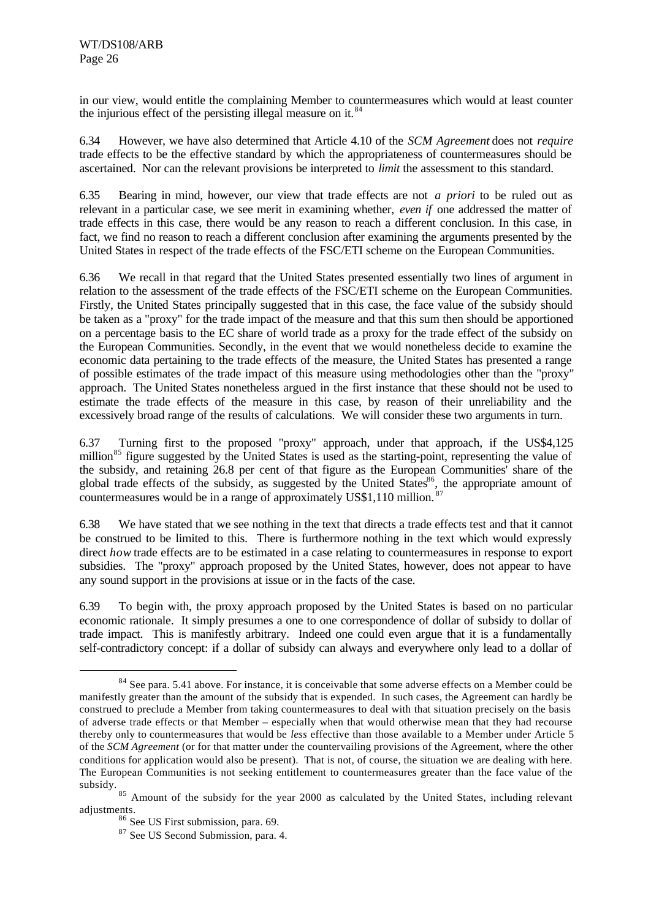in our view, would entitle the complaining Member to countermeasures which would at least counter the injurious effect of the persisting illegal measure on it. $84$ 

6.34 However, we have also determined that Article 4.10 of the *SCM Agreement* does not *require* trade effects to be the effective standard by which the appropriateness of countermeasures should be ascertained. Nor can the relevant provisions be interpreted to *limit* the assessment to this standard.

6.35 Bearing in mind, however, our view that trade effects are not *a priori* to be ruled out as relevant in a particular case, we see merit in examining whether, *even if* one addressed the matter of trade effects in this case, there would be any reason to reach a different conclusion. In this case, in fact, we find no reason to reach a different conclusion after examining the arguments presented by the United States in respect of the trade effects of the FSC/ETI scheme on the European Communities.

6.36 We recall in that regard that the United States presented essentially two lines of argument in relation to the assessment of the trade effects of the FSC/ETI scheme on the European Communities. Firstly, the United States principally suggested that in this case, the face value of the subsidy should be taken as a "proxy" for the trade impact of the measure and that this sum then should be apportioned on a percentage basis to the EC share of world trade as a proxy for the trade effect of the subsidy on the European Communities. Secondly, in the event that we would nonetheless decide to examine the economic data pertaining to the trade effects of the measure, the United States has presented a range of possible estimates of the trade impact of this measure using methodologies other than the "proxy" approach. The United States nonetheless argued in the first instance that these should not be used to estimate the trade effects of the measure in this case, by reason of their unreliability and the excessively broad range of the results of calculations. We will consider these two arguments in turn.

6.37 Turning first to the proposed "proxy" approach, under that approach, if the US\$4,125 million<sup>85</sup> figure suggested by the United States is used as the starting-point, representing the value of the subsidy, and retaining 26.8 per cent of that figure as the European Communities' share of the global trade effects of the subsidy, as suggested by the United States<sup>86</sup>, the appropriate amount of countermeasures would be in a range of approximately US\$1,110 million.<sup>87</sup>

6.38 We have stated that we see nothing in the text that directs a trade effects test and that it cannot be construed to be limited to this. There is furthermore nothing in the text which would expressly direct *how* trade effects are to be estimated in a case relating to countermeasures in response to export subsidies. The "proxy" approach proposed by the United States, however, does not appear to have any sound support in the provisions at issue or in the facts of the case.

6.39 To begin with, the proxy approach proposed by the United States is based on no particular economic rationale. It simply presumes a one to one correspondence of dollar of subsidy to dollar of trade impact. This is manifestly arbitrary. Indeed one could even argue that it is a fundamentally self-contradictory concept: if a dollar of subsidy can always and everywhere only lead to a dollar of

<sup>&</sup>lt;sup>84</sup> See para. 5.41 above. For instance, it is conceivable that some adverse effects on a Member could be manifestly greater than the amount of the subsidy that is expended. In such cases, the Agreement can hardly be construed to preclude a Member from taking countermeasures to deal with that situation precisely on the basis of adverse trade effects or that Member – especially when that would otherwise mean that they had recourse thereby only to countermeasures that would be *less* effective than those available to a Member under Article 5 of the *SCM Agreement* (or for that matter under the countervailing provisions of the Agreement, where the other conditions for application would also be present). That is not, of course, the situation we are dealing with here. The European Communities is not seeking entitlement to countermeasures greater than the face value of the subsidy.

<sup>85</sup> Amount of the subsidy for the year 2000 as calculated by the United States, including relevant adjustments.

<sup>86</sup> See US First submission, para. 69.

<sup>87</sup> See US Second Submission, para. 4.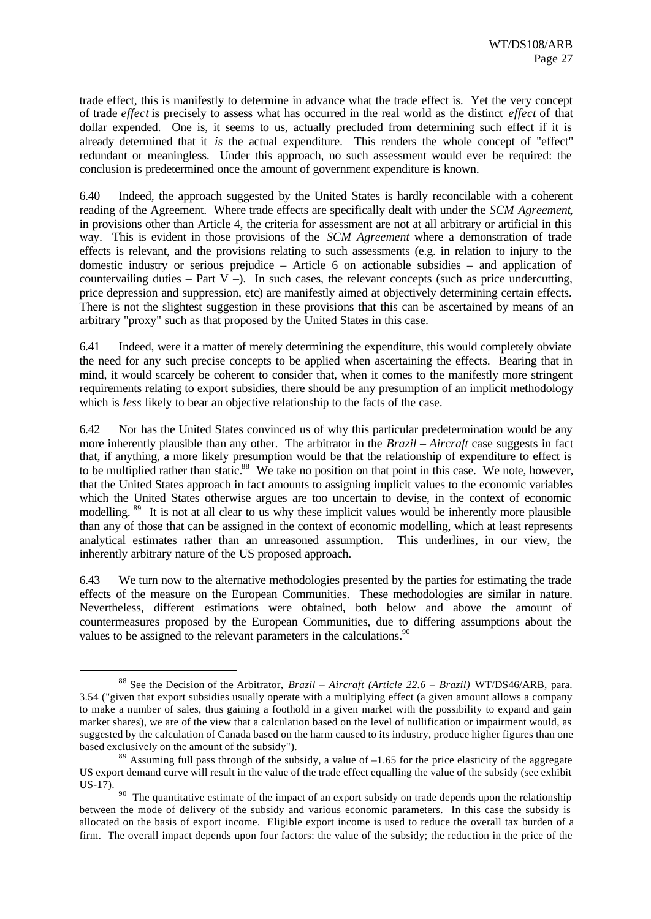trade effect, this is manifestly to determine in advance what the trade effect is. Yet the very concept of trade *effect* is precisely to assess what has occurred in the real world as the distinct *effect* of that dollar expended. One is, it seems to us, actually precluded from determining such effect if it is already determined that it *is* the actual expenditure. This renders the whole concept of "effect" redundant or meaningless. Under this approach, no such assessment would ever be required: the conclusion is predetermined once the amount of government expenditure is known.

6.40 Indeed, the approach suggested by the United States is hardly reconcilable with a coherent reading of the Agreement. Where trade effects are specifically dealt with under the *SCM Agreement*, in provisions other than Article 4, the criteria for assessment are not at all arbitrary or artificial in this way. This is evident in those provisions of the *SCM Agreement* where a demonstration of trade effects is relevant, and the provisions relating to such assessments (e.g. in relation to injury to the domestic industry or serious prejudice – Article 6 on actionable subsidies – and application of countervailing duties – Part V –). In such cases, the relevant concepts (such as price undercutting, price depression and suppression, etc) are manifestly aimed at objectively determining certain effects. There is not the slightest suggestion in these provisions that this can be ascertained by means of an arbitrary "proxy" such as that proposed by the United States in this case.

6.41 Indeed, were it a matter of merely determining the expenditure, this would completely obviate the need for any such precise concepts to be applied when ascertaining the effects. Bearing that in mind, it would scarcely be coherent to consider that, when it comes to the manifestly more stringent requirements relating to export subsidies, there should be any presumption of an implicit methodology which is *less* likely to bear an objective relationship to the facts of the case.

6.42 Nor has the United States convinced us of why this particular predetermination would be any more inherently plausible than any other. The arbitrator in the *Brazil – Aircraft* case suggests in fact that, if anything, a more likely presumption would be that the relationship of expenditure to effect is to be multiplied rather than static.<sup>88</sup> We take no position on that point in this case. We note, however, that the United States approach in fact amounts to assigning implicit values to the economic variables which the United States otherwise argues are too uncertain to devise, in the context of economic modelling. <sup>89</sup> It is not at all clear to us why these implicit values would be inherently more plausible than any of those that can be assigned in the context of economic modelling, which at least represents analytical estimates rather than an unreasoned assumption. This underlines, in our view, the inherently arbitrary nature of the US proposed approach.

6.43 We turn now to the alternative methodologies presented by the parties for estimating the trade effects of the measure on the European Communities. These methodologies are similar in nature. Nevertheless, different estimations were obtained, both below and above the amount of countermeasures proposed by the European Communities, due to differing assumptions about the values to be assigned to the relevant parameters in the calculations.<sup>90</sup>

<sup>88</sup> See the Decision of the Arbitrator, *Brazil – Aircraft (Article 22.6 – Brazil)* WT/DS46/ARB, para. 3.54 ("given that export subsidies usually operate with a multiplying effect (a given amount allows a company to make a number of sales, thus gaining a foothold in a given market with the possibility to expand and gain market shares), we are of the view that a calculation based on the level of nullification or impairment would, as suggested by the calculation of Canada based on the harm caused to its industry, produce higher figures than one based exclusively on the amount of the subsidy").

<sup>&</sup>lt;sup>89</sup> Assuming full pass through of the subsidy, a value of  $-1.65$  for the price elasticity of the aggregate US export demand curve will result in the value of the trade effect equalling the value of the subsidy (see exhibit US-17).

<sup>&</sup>lt;sup>90</sup> The quantitative estimate of the impact of an export subsidy on trade depends upon the relationship between the mode of delivery of the subsidy and various economic parameters. In this case the subsidy is allocated on the basis of export income. Eligible export income is used to reduce the overall tax burden of a firm. The overall impact depends upon four factors: the value of the subsidy; the reduction in the price of the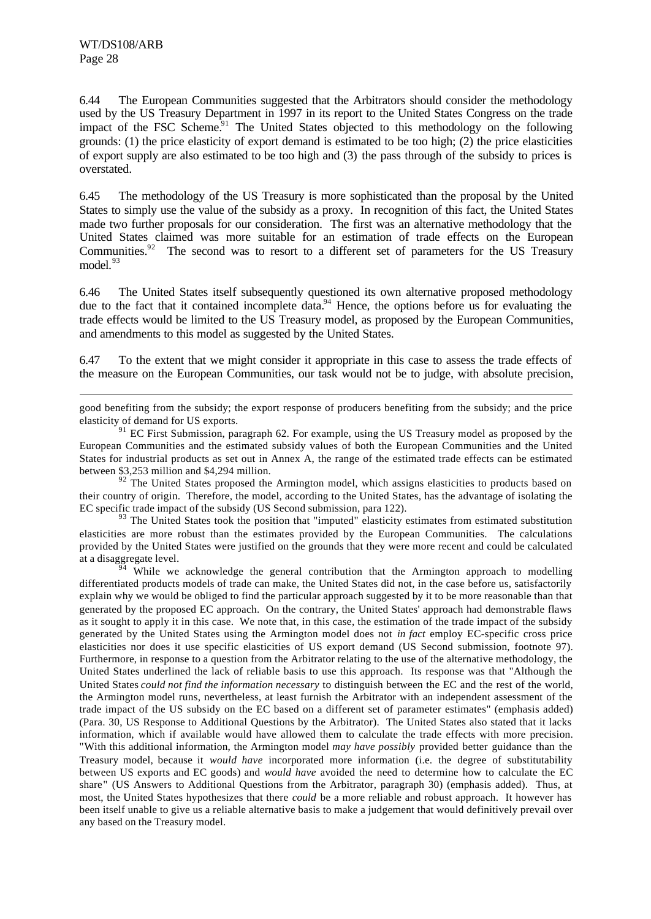l

6.44 The European Communities suggested that the Arbitrators should consider the methodology used by the US Treasury Department in 1997 in its report to the United States Congress on the trade impact of the FSC Scheme.<sup>91</sup> The United States objected to this methodology on the following grounds: (1) the price elasticity of export demand is estimated to be too high; (2) the price elasticities of export supply are also estimated to be too high and (3) the pass through of the subsidy to prices is overstated.

6.45 The methodology of the US Treasury is more sophisticated than the proposal by the United States to simply use the value of the subsidy as a proxy. In recognition of this fact, the United States made two further proposals for our consideration. The first was an alternative methodology that the United States claimed was more suitable for an estimation of trade effects on the European Communities.<sup>92</sup> The second was to resort to a different set of parameters for the US Treasury model. $93$ 

6.46 The United States itself subsequently questioned its own alternative proposed methodology due to the fact that it contained incomplete data.<sup>94</sup> Hence, the options before us for evaluating the trade effects would be limited to the US Treasury model, as proposed by the European Communities, and amendments to this model as suggested by the United States.

6.47 To the extent that we might consider it appropriate in this case to assess the trade effects of the measure on the European Communities, our task would not be to judge, with absolute precision,

good benefiting from the subsidy; the export response of producers benefiting from the subsidy; and the price elasticity of demand for US exports.

 $91$  EC First Submission, paragraph 62. For example, using the US Treasury model as proposed by the European Communities and the estimated subsidy values of both the European Communities and the United States for industrial products as set out in Annex A, the range of the estimated trade effects can be estimated between \$3,253 million and \$4,294 million.

 $92$  The United States proposed the Armington model, which assigns elasticities to products based on their country of origin. Therefore, the model, according to the United States, has the advantage of isolating the EC specific trade impact of the subsidy (US Second submission, para 122).

<sup>93</sup> The United States took the position that "imputed" elasticity estimates from estimated substitution elasticities are more robust than the estimates provided by the European Communities. The calculations provided by the United States were justified on the grounds that they were more recent and could be calculated at a disaggregate level.

 $94$  While we acknowledge the general contribution that the Armington approach to modelling differentiated products models of trade can make, the United States did not, in the case before us, satisfactorily explain why we would be obliged to find the particular approach suggested by it to be more reasonable than that generated by the proposed EC approach. On the contrary, the United States' approach had demonstrable flaws as it sought to apply it in this case. We note that, in this case, the estimation of the trade impact of the subsidy generated by the United States using the Armington model does not *in fact* employ EC-specific cross price elasticities nor does it use specific elasticities of US export demand (US Second submission, footnote 97). Furthermore, in response to a question from the Arbitrator relating to the use of the alternative methodology, the United States underlined the lack of reliable basis to use this approach. Its response was that "Although the United States *could not find the information necessary* to distinguish between the EC and the rest of the world, the Armington model runs, nevertheless, at least furnish the Arbitrator with an independent assessment of the trade impact of the US subsidy on the EC based on a different set of parameter estimates" (emphasis added) (Para. 30, US Response to Additional Questions by the Arbitrator). The United States also stated that it lacks information, which if available would have allowed them to calculate the trade effects with more precision. "With this additional information, the Armington model *may have possibly* provided better guidance than the Treasury model, because it *would have* incorporated more information (i.e. the degree of substitutability between US exports and EC goods) and *would have* avoided the need to determine how to calculate the EC share" (US Answers to Additional Questions from the Arbitrator, paragraph 30) (emphasis added). Thus, at most, the United States hypothesizes that there *could* be a more reliable and robust approach. It however has been itself unable to give us a reliable alternative basis to make a judgement that would definitively prevail over any based on the Treasury model.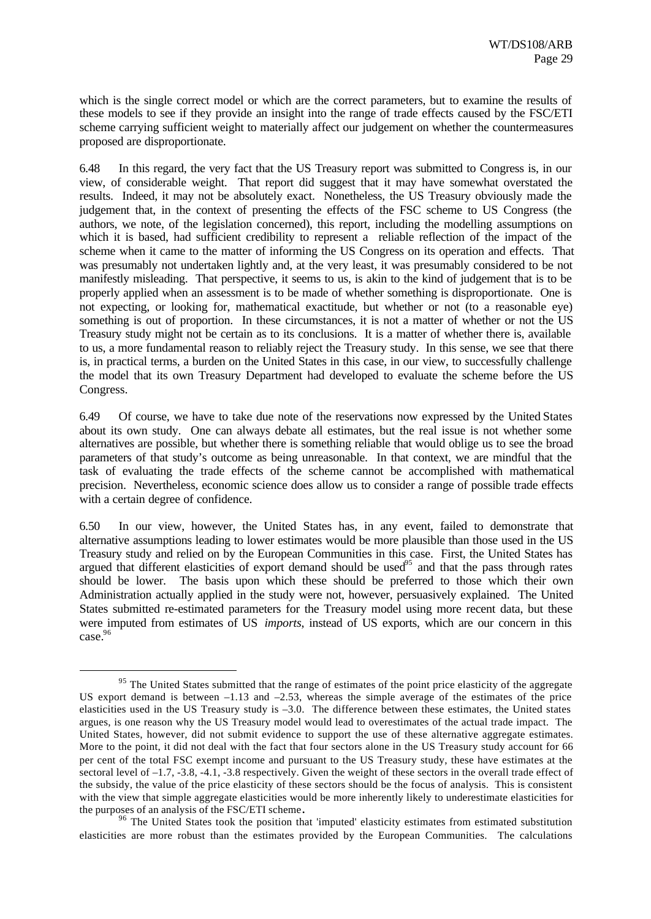which is the single correct model or which are the correct parameters, but to examine the results of these models to see if they provide an insight into the range of trade effects caused by the FSC/ETI scheme carrying sufficient weight to materially affect our judgement on whether the countermeasures proposed are disproportionate.

6.48 In this regard, the very fact that the US Treasury report was submitted to Congress is, in our view, of considerable weight. That report did suggest that it may have somewhat overstated the results. Indeed, it may not be absolutely exact. Nonetheless, the US Treasury obviously made the judgement that, in the context of presenting the effects of the FSC scheme to US Congress (the authors, we note, of the legislation concerned), this report, including the modelling assumptions on which it is based, had sufficient credibility to represent a reliable reflection of the impact of the scheme when it came to the matter of informing the US Congress on its operation and effects. That was presumably not undertaken lightly and, at the very least, it was presumably considered to be not manifestly misleading. That perspective, it seems to us, is akin to the kind of judgement that is to be properly applied when an assessment is to be made of whether something is disproportionate. One is not expecting, or looking for, mathematical exactitude, but whether or not (to a reasonable eye) something is out of proportion. In these circumstances, it is not a matter of whether or not the US Treasury study might not be certain as to its conclusions. It is a matter of whether there is, available to us, a more fundamental reason to reliably reject the Treasury study. In this sense, we see that there is, in practical terms, a burden on the United States in this case, in our view, to successfully challenge the model that its own Treasury Department had developed to evaluate the scheme before the US Congress.

6.49 Of course, we have to take due note of the reservations now expressed by the United States about its own study. One can always debate all estimates, but the real issue is not whether some alternatives are possible, but whether there is something reliable that would oblige us to see the broad parameters of that study's outcome as being unreasonable. In that context, we are mindful that the task of evaluating the trade effects of the scheme cannot be accomplished with mathematical precision. Nevertheless, economic science does allow us to consider a range of possible trade effects with a certain degree of confidence.

6.50 In our view, however, the United States has, in any event, failed to demonstrate that alternative assumptions leading to lower estimates would be more plausible than those used in the US Treasury study and relied on by the European Communities in this case. First, the United States has argued that different elasticities of export demand should be used<sup>95</sup> and that the pass through rates should be lower. The basis upon which these should be preferred to those which their own Administration actually applied in the study were not, however, persuasively explained. The United States submitted re-estimated parameters for the Treasury model using more recent data, but these were imputed from estimates of US *imports*, instead of US exports, which are our concern in this case. 96

<sup>&</sup>lt;sup>95</sup> The United States submitted that the range of estimates of the point price elasticity of the aggregate US export demand is between  $-1.13$  and  $-2.53$ , whereas the simple average of the estimates of the price elasticities used in the US Treasury study is –3.0. The difference between these estimates, the United states argues, is one reason why the US Treasury model would lead to overestimates of the actual trade impact. The United States, however, did not submit evidence to support the use of these alternative aggregate estimates. More to the point, it did not deal with the fact that four sectors alone in the US Treasury study account for 66 per cent of the total FSC exempt income and pursuant to the US Treasury study, these have estimates at the sectoral level of –1.7, -3.8, -4.1, -3.8 respectively. Given the weight of these sectors in the overall trade effect of the subsidy, the value of the price elasticity of these sectors should be the focus of analysis. This is consistent with the view that simple aggregate elasticities would be more inherently likely to underestimate elasticities for the purposes of an analysis of the FSC/ETI scheme**.**

<sup>&</sup>lt;sup>96</sup> The United States took the position that 'imputed' elasticity estimates from estimated substitution elasticities are more robust than the estimates provided by the European Communities. The calculations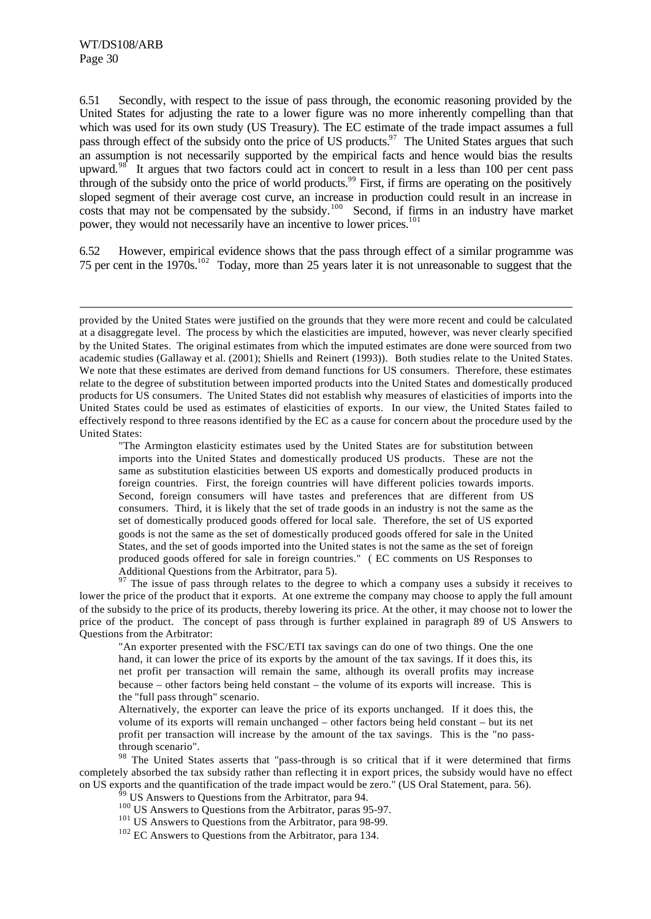l

6.51 Secondly, with respect to the issue of pass through, the economic reasoning provided by the United States for adjusting the rate to a lower figure was no more inherently compelling than that which was used for its own study (US Treasury). The EC estimate of the trade impact assumes a full pass through effect of the subsidy onto the price of US products.<sup>97</sup> The United States argues that such an assumption is not necessarily supported by the empirical facts and hence would bias the results upward.<sup>98</sup> It argues that two factors could act in concert to result in a less than 100 per cent pass through of the subsidy onto the price of world products.<sup>99</sup> First, if firms are operating on the positively sloped segment of their average cost curve, an increase in production could result in an increase in costs that may not be compensated by the subsidy.<sup>100</sup> Second, if firms in an industry have market power, they would not necessarily have an incentive to lower prices.<sup>101</sup>

6.52 However, empirical evidence shows that the pass through effect of a similar programme was 75 per cent in the  $1970s$ <sup>102</sup> Today, more than 25 years later it is not unreasonable to suggest that the

 $97$  The issue of pass through relates to the degree to which a company uses a subsidy it receives to lower the price of the product that it exports. At one extreme the company may choose to apply the full amount of the subsidy to the price of its products, thereby lowering its price. At the other, it may choose not to lower the price of the product. The concept of pass through is further explained in paragraph 89 of US Answers to Questions from the Arbitrator:

"An exporter presented with the FSC/ETI tax savings can do one of two things. One the one hand, it can lower the price of its exports by the amount of the tax savings. If it does this, its net profit per transaction will remain the same, although its overall profits may increase because – other factors being held constant – the volume of its exports will increase. This is the "full pass through" scenario.

Alternatively, the exporter can leave the price of its exports unchanged. If it does this, the volume of its exports will remain unchanged – other factors being held constant – but its net profit per transaction will increase by the amount of the tax savings. This is the "no passthrough scenario".

<sup>98</sup> The United States asserts that "pass-through is so critical that if it were determined that firms completely absorbed the tax subsidy rather than reflecting it in export prices, the subsidy would have no effect on US exports and the quantification of the trade impact would be zero." (US Oral Statement, para. 56).

 $9^9$  US Answers to Ouestions from the Arbitrator, para 94.

<sup>100</sup> US Answers to Questions from the Arbitrator, paras 95-97.

<sup>101</sup> US Answers to Questions from the Arbitrator, para 98-99.

<sup>102</sup> EC Answers to Questions from the Arbitrator, para 134.

provided by the United States were justified on the grounds that they were more recent and could be calculated at a disaggregate level. The process by which the elasticities are imputed, however, was never clearly specified by the United States. The original estimates from which the imputed estimates are done were sourced from two academic studies (Gallaway et al. (2001); Shiells and Reinert (1993)). Both studies relate to the United States. We note that these estimates are derived from demand functions for US consumers. Therefore, these estimates relate to the degree of substitution between imported products into the United States and domestically produced products for US consumers. The United States did not establish why measures of elasticities of imports into the United States could be used as estimates of elasticities of exports. In our view, the United States failed to effectively respond to three reasons identified by the EC as a cause for concern about the procedure used by the United States:

<sup>&</sup>quot;The Armington elasticity estimates used by the United States are for substitution between imports into the United States and domestically produced US products. These are not the same as substitution elasticities between US exports and domestically produced products in foreign countries. First, the foreign countries will have different policies towards imports. Second, foreign consumers will have tastes and preferences that are different from US consumers. Third, it is likely that the set of trade goods in an industry is not the same as the set of domestically produced goods offered for local sale. Therefore, the set of US exported goods is not the same as the set of domestically produced goods offered for sale in the United States, and the set of goods imported into the United states is not the same as the set of foreign produced goods offered for sale in foreign countries." ( EC comments on US Responses to Additional Questions from the Arbitrator, para 5).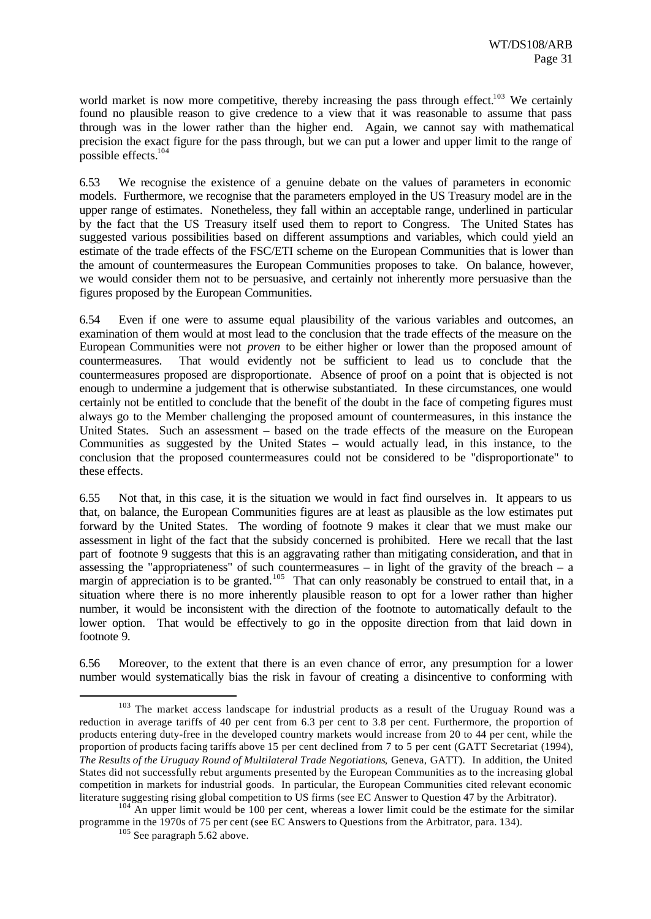world market is now more competitive, thereby increasing the pass through effect.<sup>103</sup> We certainly found no plausible reason to give credence to a view that it was reasonable to assume that pass through was in the lower rather than the higher end. Again, we cannot say with mathematical precision the exact figure for the pass through, but we can put a lower and upper limit to the range of possible effects.<sup>104</sup>

6.53 We recognise the existence of a genuine debate on the values of parameters in economic models. Furthermore, we recognise that the parameters employed in the US Treasury model are in the upper range of estimates. Nonetheless, they fall within an acceptable range, underlined in particular by the fact that the US Treasury itself used them to report to Congress. The United States has suggested various possibilities based on different assumptions and variables, which could yield an estimate of the trade effects of the FSC/ETI scheme on the European Communities that is lower than the amount of countermeasures the European Communities proposes to take. On balance, however, we would consider them not to be persuasive, and certainly not inherently more persuasive than the figures proposed by the European Communities.

6.54 Even if one were to assume equal plausibility of the various variables and outcomes, an examination of them would at most lead to the conclusion that the trade effects of the measure on the European Communities were not *proven* to be either higher or lower than the proposed amount of countermeasures. That would evidently not be sufficient to lead us to conclude that the countermeasures proposed are disproportionate. Absence of proof on a point that is objected is not enough to undermine a judgement that is otherwise substantiated. In these circumstances, one would certainly not be entitled to conclude that the benefit of the doubt in the face of competing figures must always go to the Member challenging the proposed amount of countermeasures, in this instance the United States. Such an assessment – based on the trade effects of the measure on the European Communities as suggested by the United States – would actually lead, in this instance, to the conclusion that the proposed countermeasures could not be considered to be "disproportionate" to these effects.

6.55 Not that, in this case, it is the situation we would in fact find ourselves in. It appears to us that, on balance, the European Communities figures are at least as plausible as the low estimates put forward by the United States. The wording of footnote 9 makes it clear that we must make our assessment in light of the fact that the subsidy concerned is prohibited. Here we recall that the last part of footnote 9 suggests that this is an aggravating rather than mitigating consideration, and that in assessing the "appropriateness" of such countermeasures – in light of the gravity of the breach – a margin of appreciation is to be granted.<sup>105</sup> That can only reasonably be construed to entail that, in a situation where there is no more inherently plausible reason to opt for a lower rather than higher number, it would be inconsistent with the direction of the footnote to automatically default to the lower option. That would be effectively to go in the opposite direction from that laid down in footnote 9.

6.56 Moreover, to the extent that there is an even chance of error, any presumption for a lower number would systematically bias the risk in favour of creating a disincentive to conforming with

<sup>&</sup>lt;sup>103</sup> The market access landscape for industrial products as a result of the Uruguay Round was a reduction in average tariffs of 40 per cent from 6.3 per cent to 3.8 per cent. Furthermore, the proportion of products entering duty-free in the developed country markets would increase from 20 to 44 per cent, while the proportion of products facing tariffs above 15 per cent declined from 7 to 5 per cent (GATT Secretariat (1994), *The Results of the Uruguay Round of Multilateral Trade Negotiations*, Geneva, GATT). In addition, the United States did not successfully rebut arguments presented by the European Communities as to the increasing global competition in markets for industrial goods. In particular, the European Communities cited relevant economic literature suggesting rising global competition to US firms (see EC Answer to Question 47 by the Arbitrator).

An upper limit would be 100 per cent, whereas a lower limit could be the estimate for the similar programme in the 1970s of 75 per cent (see EC Answers to Questions from the Arbitrator, para. 134).

 $105$  See paragraph 5.62 above.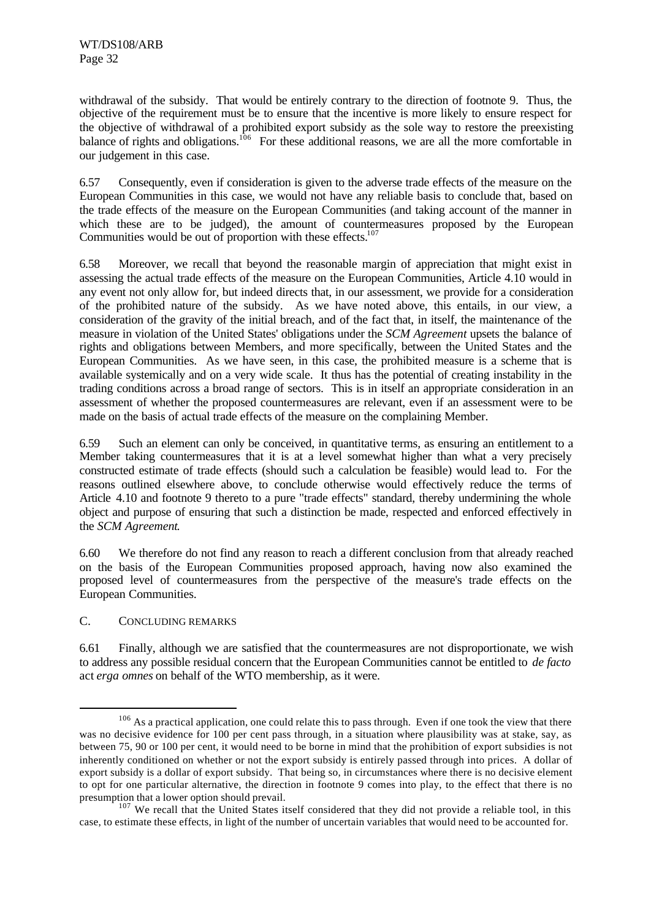withdrawal of the subsidy. That would be entirely contrary to the direction of footnote 9. Thus, the objective of the requirement must be to ensure that the incentive is more likely to ensure respect for the objective of withdrawal of a prohibited export subsidy as the sole way to restore the preexisting balance of rights and obligations.<sup>106</sup> For these additional reasons, we are all the more comfortable in our judgement in this case.

6.57 Consequently, even if consideration is given to the adverse trade effects of the measure on the European Communities in this case, we would not have any reliable basis to conclude that, based on the trade effects of the measure on the European Communities (and taking account of the manner in which these are to be judged), the amount of countermeasures proposed by the European Communities would be out of proportion with these effects. $107$ 

6.58 Moreover, we recall that beyond the reasonable margin of appreciation that might exist in assessing the actual trade effects of the measure on the European Communities, Article 4.10 would in any event not only allow for, but indeed directs that, in our assessment, we provide for a consideration of the prohibited nature of the subsidy. As we have noted above, this entails, in our view, a consideration of the gravity of the initial breach, and of the fact that, in itself, the maintenance of the measure in violation of the United States' obligations under the *SCM Agreement* upsets the balance of rights and obligations between Members, and more specifically, between the United States and the European Communities. As we have seen, in this case, the prohibited measure is a scheme that is available systemically and on a very wide scale. It thus has the potential of creating instability in the trading conditions across a broad range of sectors. This is in itself an appropriate consideration in an assessment of whether the proposed countermeasures are relevant, even if an assessment were to be made on the basis of actual trade effects of the measure on the complaining Member.

6.59 Such an element can only be conceived, in quantitative terms, as ensuring an entitlement to a Member taking countermeasures that it is at a level somewhat higher than what a very precisely constructed estimate of trade effects (should such a calculation be feasible) would lead to. For the reasons outlined elsewhere above, to conclude otherwise would effectively reduce the terms of Article 4.10 and footnote 9 thereto to a pure "trade effects" standard, thereby undermining the whole object and purpose of ensuring that such a distinction be made, respected and enforced effectively in the *SCM Agreement*.

6.60 We therefore do not find any reason to reach a different conclusion from that already reached on the basis of the European Communities proposed approach, having now also examined the proposed level of countermeasures from the perspective of the measure's trade effects on the European Communities.

#### C. CONCLUDING REMARKS

l

6.61 Finally, although we are satisfied that the countermeasures are not disproportionate, we wish to address any possible residual concern that the European Communities cannot be entitled to *de facto* act *erga omnes* on behalf of the WTO membership, as it were.

 $106$  As a practical application, one could relate this to pass through. Even if one took the view that there was no decisive evidence for 100 per cent pass through, in a situation where plausibility was at stake, say, as between 75, 90 or 100 per cent, it would need to be borne in mind that the prohibition of export subsidies is not inherently conditioned on whether or not the export subsidy is entirely passed through into prices. A dollar of export subsidy is a dollar of export subsidy. That being so, in circumstances where there is no decisive element to opt for one particular alternative, the direction in footnote 9 comes into play, to the effect that there is no presumption that a lower option should prevail.

 $107$  We recall that the United States itself considered that they did not provide a reliable tool, in this case, to estimate these effects, in light of the number of uncertain variables that would need to be accounted for.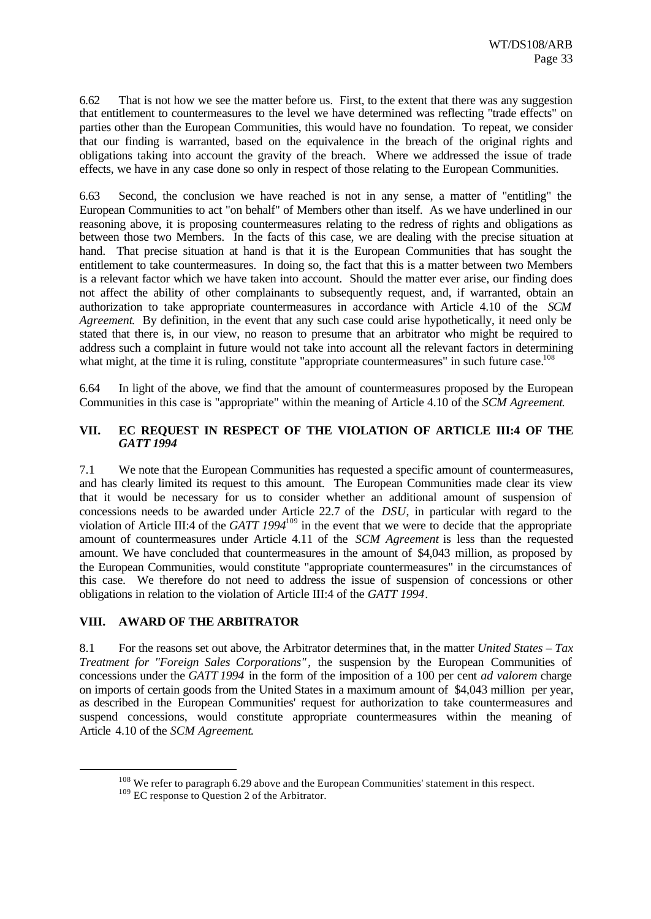6.62 That is not how we see the matter before us. First, to the extent that there was any suggestion that entitlement to countermeasures to the level we have determined was reflecting "trade effects" on parties other than the European Communities, this would have no foundation. To repeat, we consider that our finding is warranted, based on the equivalence in the breach of the original rights and obligations taking into account the gravity of the breach. Where we addressed the issue of trade effects, we have in any case done so only in respect of those relating to the European Communities.

6.63 Second, the conclusion we have reached is not in any sense, a matter of "entitling" the European Communities to act "on behalf" of Members other than itself. As we have underlined in our reasoning above, it is proposing countermeasures relating to the redress of rights and obligations as between those two Members. In the facts of this case, we are dealing with the precise situation at hand. That precise situation at hand is that it is the European Communities that has sought the entitlement to take countermeasures. In doing so, the fact that this is a matter between two Members is a relevant factor which we have taken into account. Should the matter ever arise, our finding does not affect the ability of other complainants to subsequently request, and, if warranted, obtain an authorization to take appropriate countermeasures in accordance with Article 4.10 of the *SCM Agreement*. By definition, in the event that any such case could arise hypothetically, it need only be stated that there is, in our view, no reason to presume that an arbitrator who might be required to address such a complaint in future would not take into account all the relevant factors in determining what might, at the time it is ruling, constitute "appropriate countermeasures" in such future case.<sup>108</sup>

6.64 In light of the above, we find that the amount of countermeasures proposed by the European Communities in this case is "appropriate" within the meaning of Article 4.10 of the *SCM Agreement*.

#### **VII. EC REQUEST IN RESPECT OF THE VIOLATION OF ARTICLE III:4 OF THE** *GATT 1994*

7.1 We note that the European Communities has requested a specific amount of countermeasures, and has clearly limited its request to this amount. The European Communities made clear its view that it would be necessary for us to consider whether an additional amount of suspension of concessions needs to be awarded under Article 22.7 of the *DSU*, in particular with regard to the violation of Article III:4 of the *GATT 1994*<sup>109</sup> in the event that we were to decide that the appropriate amount of countermeasures under Article 4.11 of the *SCM Agreement* is less than the requested amount. We have concluded that countermeasures in the amount of \$4,043 million, as proposed by the European Communities, would constitute "appropriate countermeasures" in the circumstances of this case. We therefore do not need to address the issue of suspension of concessions or other obligations in relation to the violation of Article III:4 of the *GATT 1994*.

#### **VIII. AWARD OF THE ARBITRATOR**

l

8.1 For the reasons set out above, the Arbitrator determines that, in the matter *United States – Tax Treatment for "Foreign Sales Corporations"* , the suspension by the European Communities of concessions under the *GATT 1994* in the form of the imposition of a 100 per cent *ad valorem* charge on imports of certain goods from the United States in a maximum amount of \$4,043 million per year, as described in the European Communities' request for authorization to take countermeasures and suspend concessions, would constitute appropriate countermeasures within the meaning of Article 4.10 of the *SCM Agreement*.

<sup>&</sup>lt;sup>108</sup> We refer to paragraph 6.29 above and the European Communities' statement in this respect.

<sup>&</sup>lt;sup>109</sup> EC response to Question 2 of the Arbitrator.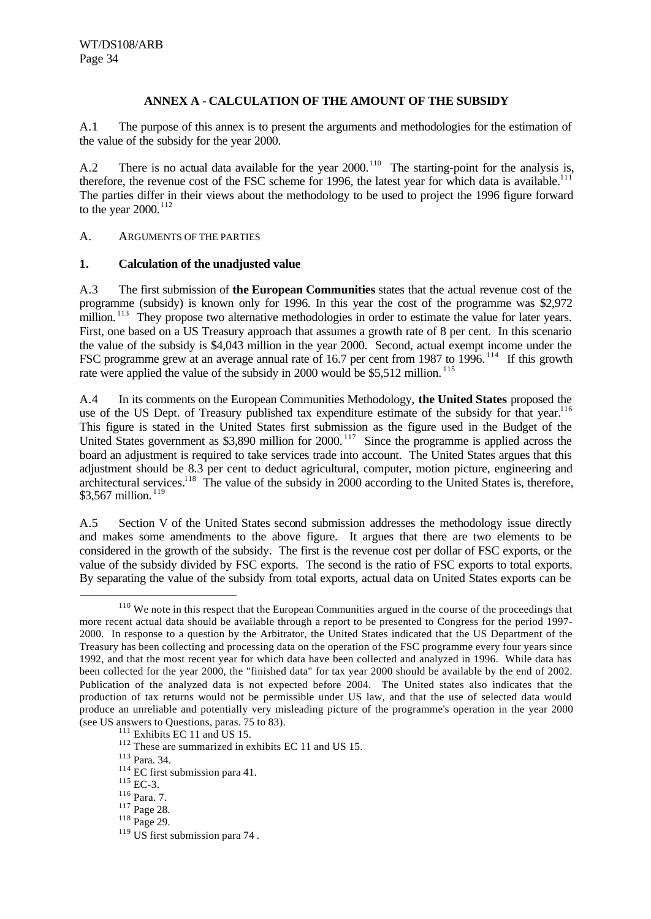#### **ANNEX A - CALCULATION OF THE AMOUNT OF THE SUBSIDY**

A.1 The purpose of this annex is to present the arguments and methodologies for the estimation of the value of the subsidy for the year 2000.

A.2 There is no actual data available for the year  $2000$ .<sup>110</sup> The starting-point for the analysis is, therefore, the revenue cost of the FSC scheme for 1996, the latest year for which data is available.<sup>111</sup> The parties differ in their views about the methodology to be used to project the 1996 figure forward to the year  $2000$ .<sup>112</sup>

#### A. ARGUMENTS OF THE PARTIES

#### **1. Calculation of the unadjusted value**

A.3 The first submission of **the European Communities** states that the actual revenue cost of the programme (subsidy) is known only for 1996. In this year the cost of the programme was \$2,972 million.<sup>113</sup> They propose two alternative methodologies in order to estimate the value for later years. First, one based on a US Treasury approach that assumes a growth rate of 8 per cent. In this scenario the value of the subsidy is \$4,043 million in the year 2000. Second, actual exempt income under the FSC programme grew at an average annual rate of 16.7 per cent from 1987 to 1996.<sup>114</sup> If this growth rate were applied the value of the subsidy in 2000 would be \$5,512 million.<sup>115</sup>

A.4 In its comments on the European Communities Methodology, **the United States** proposed the use of the US Dept. of Treasury published tax expenditure estimate of the subsidy for that year.<sup>116</sup> This figure is stated in the United States first submission as the figure used in the Budget of the United States government as \$3,890 million for 2000.<sup>117</sup> Since the programme is applied across the board an adjustment is required to take services trade into account. The United States argues that this adjustment should be 8.3 per cent to deduct agricultural, computer, motion picture, engineering and architectural services.<sup>118</sup> The value of the subsidy in 2000 according to the United States is, therefore, \$3,567 million.<sup>119</sup>

A.5 Section V of the United States second submission addresses the methodology issue directly and makes some amendments to the above figure. It argues that there are two elements to be considered in the growth of the subsidy. The first is the revenue cost per dollar of FSC exports, or the value of the subsidy divided by FSC exports. The second is the ratio of FSC exports to total exports. By separating the value of the subsidy from total exports, actual data on United States exports can be

<sup>&</sup>lt;sup>110</sup> We note in this respect that the European Communities argued in the course of the proceedings that more recent actual data should be available through a report to be presented to Congress for the period 1997- 2000. In response to a question by the Arbitrator, the United States indicated that the US Department of the Treasury has been collecting and processing data on the operation of the FSC programme every four years since 1992, and that the most recent year for which data have been collected and analyzed in 1996. While data has been collected for the year 2000, the "finished data" for tax year 2000 should be available by the end of 2002. Publication of the analyzed data is not expected before 2004. The United states also indicates that the production of tax returns would not be permissible under US law, and that the use of selected data would produce an unreliable and potentially very misleading picture of the programme's operation in the year 2000 (see US answers to Questions, paras. 75 to 83).

 $111$  Exhibits EC 11 and US 15.

<sup>&</sup>lt;sup>112</sup> These are summarized in exhibits EC 11 and US 15.

<sup>113</sup> Para. 34.

<sup>&</sup>lt;sup>114</sup> EC first submission para 41.

 $115$  EC-3.

<sup>116</sup> Para. 7.

<sup>117</sup> Page 28.

<sup>118</sup> Page 29.

<sup>&</sup>lt;sup>119</sup> US first submission para 74.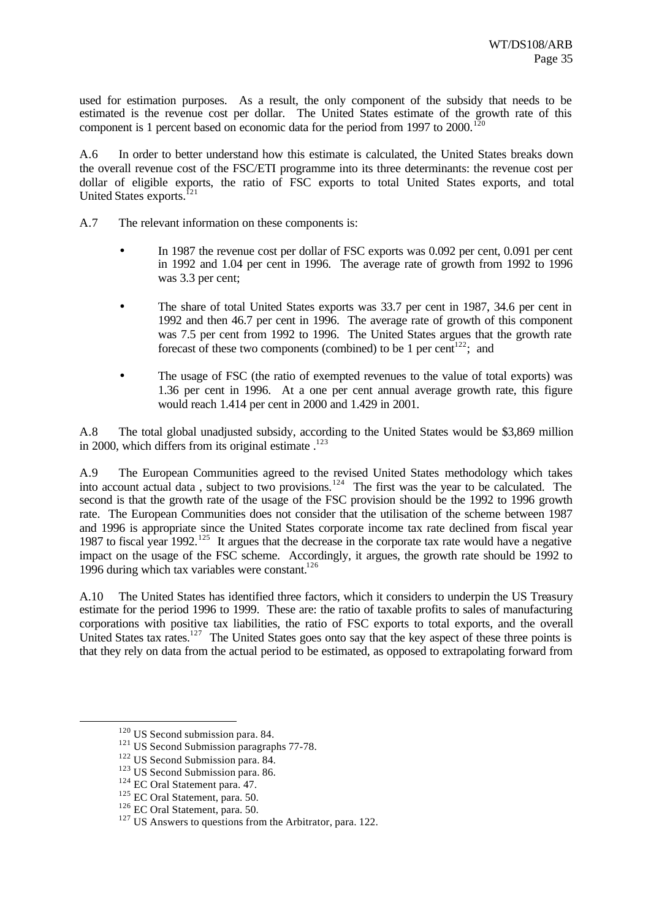used for estimation purposes. As a result, the only component of the subsidy that needs to be estimated is the revenue cost per dollar. The United States estimate of the growth rate of this component is 1 percent based on economic data for the period from 1997 to  $2000$ .<sup>120</sup>

A.6 In order to better understand how this estimate is calculated, the United States breaks down the overall revenue cost of the FSC/ETI programme into its three determinants: the revenue cost per dollar of eligible exports, the ratio of FSC exports to total United States exports, and total United States exports.<sup>121</sup>

A.7 The relevant information on these components is:

- In 1987 the revenue cost per dollar of FSC exports was 0.092 per cent, 0.091 per cent in 1992 and 1.04 per cent in 1996. The average rate of growth from 1992 to 1996 was 3.3 per cent;
- The share of total United States exports was 33.7 per cent in 1987, 34.6 per cent in 1992 and then 46.7 per cent in 1996. The average rate of growth of this component was 7.5 per cent from 1992 to 1996. The United States argues that the growth rate forecast of these two components (combined) to be 1 per cent<sup>122</sup>; and
- The usage of FSC (the ratio of exempted revenues to the value of total exports) was 1.36 per cent in 1996. At a one per cent annual average growth rate, this figure would reach 1.414 per cent in 2000 and 1.429 in 2001.

A.8 The total global unadjusted subsidy, according to the United States would be \$3,869 million in 2000, which differs from its original estimate  $.123$ 

A.9 The European Communities agreed to the revised United States methodology which takes into account actual data, subject to two provisions.<sup>124</sup> The first was the year to be calculated. The second is that the growth rate of the usage of the FSC provision should be the 1992 to 1996 growth rate. The European Communities does not consider that the utilisation of the scheme between 1987 and 1996 is appropriate since the United States corporate income tax rate declined from fiscal year 1987 to fiscal year  $1992$ .<sup>125</sup> It argues that the decrease in the corporate tax rate would have a negative impact on the usage of the FSC scheme. Accordingly, it argues, the growth rate should be 1992 to 1996 during which tax variables were constant. $126$ 

A.10 The United States has identified three factors, which it considers to underpin the US Treasury estimate for the period 1996 to 1999. These are: the ratio of taxable profits to sales of manufacturing corporations with positive tax liabilities, the ratio of FSC exports to total exports, and the overall United States tax rates.<sup>127</sup> The United States goes onto say that the key aspect of these three points is that they rely on data from the actual period to be estimated, as opposed to extrapolating forward from

<sup>&</sup>lt;sup>120</sup> US Second submission para. 84.

<sup>&</sup>lt;sup>121</sup> US Second Submission paragraphs 77-78.

<sup>&</sup>lt;sup>122</sup> US Second Submission para. 84.

<sup>&</sup>lt;sup>123</sup> US Second Submission para. 86.

<sup>124</sup> EC Oral Statement para. 47.

<sup>&</sup>lt;sup>125</sup> EC Oral Statement, para. 50.

<sup>126</sup> EC Oral Statement, para. 50.

<sup>&</sup>lt;sup>127</sup> US Answers to questions from the Arbitrator, para. 122.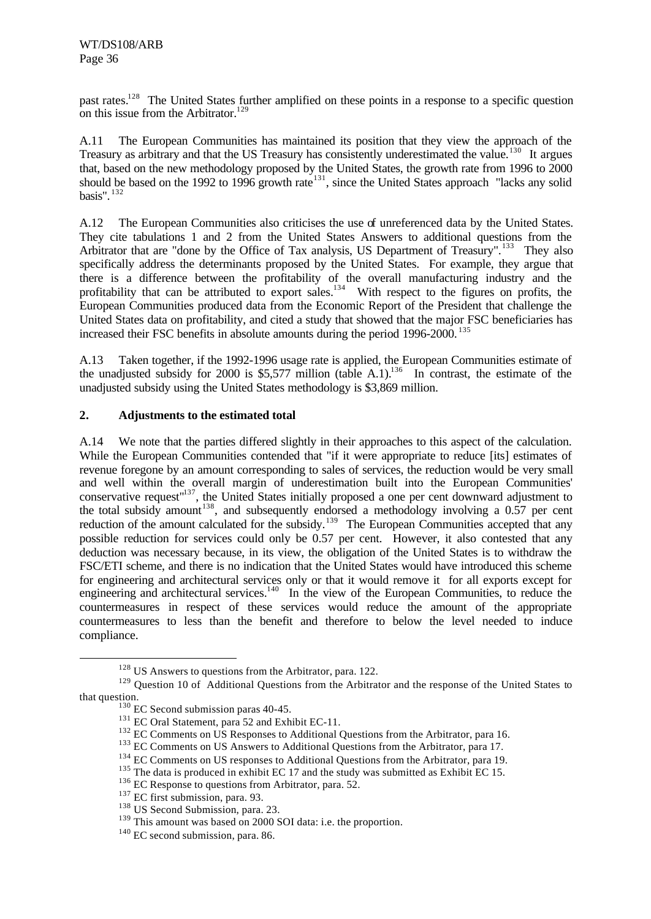past rates.<sup>128</sup> The United States further amplified on these points in a response to a specific question on this issue from the Arbitrator.<sup>129</sup>

A.11 The European Communities has maintained its position that they view the approach of the Treasury as arbitrary and that the US Treasury has consistently underestimated the value.<sup>130</sup> It argues that, based on the new methodology proposed by the United States, the growth rate from 1996 to 2000 should be based on the 1992 to 1996 growth rate<sup>131</sup>, since the United States approach "lacks any solid basis".  $132$ 

A.12 The European Communities also criticises the use of unreferenced data by the United States. They cite tabulations 1 and 2 from the United States Answers to additional questions from the Arbitrator that are "done by the Office of Tax analysis, US Department of Treasury".<sup>133</sup> They also specifically address the determinants proposed by the United States. For example, they argue that there is a difference between the profitability of the overall manufacturing industry and the profitability that can be attributed to export sales.<sup>134</sup> With respect to the figures on profits, the European Communities produced data from the Economic Report of the President that challenge the United States data on profitability, and cited a study that showed that the major FSC beneficiaries has increased their FSC benefits in absolute amounts during the period 1996-2000. <sup>135</sup>

A.13 Taken together, if the 1992-1996 usage rate is applied, the European Communities estimate of the unadjusted subsidy for 2000 is \$5,577 million (table A.1).<sup>136</sup> In contrast, the estimate of the unadjusted subsidy using the United States methodology is \$3,869 million.

#### **2. Adjustments to the estimated total**

A.14 We note that the parties differed slightly in their approaches to this aspect of the calculation. While the European Communities contended that "if it were appropriate to reduce [its] estimates of revenue foregone by an amount corresponding to sales of services, the reduction would be very small and well within the overall margin of underestimation built into the European Communities' conservative request $137$ , the United States initially proposed a one per cent downward adjustment to the total subsidy amount<sup>138</sup>, and subsequently endorsed a methodology involving a  $0.57$  per cent reduction of the amount calculated for the subsidy.<sup>139</sup> The European Communities accepted that any possible reduction for services could only be 0.57 per cent. However, it also contested that any deduction was necessary because, in its view, the obligation of the United States is to withdraw the FSC/ETI scheme, and there is no indication that the United States would have introduced this scheme for engineering and architectural services only or that it would remove it for all exports except for engineering and architectural services.<sup>140</sup> In the view of the European Communities, to reduce the countermeasures in respect of these services would reduce the amount of the appropriate countermeasures to less than the benefit and therefore to below the level needed to induce compliance.

<sup>&</sup>lt;sup>128</sup> US Answers to questions from the Arbitrator, para. 122.

<sup>&</sup>lt;sup>129</sup> Question 10 of Additional Questions from the Arbitrator and the response of the United States to that question.

 $130$  EC Second submission paras 40-45.

<sup>&</sup>lt;sup>131</sup> EC Oral Statement, para 52 and Exhibit EC-11.

<sup>&</sup>lt;sup>132</sup> EC Comments on US Responses to Additional Questions from the Arbitrator, para 16.

<sup>&</sup>lt;sup>133</sup> EC Comments on US Answers to Additional Questions from the Arbitrator, para 17.

<sup>&</sup>lt;sup>134</sup> EC Comments on US responses to Additional Questions from the Arbitrator, para 19.

 $135$  The data is produced in exhibit EC 17 and the study was submitted as Exhibit EC 15.

<sup>&</sup>lt;sup>136</sup> EC Response to questions from Arbitrator, para. 52.

<sup>&</sup>lt;sup>137</sup> EC first submission, para. 93.

<sup>&</sup>lt;sup>138</sup> US Second Submission, para. 23.

<sup>&</sup>lt;sup>139</sup> This amount was based on 2000 SOI data: i.e. the proportion.

<sup>&</sup>lt;sup>140</sup> EC second submission, para. 86.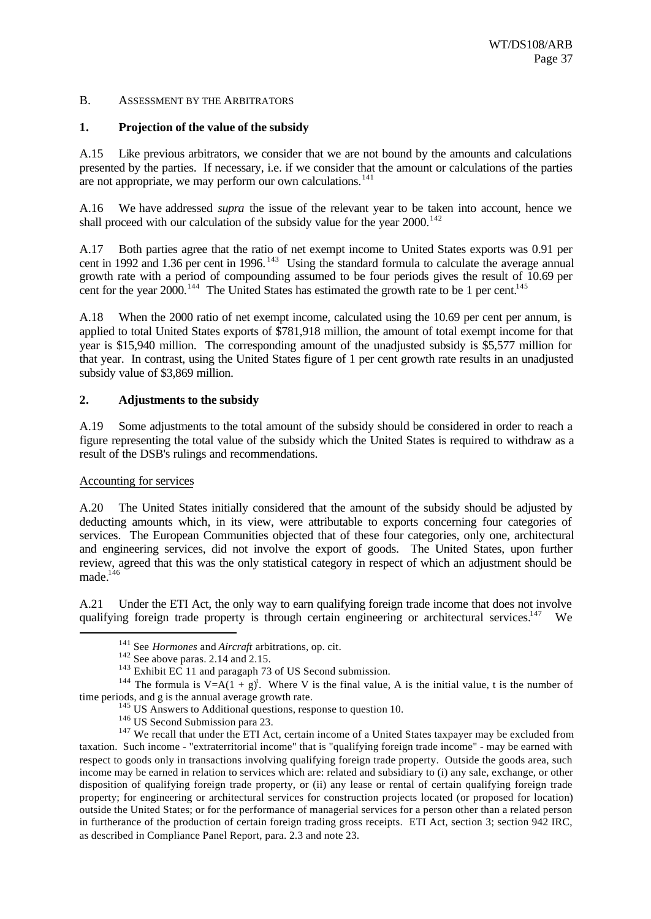#### B. ASSESSMENT BY THE ARBITRATORS

#### **1. Projection of the value of the subsidy**

A.15 Like previous arbitrators, we consider that we are not bound by the amounts and calculations presented by the parties. If necessary, i.e. if we consider that the amount or calculations of the parties are not appropriate, we may perform our own calculations.<sup>141</sup>

A.16 We have addressed *supra* the issue of the relevant year to be taken into account, hence we shall proceed with our calculation of the subsidy value for the year  $2000$ .<sup>142</sup>

A.17 Both parties agree that the ratio of net exempt income to United States exports was 0.91 per cent in 1992 and 1.36 per cent in 1996.<sup>143</sup> Using the standard formula to calculate the average annual growth rate with a period of compounding assumed to be four periods gives the result of 10.69 per cent for the year  $2000$ .<sup>144</sup> The United States has estimated the growth rate to be 1 per cent.<sup>145</sup>

A.18 When the 2000 ratio of net exempt income, calculated using the 10.69 per cent per annum, is applied to total United States exports of \$781,918 million, the amount of total exempt income for that year is \$15,940 million. The corresponding amount of the unadjusted subsidy is \$5,577 million for that year. In contrast, using the United States figure of 1 per cent growth rate results in an unadjusted subsidy value of \$3,869 million.

#### **2. Adjustments to the subsidy**

A.19 Some adjustments to the total amount of the subsidy should be considered in order to reach a figure representing the total value of the subsidy which the United States is required to withdraw as a result of the DSB's rulings and recommendations.

#### Accounting for services

l

A.20 The United States initially considered that the amount of the subsidy should be adjusted by deducting amounts which, in its view, were attributable to exports concerning four categories of services. The European Communities objected that of these four categories, only one, architectural and engineering services, did not involve the export of goods. The United States, upon further review, agreed that this was the only statistical category in respect of which an adjustment should be made. $146$ 

A.21 Under the ETI Act, the only way to earn qualifying foreign trade income that does not involve qualifying foreign trade property is through certain engineering or architectural services.<sup>147</sup> We

<sup>141</sup> See *Hormones* and *Aircraft* arbitrations, op. cit.

<sup>&</sup>lt;sup>142</sup> See above paras. 2.14 and 2.15.

<sup>&</sup>lt;sup>143</sup> Exhibit EC 11 and paragaph 73 of US Second submission.

<sup>&</sup>lt;sup>144</sup> The formula is V=A(1 + g)<sup>t</sup>. Where V is the final value, A is the initial value, t is the number of time periods, and g is the annual average growth rate.

<sup>&</sup>lt;sup>145</sup> US Answers to Additional questions, response to question 10.

<sup>&</sup>lt;sup>146</sup> US Second Submission para 23.

<sup>&</sup>lt;sup>147</sup> We recall that under the ETI Act, certain income of a United States taxpayer may be excluded from taxation. Such income - "extraterritorial income" that is "qualifying foreign trade income" - may be earned with respect to goods only in transactions involving qualifying foreign trade property. Outside the goods area, such income may be earned in relation to services which are: related and subsidiary to (i) any sale, exchange, or other disposition of qualifying foreign trade property, or (ii) any lease or rental of certain qualifying foreign trade property; for engineering or architectural services for construction projects located (or proposed for location) outside the United States; or for the performance of managerial services for a person other than a related person in furtherance of the production of certain foreign trading gross receipts. ETI Act, section 3; section 942 IRC, as described in Compliance Panel Report, para. 2.3 and note 23.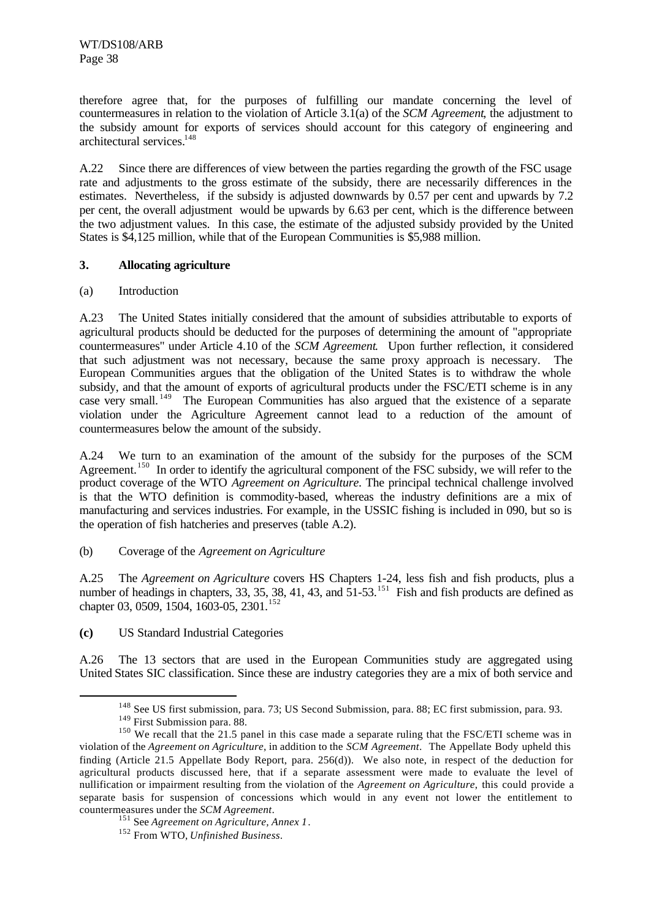therefore agree that, for the purposes of fulfilling our mandate concerning the level of countermeasures in relation to the violation of Article 3.1(a) of the *SCM Agreement*, the adjustment to the subsidy amount for exports of services should account for this category of engineering and architectural services.<sup>148</sup>

A.22 Since there are differences of view between the parties regarding the growth of the FSC usage rate and adjustments to the gross estimate of the subsidy, there are necessarily differences in the estimates. Nevertheless, if the subsidy is adjusted downwards by 0.57 per cent and upwards by 7.2 per cent, the overall adjustment would be upwards by 6.63 per cent, which is the difference between the two adjustment values. In this case, the estimate of the adjusted subsidy provided by the United States is \$4,125 million, while that of the European Communities is \$5,988 million.

#### **3. Allocating agriculture**

#### (a) Introduction

A.23 The United States initially considered that the amount of subsidies attributable to exports of agricultural products should be deducted for the purposes of determining the amount of "appropriate countermeasures" under Article 4.10 of the *SCM Agreement*. Upon further reflection, it considered that such adjustment was not necessary, because the same proxy approach is necessary. The European Communities argues that the obligation of the United States is to withdraw the whole subsidy, and that the amount of exports of agricultural products under the FSC/ETI scheme is in any case very small.<sup>149</sup> The European Communities has also argued that the existence of a separate violation under the Agriculture Agreement cannot lead to a reduction of the amount of countermeasures below the amount of the subsidy.

A.24 We turn to an examination of the amount of the subsidy for the purposes of the SCM Agreement.<sup>150</sup> In order to identify the agricultural component of the FSC subsidy, we will refer to the product coverage of the WTO *Agreement on Agriculture*. The principal technical challenge involved is that the WTO definition is commodity-based, whereas the industry definitions are a mix of manufacturing and services industries. For example, in the USSIC fishing is included in 090, but so is the operation of fish hatcheries and preserves (table A.2).

#### (b) Coverage of the *Agreement on Agriculture*

A.25 The *Agreement on Agriculture* covers HS Chapters 1-24, less fish and fish products, plus a number of headings in chapters, 33, 35, 38, 41, 43, and  $\overline{51-53}$ .<sup>151</sup> Fish and fish products are defined as chapter 03, 0509, 1504, 1603-05, 2301.<sup>152</sup>

**(c)** US Standard Industrial Categories

A.26 The 13 sectors that are used in the European Communities study are aggregated using United States SIC classification. Since these are industry categories they are a mix of both service and

<sup>&</sup>lt;sup>148</sup> See US first submission, para. 73; US Second Submission, para. 88; EC first submission, para. 93.

<sup>&</sup>lt;sup>149</sup> First Submission para. 88.

<sup>&</sup>lt;sup>150</sup> We recall that the 21.5 panel in this case made a separate ruling that the FSC/ETI scheme was in violation of the *Agreement on Agriculture*, in addition to the *SCM Agreement*. The Appellate Body upheld this finding (Article 21.5 Appellate Body Report, para. 256(d)). We also note, in respect of the deduction for agricultural products discussed here, that if a separate assessment were made to evaluate the level of nullification or impairment resulting from the violation of the *Agreement on Agriculture*, this could provide a separate basis for suspension of concessions which would in any event not lower the entitlement to countermeasures under the *SCM Agreement*.

<sup>151</sup> See *Agreement on Agriculture, Annex 1*.

<sup>152</sup> From WTO, *Unfinished Business*.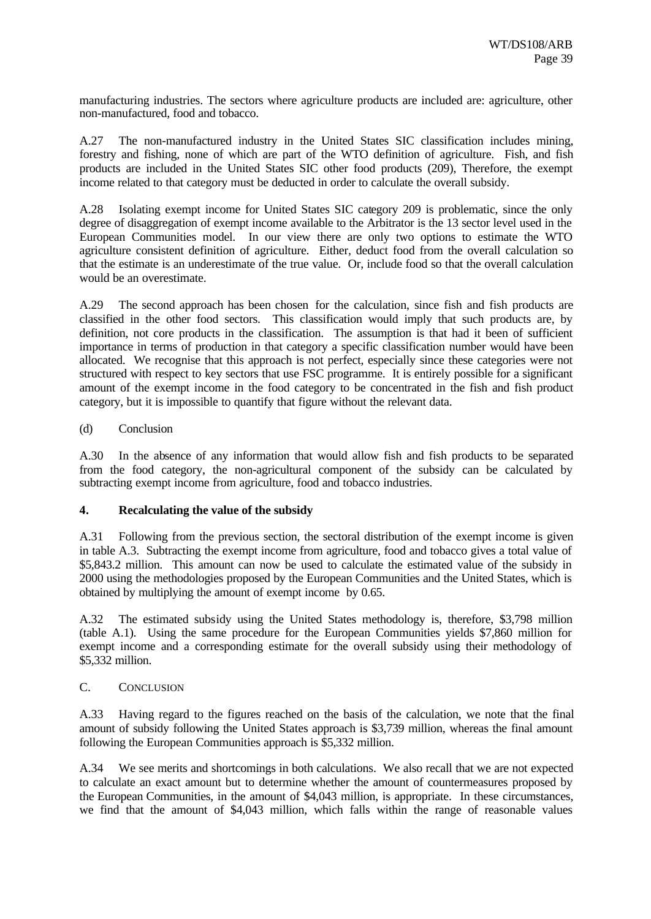manufacturing industries. The sectors where agriculture products are included are: agriculture, other non-manufactured, food and tobacco.

A.27 The non-manufactured industry in the United States SIC classification includes mining, forestry and fishing, none of which are part of the WTO definition of agriculture. Fish, and fish products are included in the United States SIC other food products (209), Therefore, the exempt income related to that category must be deducted in order to calculate the overall subsidy.

A.28 Isolating exempt income for United States SIC category 209 is problematic, since the only degree of disaggregation of exempt income available to the Arbitrator is the 13 sector level used in the European Communities model. In our view there are only two options to estimate the WTO agriculture consistent definition of agriculture. Either, deduct food from the overall calculation so that the estimate is an underestimate of the true value. Or, include food so that the overall calculation would be an overestimate.

A.29 The second approach has been chosen for the calculation, since fish and fish products are classified in the other food sectors. This classification would imply that such products are, by definition, not core products in the classification. The assumption is that had it been of sufficient importance in terms of production in that category a specific classification number would have been allocated. We recognise that this approach is not perfect, especially since these categories were not structured with respect to key sectors that use FSC programme. It is entirely possible for a significant amount of the exempt income in the food category to be concentrated in the fish and fish product category, but it is impossible to quantify that figure without the relevant data.

#### (d) Conclusion

A.30 In the absence of any information that would allow fish and fish products to be separated from the food category, the non-agricultural component of the subsidy can be calculated by subtracting exempt income from agriculture, food and tobacco industries.

#### **4. Recalculating the value of the subsidy**

A.31 Following from the previous section, the sectoral distribution of the exempt income is given in table A.3. Subtracting the exempt income from agriculture, food and tobacco gives a total value of \$5,843.2 million. This amount can now be used to calculate the estimated value of the subsidy in 2000 using the methodologies proposed by the European Communities and the United States, which is obtained by multiplying the amount of exempt income by 0.65.

A.32 The estimated subsidy using the United States methodology is, therefore, \$3,798 million (table A.1). Using the same procedure for the European Communities yields \$7,860 million for exempt income and a corresponding estimate for the overall subsidy using their methodology of \$5,332 million.

#### C. CONCLUSION

A.33 Having regard to the figures reached on the basis of the calculation, we note that the final amount of subsidy following the United States approach is \$3,739 million, whereas the final amount following the European Communities approach is \$5,332 million.

A.34 We see merits and shortcomings in both calculations. We also recall that we are not expected to calculate an exact amount but to determine whether the amount of countermeasures proposed by the European Communities, in the amount of \$4,043 million, is appropriate. In these circumstances, we find that the amount of \$4,043 million, which falls within the range of reasonable values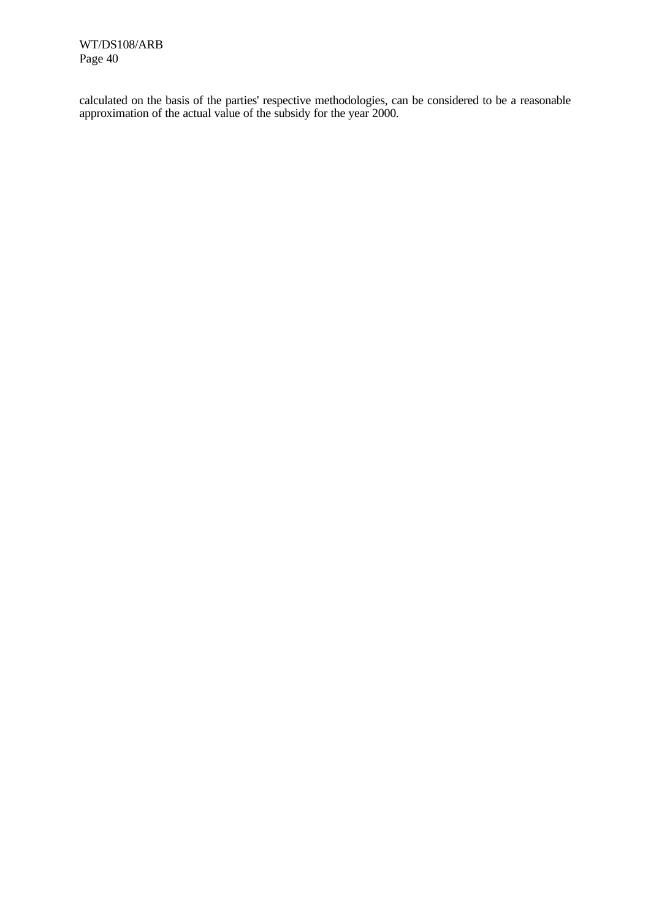WT/DS108/ARB Page 40

calculated on the basis of the parties' respective methodologies, can be considered to be a reasonable approximation of the actual value of the subsidy for the year 2000.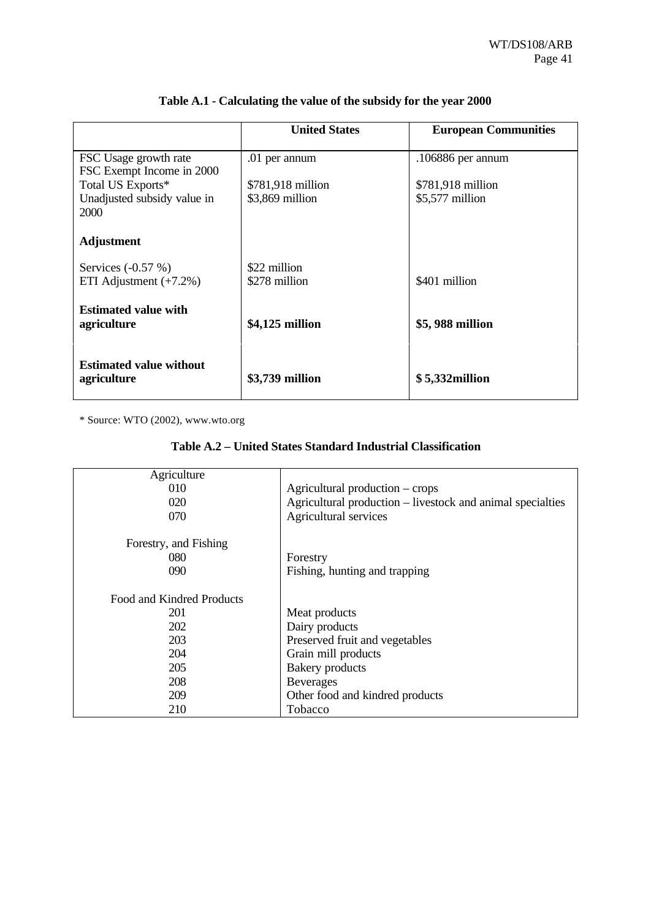|                                                    | <b>United States</b> | <b>European Communities</b> |
|----------------------------------------------------|----------------------|-----------------------------|
| FSC Usage growth rate<br>FSC Exempt Income in 2000 | .01 per annum        | $.106886$ per annum         |
| Total US Exports*                                  | \$781,918 million    | \$781,918 million           |
| Unadjusted subsidy value in<br>2000                | $$3,869$ million     | $$5,577$ million            |
| <b>Adjustment</b>                                  |                      |                             |
| Services $(-0.57\%)$                               | \$22 million         |                             |
| ETI Adjustment $(+7.2\%)$                          | \$278 million        | \$401 million               |
| <b>Estimated value with</b><br>agriculture         | \$4,125 million      | \$5,988 million             |
| <b>Estimated value without</b><br>agriculture      | \$3,739 million      | \$5,332million              |

## **Table A.1 - Calculating the value of the subsidy for the year 2000**

\* Source: WTO (2002), www.wto.org

|  |  | Table A.2 – United States Standard Industrial Classification |  |
|--|--|--------------------------------------------------------------|--|
|--|--|--------------------------------------------------------------|--|

| Agriculture               |                                                            |
|---------------------------|------------------------------------------------------------|
| 010                       | Agricultural production – crops                            |
| 020                       | Agricultural production – livestock and animal specialties |
| 070                       | Agricultural services                                      |
|                           |                                                            |
| Forestry, and Fishing     |                                                            |
| 080                       | Forestry                                                   |
| 090                       | Fishing, hunting and trapping                              |
|                           |                                                            |
| Food and Kindred Products |                                                            |
| 201                       | Meat products                                              |
| 202                       | Dairy products                                             |
| 203                       | Preserved fruit and vegetables                             |
| 204                       | Grain mill products                                        |
| 205                       | <b>Bakery</b> products                                     |
| 208                       | <b>Beverages</b>                                           |
| 209                       | Other food and kindred products                            |
| 210                       | Tobacco                                                    |